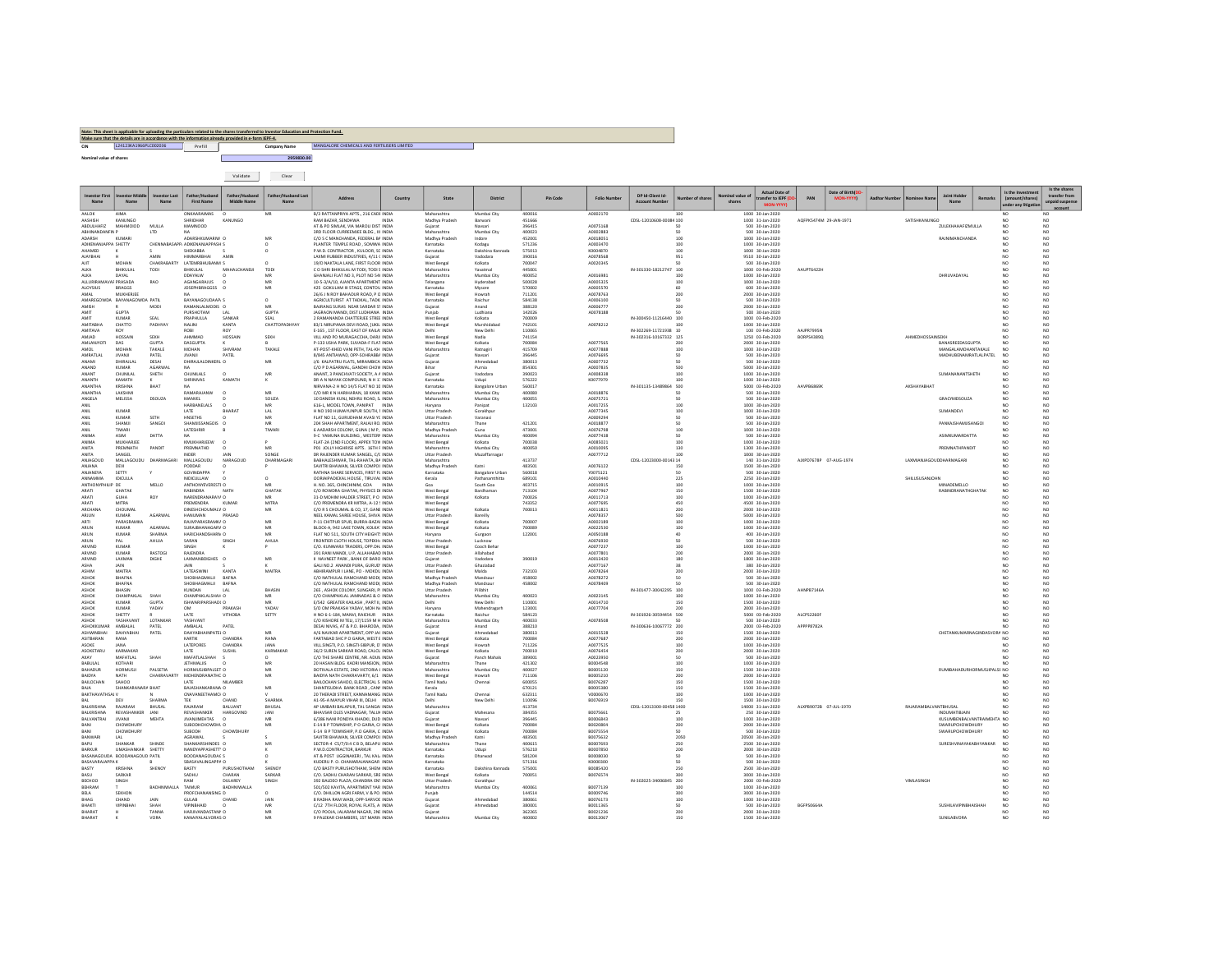## CIN CIN COMPANY COMPANY COMPANY COMPANY NAME COMPANY NAME MANGALORE CHEMICALS AND FERTILISERS LIMITED<br>Nominal value of shares Note: This sheet is applicable for uploading the particulars related to the shares transferred to Investor Education and Protection Fund.<br>Make sure that the details are in accordance with the information arisedy provided i

|                                     |                                              |                         |                                         | Validate                  | Clear                |                                                                                |         |                                      |                             |                  |          |                      |                          |                        |                      |                                                             |                        |                  |          |                                |                                               |               |                                                            |                                                   |
|-------------------------------------|----------------------------------------------|-------------------------|-----------------------------------------|---------------------------|----------------------|--------------------------------------------------------------------------------|---------|--------------------------------------|-----------------------------|------------------|----------|----------------------|--------------------------|------------------------|----------------------|-------------------------------------------------------------|------------------------|------------------|----------|--------------------------------|-----------------------------------------------|---------------|------------------------------------------------------------|---------------------------------------------------|
| nyestor First                       |                                              | nvestor Last            | <b>First Name</b>                       | Middle Name               | Father/Husband Last  | <b>Address</b>                                                                 | Country | State                                | <b>District</b>             |                  | Pin Code | <b>Folio Numbe</b>   | DP Id-Client Id-         | <b>lumber</b> of share | inal value<br>shares | <b>Actual Date of</b><br>ransfer to IEPF<br><b>MON-YYYY</b> | PAN                    | Date of Birth(DD | Aadhar N |                                | <b>Joint Holde</b>                            | <b>Remark</b> | Is the Investme<br>(amount/shares)<br>under any litication | Is the shares<br>transfer from<br>unpaid suspense |
| AALOK<br>AASHISH                    | <b>AIMA</b><br>KANUNGO                       |                         | ONKAARAIMAS<br>SHRIDHAR                 | KANUNGO                   | MR                   | B/3 RATTANPRIYA APTS., 216 CADE INDIA<br>RAM BAZAR, SENDHWA                    | INDIA   | Maharashtra<br>Madhya Pradesh        | Mumbai City<br>Barwani      | 400016<br>451666 |          | A0002170             | CDSL-12010608-00084 100  |                        |                      | 1000 30-Jan-2020<br>1000 31-Jan-2020                        | AOFPK5474M 29-JAN-1971 |                  |          | SATISHKANUNGO                  |                                               |               | NO<br>NO <sub>1</sub>                                      | NO <sub>1</sub><br>NO.                            |
| <b>ABDULHAFIZ</b>                   | MAHMOIOD                                     | MULLA                   | MAMNOOD                                 |                           |                      | AT & PO SIMLAK, VIA MAROLI DIST INDIA                                          |         | Guiarat                              | Navsari                     | 396415           |          | A0075168             |                          | 50                     |                      | 500 30-Jan-2020                                             |                        |                  |          |                                | ZULEKHAHAFIZMULLA                             |               | NO <sub>1</sub>                                            | NO <sub>1</sub>                                   |
| ABHINANDANFIN I<br>ADARSH           | KUMAR                                        |                         | ADARSHKUMARIW O                         |                           | MR                   | 3RD FLOOR CURREEMJEE BLDG . III INDIA<br>C/O S C MANCHANDA, FEDERAL BA INDIA   |         | Maharashtra<br>Madhya Pradesh        | Mumbai City<br>Indore       | 400023<br>452001 |          | A0002883<br>A0018051 |                          | 100                    |                      | 500 30-Jan-2020<br>1000 30-Jan-2020                         |                        |                  |          |                                | <b>RAJNIMANCHANDA</b>                         |               | NO.<br>NO                                                  | NO <sub>1</sub><br>NO <sub>1</sub>                |
| ADIKENANJAPPA SHETTY                |                                              |                         | CHENNABASAPP, ADIKENANJAPPASH S         |                           |                      | PLANTER TEMPLE ROAD . SOMWA INDV                                               |         | Karnataka                            | Kodagu                      | 571236           |          | 40003470             |                          | 100                    |                      | 1000 30-Jan-2020                                            |                        |                  |          |                                |                                               |               | NO.                                                        | NO                                                |
| AHAMED                              |                                              |                         | SHEKABBA                                |                           | $\circ$              | P.W.D. CONTRACTOR, KULOOR, SC INDIA                                            |         | Karnataka                            | Dakshina Kannada            | 575013           |          | knonaszn             |                          | 100                    |                      | 1000 30-Jan-2020                                            |                        |                  |          |                                |                                               |               | NO                                                         | NO                                                |
| <b>ALAYRHAL</b><br>AJIT             | MOHAN                                        | AMIN<br>CHAKRABARTY     | HIMMARRHAL<br>LATEMRBHUBANM S           | <b>AMIN</b>               |                      | LAXMLRURRER INDUSTRIES 4/11 C INDIA<br>19/D NAKTALA LANE, FIRST FLOOR INDIA    |         | Guiarat<br>West Bengal               | Vadodara<br>Kolkata         | 390016<br>700047 |          | 40078568<br>A0020345 |                          | 951<br>50              |                      | 9510 30-Jan-2020<br>500 30-Jan-2020                         |                        |                  |          |                                |                                               |               | NO<br>NO.                                                  | NO <sub>1</sub><br>NO.                            |
| ALKA                                | BHIKULAL                                     | TODI                    | <b>BHIKULAL</b>                         | MAHALCHANDJI              | TODI                 | C O SHRI BHIKULAL M TODI. TODI S INDIA                                         |         | Maharashtra                          | Yayatmal                    | 445001           |          |                      | IN-301330-18212747 100   |                        |                      | 1000 03-Feb-2020                                            | AAUPT6422H             |                  |          |                                |                                               |               | NO <sub>1</sub>                                            | NO <sub>1</sub>                                   |
| ALKA                                | DAYAL                                        |                         | DDAYALW                                 | $\circ$                   |                      | GHANJALI FLAT NO 3, PLOT NO 54( INDIA                                          |         | Maharashtra                          | Mumbai City                 | 400052           |          | A0016981             |                          | 100                    |                      | 1000 30-Jan-2020                                            |                        |                  |          |                                | DHRUVADAYAL                                   |               | NO.                                                        | NO                                                |
| ALLURIRAMAVAI PRASADA<br>ALOYSIUS   | <b>BRAGGS</b>                                | RAO                     | AGANGARAJUS<br><b>JOSEPHBRAGGSS</b>     | $\circ$                   | MR<br>MR             | 10-5-3/A/10, AJANTA APARTMENT INDIA<br>425 GOKULAM III STAGE, CONTOU INDIA     |         | Telangana<br>Karnataka               | Hyderabad<br>Mysore         | 500028<br>570002 |          | A0005325<br>A0005570 |                          | 100<br>60              |                      | 1000 30-Jan-2020<br>600 30-Jan-2020                         |                        |                  |          |                                |                                               |               | NO.<br>NO                                                  | NO<br>NO                                          |
| <b>AMAL</b>                         | <b>MIKHERIEF</b>                             |                         | MA.                                     |                           |                      | 26/6 J N ROY BAHADUR ROAD, P O INDIA                                           |         | West Benga                           | Howrah                      | 711201           |          | 40078763             |                          | 200                    |                      | 2000 30-Jan-2020                                            |                        |                  |          |                                |                                               |               | NO                                                         | NO                                                |
| AMISH                               | AMAREGOWDA BAYANAGOWDA PATIL<br>$\mathbb{R}$ | MODI                    | BAYANAGOUDAAP/ S<br>RAMANLALMODIS O     |                           | $\circ$<br>MR        | AGRICULTURIST AT TADKAL TADK INDIA<br>BAJRANG SURAS NEAR SARDAR ST INDIA       |         | Karnataka<br>Guiarat                 | Raichur<br>Anand            | 584138<br>388120 |          | A0006100<br>A0006777 |                          | 50<br>200              |                      | 500 30-Jan-2020<br>2000 30-Jan-2020                         |                        |                  |          |                                |                                               |               | NO.<br>NO.                                                 | NO <sub>1</sub><br>NO.                            |
| AMIT                                | <b>GUPTA</b>                                 |                         | PURSHOTAM                               | AA                        | <b>GUPTA</b>         | JAGRAON MANDI, DIST LUDHIANA INDIA                                             |         | Puniab                               | Ludhiana                    | 142026           |          | A0078188             |                          | 50                     |                      | 500 30-Jan-2020                                             |                        |                  |          |                                |                                               |               | NO                                                         | NO <sub>1</sub>                                   |
| AMIT                                | KUMAR                                        | SEAL                    | PRAPHULLA                               | SANKAR                    | <b>SEAL</b>          | 2 RAMANANDA CHATTERJEE STREE INDIA                                             |         | West Bengal                          | Kolkata                     | 700009           |          |                      | IN-300450-11216440 100   |                        |                      | 1000 03-Feb-2020                                            |                        |                  |          |                                |                                               |               | NO.                                                        | NO                                                |
| <b>AMITABHA</b><br>AMITAVA          | CHATTO<br>R <sub>O</sub>                     | PADHYAY                 | NALINI<br>ROBI                          | KANTA                     | CHATTOPADHYAY        | 83/1 NIRUPAMA DEVI ROAD, JUKIL INDIA<br>E-165, 1ST FLOOR, EAST OF KAILA: INDIA |         | West Bengal                          | Murshidabad<br>New Delhi    | 742101<br>110065 |          | A0078212             | IN-302269-11721938 10    | 100                    |                      | 1000 30-Jan-2020<br>100 03-Feb-2020                         | <b>AAIPR7995M</b>      |                  |          |                                |                                               |               | NO<br>NO                                                   | NO<br>NO                                          |
| AMIAD                               | HOSSAIN                                      | SEKH                    | AUSASAD                                 | HOSSAIN                   | SEKH                 | VILL AND PO MURAGACCHA, DARJI INDIA                                            |         | West Benga                           | Nadia                       | 741154           |          |                      | IN-302316-10167332 125   |                        |                      | 1250 03-Feb-2020                                            | BORPS43890             |                  |          | <b>AHMEDHOSSAINSEKH</b>        |                                               |               | NO                                                         | NO                                                |
| MI ANIVOTI<br><b>AMOL</b>           | nas.<br>MOHAN                                | <b>GUPTA</b><br>TAKALE  | <b>DASGUPTA</b><br>MOHAN                | SHIVRAM                   | TAKALE               | P-133 USHA PARK SUVADA-F FLAT INDIA<br>AT-POST-KHED VANI PETH, TAL-KH INDIA    |         | West Renea<br>Maharashtra            | Kolkata<br>Ratnagiri        | 700084<br>415709 |          | 40077565<br>A0077888 |                          | 200<br>100             |                      | 2000 30-140-2020<br>1000 30-Jan-2020                        |                        |                  |          |                                | <b>RANASREEDASGUPTA</b><br>MANGALAMOHANTAKALE |               | NO<br>NO <sub>1</sub>                                      | NO <sub>1</sub><br>NO <sub>1</sub>                |
| AMRATLAL                            | <b>JIVANJI</b>                               | PATEL                   | <b>JIVANJI</b>                          | PATEL                     |                      | 8/845 ANTIAWAD, OPP-SOHRABBA INDIA                                             |         | Gujarat                              | Navsari                     | 396445           |          | A0076695             |                          | 50                     |                      | 500 30-Jan-2020                                             |                        |                  |          |                                | <b>MADHUBENAMRATLALPATEL</b>                  |               | NO <sub>1</sub>                                            | $\overline{NQ}$                                   |
| ANAM                                | DHIRAJLAI                                    | DESAI                   | DHIRAJLALDINKERL O                      |                           | MR                   | J/6 KALPATRU FLATS, MIRAMBICA INDIA                                            |         | Gujarat                              | Ahmedabad                   | 380013           |          | A0007732             |                          | 50                     |                      | 500 30-Jan-2020                                             |                        |                  |          |                                |                                               |               | NO.                                                        | NO                                                |
| ANAND<br>ANANT                      | <b>KUMAR</b><br>CHUNILAL                     | AGARWAL<br>SHETH        | NA<br>CHUNILALS                         | $\circ$                   | MR                   | C/O P D AGARWAL. GANDHI CHOW INDIA<br>ANANT. 3 PANCHVATI SOCIETY. A # INDIA    |         | Bihar<br>Gujarat                     | Purnia<br>Vadodara          | 854301<br>390023 |          | A0007835<br>A0008338 |                          | 500<br>100             |                      | 5000 30-Jan-2020<br>1000 30-Jan-2020                        |                        |                  |          |                                | SUMANANANTSHETH                               |               | NO.<br>NO <sub>1</sub>                                     | NO<br>NO                                          |
| <b>ANANTH</b>                       | KAMATH                                       |                         | SHRINIVAS                               | KAMATH                    |                      | DR A N NAYAK COMPOUND. N H 1; INDIA                                            |         | Karnataka                            | Udupi                       | 576222           |          | K0077979             |                          | 100                    |                      | 1000 30-Jan-2020                                            |                        |                  |          |                                |                                               |               | NO                                                         | NO                                                |
| <b>ANANTHA</b>                      | KRISHNA                                      | RHAT                    | MA.                                     |                           |                      | NIRVANA-2 H NO 14/5 FLAT NO 10 INDIA                                           |         | Karnataka                            | Bangalore Urban             | 560017           |          |                      | IN-301135-13489864 500   |                        |                      | 5000 03-Feb-2020                                            | <b>AAVPRESSAK</b>      |                  |          | <b>AKSHAYARHAT</b>             |                                               |               | NO                                                         | NO                                                |
| <b>ANANTHA</b><br>ANGELA            | LAKSHMI<br>MELISSA                           | DSOUZA                  | RAMARAIANW<br>MANVEL                    | $\Omega$                  | MR<br>SOUZA          | C/O MR K N HARIHARAN 18 KANK INDIA<br>10 DANESH KUNJ, NEHRU ROAD, S. INDIA     |         | Maharashtra<br>Maharashtra           | Mumhai City<br>Mumbai City  | 400080<br>400055 |          | 40018876<br>A0075721 |                          | 50<br>50               |                      | 500 30-Jan-2020<br>500 30-Jan-2020                          |                        |                  |          |                                | GRACYMDSOUZA                                  |               | NO<br>NO.                                                  | NO <sub>1</sub><br>NO                             |
| ANIL                                |                                              |                         | HARBANELALS                             | $\circ$                   | MR                   | 616-L, MODEL TOWN, PANIPAT INDIA                                               |         | Haryana                              | Panipat                     | 132103           |          | A0017255             |                          | 100                    |                      | 1000 30-Jan-2020                                            |                        |                  |          |                                |                                               |               | NO                                                         | NO                                                |
| ANIL<br>ANI                         | KUMAR<br>KUMAR                               | SETH                    | LATE<br>HNSETHS                         | BHARAT                    | LAL<br>MR            | H NO 190 HUMAYUNPUR SOUTH. I INDIA<br>FLAT NO 11. GURUDHAM AVASI YC INDIA      |         | Uttar Pradesh<br>Uttar Pradesh       | Gorakhpur<br>Varanasi       |                  |          | A0077345<br>A0009294 |                          | 100<br>50              |                      | 1000 30-Jan-2020<br>500 30-Jan-2020                         |                        |                  |          |                                | SUMANDEVI                                     |               | NO.<br>NO                                                  | NO<br>NO                                          |
| ANIL                                | SHAMJI                                       | SANGOI                  | SHAMJISSANGOIS                          | $\circ$                   | MR                   | 204 SHAH APARTMENT, RAJAJI RO, INDIA                                           |         | Maharashtra                          | Thane                       | 421201           |          | A0018877             |                          | 50                     |                      | 500 30-Jan-2020                                             |                        |                  |          |                                | PANKAJSHAMJISANGO                             |               | NO.                                                        | NO                                                |
| ANIL                                | TIWARI                                       |                         | <b>LATESHRIR</b>                        |                           | TIWARI               | 6 AADARSH COLONY GUNA ( M.P. INDIA                                             |         | Madhya Pradesh                       | Guna                        | 473001           |          | 40076798             |                          | 100                    |                      | 1000 30-Jan-2020                                            |                        |                  |          |                                |                                               |               | NO                                                         | MO                                                |
| ANIMA<br>ANIMA                      | ASIM<br>MUKHARJEE                            | DATTA                   | KMUKHARJEEW                             | $\circ$                   |                      | 9-C YAMUNA RUILDING WESTERN INDIA<br>FLAT-2A (2ND FLOOR), APPEX TOW INDIA      |         | Maharashtra<br>West Bengal           | Mumbai City<br>Kolkata      | 400094<br>700038 |          | 40077438<br>A0085021 |                          | 50<br>100              |                      | 500 30-Jan-2020<br>1000 30-Jan-2020                         |                        |                  |          |                                | ASIMKLIMARDATTA                               |               | NO<br>NO.                                                  | NO.<br>NO                                         |
| ANITA                               | PREMNATH                                     | PANDIT                  | PREMNATHD                               | $\circ$                   | MR                   | P01 JOLLY HIGHRISE APTS. 16TH F INDIA                                          |         | Maharashtra                          | Mumbai City                 | 400050           |          | A0010095             |                          | 130                    |                      | 1300 30-Jan-2020                                            |                        |                  |          |                                | PREMNATHPANDIT                                |               | NO                                                         | NO                                                |
| ANITA<br>ANJAGOUD                   | SANGEL<br>MALLAGOUDU                         | DHARMAGARI              | <b>INDER</b><br>MALLAGOUDU              | NARAGOUD                  | SONGE<br>DHARMAGAR   | DR RAJENDER KUMAR SANGEL, C/C INDIA<br>BABHALESHWAR, TAL-RAHATA, BA INDIA      |         | Uttar Pradesh<br>Maharashtra         | Muzaffarnaga                | 413737           |          | A0077712             | CDSL-12023000-0014: 14   | 100                    |                      | 1000 30-Jan-2020<br>140 31-Jan-2020                         | AIXPD7678P 07-AUG-1974 |                  |          | <b>LAXMIANIAGOUDDHARMAGARI</b> |                                               |               | NO<br>NO                                                   | NO<br>NO                                          |
| ANJANA                              | DEVI                                         |                         | PODDAR                                  |                           |                      | SAVITRI BHAWAN. SILVER COMPOL INDIA                                            |         | Madhya Pradesi                       | Katni                       | 483501           |          | A0076122             |                          | 150                    |                      | 1500 30-Jan-2020                                            |                        |                  |          |                                |                                               |               | NO                                                         | NO                                                |
| <b>ANIANEYA</b>                     | SETTY                                        |                         | <b>GOVINDAPPA</b>                       |                           |                      | RATHNA SHARE SERVICES, FIRST FL INDIA                                          |         | Karnataka                            | <b>Bangalore Urban</b>      | 560018           |          | V0075121             |                          | 50                     |                      | 500 30-lan-2020                                             |                        |                  |          |                                |                                               |               | NO                                                         | NO <sub>1</sub>                                   |
| <b>ANNAMIAA</b><br>ANTHONYPHILIP DE | <b>IDICULLA</b>                              | MELLO                   | NIDICULLAW<br>ANTHONYEVERESTI O         | $\sim$                    | $\Omega$<br>MR       | CORIAIPADICKAL HOUSE TIRUVAL INDIA<br>H. NO. 365, CHINCHINIM, GOA INDIA        |         | Kerala<br>Goa                        | Pathanamthitta<br>South Goa | 689101<br>403715 |          | 40010440<br>A0010915 |                          | 225<br>100             |                      | 2250 30-Jan-2020<br>1000 30-Jan-2020                        |                        |                  |          | SHILISUSANIOHN                 | MINADEMELLO                                   |               | NO <sub>1</sub><br>NO.                                     | NO.<br>NO                                         |
| ARATI                               | GHATAK                                       |                         | <b>RABINDRA</b>                         | NATH                      | GHATAK               | C/O ROWDRA GHATAK, PHYSICS DI INDIA                                            |         | West Bengal                          | Bardhaman                   | 713104           |          | A0077967             |                          | 150                    |                      | 1500 30-Jan-2020                                            |                        |                  |          |                                | RABINDRANATHGHATAK                            |               | NO <sub>1</sub>                                            | NO                                                |
| ARAT                                | GUHA                                         | ROY                     | NARENDRANARAYA O<br>PREMENDRA           | KUMAR                     | MITRA                | 31-D MOHIM HALDER STREET, P O INDIA                                            |         | West Benga                           | Kolkata                     | 700026           |          | A0011713             |                          | 100                    |                      | 1000 30-Jan-2020                                            |                        |                  |          |                                |                                               |               |                                                            | NQ                                                |
| ARATI<br>ARCHANA                    | MITRA<br>CHOUMAL                             |                         | DINESHCHOUMALV O                        |                           | MR                   | C/O PREMENDRA KR MITRA, A-12 ! INDIA<br>C/O R S CHOUMAL & CO. 17, GANE INDIA   |         | West Benga<br>West Benga             | Kolkata                     | 743352<br>700013 |          | A0077695<br>40011821 |                          | 450<br>200             |                      | 4500 30-Jan-2020<br>2000 30-140-2020                        |                        |                  |          |                                |                                               |               | NO                                                         | NO<br>NO                                          |
| ARILIN                              | KUMAR                                        | <b>AGARWAI</b>          | <b>HANIIMAN</b>                         | PRASAD                    |                      | NEEL KAMAL SAREE HOUSE, SHIVA INDIA                                            |         | <b>Littar Pradesh</b>                | Barelliv                    |                  |          | 40078357             |                          | sno                    |                      | 5000 30-Jan-2020                                            |                        |                  |          |                                |                                               |               | NO                                                         | NO.                                               |
| ARTI<br>ARUN                        | PARASRAMKA<br><b>KUMAR</b>                   | AGARWAI                 | RAINPARASRAMKA O<br>SURAJBHANAGARY O    |                           | MR<br>MR             | P-11 CHITPUR SPUR, BURRA-RAZALINDIA<br>BLOCK-A, 942 LAKE TOWN, KOLKA' INDIA    |         | West Bengal<br>West Bengal           | Kolkata<br>Kolkata          | 700007<br>700089 |          | 40002189<br>A0022530 |                          | 100<br>100             |                      | 1000 30-Jan-2020<br>1000 30-Jan-2020                        |                        |                  |          |                                |                                               |               | NO<br>NO                                                   | NO.<br>NO                                         |
| ARUN                                | KUMAR                                        | SHARMA                  | HARICHANDSHARN O                        |                           | MR                   | FLAT NO 511, SOUTH CITY HEIGHT! INDIA                                          |         | Harvana                              | Gurgaon                     | 122001           |          | A0050188             |                          | 40                     |                      | 400 30-Jan-2020                                             |                        |                  |          |                                |                                               |               | NO.                                                        | NO <sub>1</sub>                                   |
| ARUN                                | PAL                                          | AHUJA                   | SARAN                                   | SINGH                     | AHUJA                | RONTIER CLOTH HOUSE, TOPEKHJ INDIJ                                             |         | <b>Uttar Pradesh</b>                 | Lucknow                     |                  |          | A0076930             |                          | <sub>50</sub>          |                      | 500 30-Jan-2020                                             |                        |                  |          |                                |                                               |               |                                                            | N <sub>0</sub>                                    |
| ARVINC<br>ARVIND                    | KUMAR<br>KUMAR                               | RASTORI                 | SINGH<br><b>RAIFNDRA</b>                |                           |                      | C/O. KUNWARJI TRADERS, OPP.DH. INDIA<br>391 RANI MANDI, U P. ALLAHABAD INDIA   |         | West Benga<br><b>Uttar Pradesh</b>   | Cooch Beha<br>Allahabad     |                  |          | A0077237<br>40077801 |                          | 100<br>200             |                      | 1000 30-Jan-2020<br>2000 30-80-2020                         |                        |                  |          |                                |                                               |               | NO<br>NO                                                   | NO<br>NO                                          |
| ARVIND                              | <b>LAXMAN</b>                                | <b>DIGHE</b>            | LAXMANRDIGHES O                         |                           | MR                   | IL NAVNEET PARK RANK OF RARO INDIA                                             |         | Guiarat                              | Vadodara                    | 390019           |          | 40013420             |                          | 180                    |                      | 1800 30-Jan-2020                                            |                        |                  |          |                                |                                               |               | NO                                                         | NO.                                               |
| <b>ASHA</b><br>ASHIM                | <b>JAIN</b><br>MAITRA                        |                         | <b>IAIN</b><br>LATEASWINI               | KANTA                     | MAITRA               | GALLNO 2, ANANDLPURA, GURUDI INDIA<br>ABHIRAMPUR I LANE, PO - MOKDU INDIA      |         | <b>Littar Pradesh</b><br>West Bengal | Ghaziahad<br>Malda          | 732103           |          | 40077167<br>A0078264 |                          | 38<br>200              |                      | 380 30-Jan-2020<br>2000 30-Jan-2020                         |                        |                  |          |                                |                                               |               | NO<br>NO                                                   | $_{\rm NO}^{\rm NO}$                              |
| ASHOR                               | BHAFNA                                       |                         | SHOBHAGMALJI                            | BAFNA                     |                      | C/O NATHULAL RAMCHAND MODI. INDIA                                              |         | Madhya Pradesh                       | Mandsaur                    | 458002           |          | A0078272             |                          | 50                     |                      | 500 30-Jan-2020                                             |                        |                  |          |                                |                                               |               | NO                                                         | NO <sub>1</sub>                                   |
| ASHOR                               | BHAFNA                                       |                         | SHOBHAGMALJI                            | BAFNA                     |                      | C/O NATHULAL RAMCHAND MODI, INDI.                                              |         | Madhya Pradesh                       | Mandsau                     | 458002           |          | A0078409             |                          |                        |                      | 500 30-Jan-2020                                             |                        |                  |          |                                |                                               |               |                                                            | N <sub>0</sub>                                    |
| ASHOR<br>ASHOK                      | BHASIN<br>CHAMPAKLAL                         | SHAH                    | KUNDAN<br>CHAMPAKI ALSHAH O             |                           | BHASIN<br>MR         | 265 , ASHOK COLONY, SUNGARI, PI INDIA<br>C/O CHAMPAKLAL JAMNADAS & O INDIA     |         | Uttar Pradesh<br>Maharashtra         | Pilibhit<br>Mumhai City     | 400023           |          | 40023145             | IN-301477-30042295 100   | 100                    |                      | 1000 03-Feb-2020<br>1000 30-Jan-2020                        | AHNPB7146              |                  |          |                                |                                               |               | NO<br>NO                                                   | NO<br>NO                                          |
| ASHOK                               | KUMAR                                        | <b>GUPTA</b>            | ISHWARIPARSHADE O                       |                           | MR                   | F/542 GREATER KAILASH PART II INDIA                                            |         | Delhi                                | New Delhi                   | 110001           |          | 40014710             |                          | 150                    |                      | 1500 30-lan-2020                                            |                        |                  |          |                                |                                               |               | NO                                                         | NO <sub>1</sub>                                   |
| ASHOK<br>ASHOK                      | <b>KUMAR</b><br>SHETTY                       | YADAV                   | OM<br>LATE                              | PRAKASH<br><b>VITHOBA</b> | YADAV<br>SETTY       | S/O OM PRAKASH YADAV. MOH N/ INDIA<br>H NO 6-1-184, MANVI, RAICHUR INDIA       |         | Harvana<br>Karnataka                 | Mahendragart<br>Raichur     | 123001<br>584123 |          | A0077704             | IN-301926-30594454 500   | 200                    |                      | 2000 30-Jan-2020<br>5000 03-Feb-2020                        | ALCPS2260F             |                  |          |                                |                                               |               | NO <sub>1</sub><br>NO                                      | NO.<br>NO <sub>1</sub>                            |
| ASHOK                               | YASHAVANT                                    | LOTANKAR                | YASHVANT                                |                           |                      | C/O KISHORE M TELI, 17/1159 M H INDIA                                          |         | Maharashtra                          | Mumbai City                 | 400033           |          | A0078508             |                          |                        |                      | 500 30-Jan-2020                                             |                        |                  |          |                                |                                               |               | NO <sub>1</sub>                                            | NO <sub>1</sub>                                   |
| ASHOKKUMA                           | AMBALAL                                      | PATEL                   | AMBALAL                                 | PATEL                     |                      | DESAI NIVAS, AT & P.O. BHARODA. INDIA                                          |         | Guiarat                              | Anand                       | 388210           |          |                      | IN-300636-10067772 200   |                        |                      | 2000 03-Feb-2020                                            | APPPP8782A             |                  |          |                                |                                               |               |                                                            | N <sub>0</sub>                                    |
| <b>ASHWINBHAI</b><br>ASITRARAN      | DAHYABHA<br>RANA                             | PATEL                   | DAHYABHAINPATEL O<br>KARTIK             | CHANDRA                   | RANA                 | A/6 NAVKAR APARTMENT. OPP JAI INDI<br>FARTABAD SHC P O GARIA, WEST E INDIA     |         | Gujarat<br>West Benga                | Ahmedaba<br>Kolkata         | 380013<br>700084 |          | A0015528<br>40077687 |                          | 150<br>200             |                      | 1500 30-Jan-2020<br>2000 30-Jan-2020                        |                        |                  |          |                                | CHETANKUMARNAGINDASVORA NO                    |               | NO                                                         | NO<br>NO                                          |
| ASOKE                               | 14564                                        |                         | LATEPORES                               | CHANDRA                   | <b>IANA</b>          | VILL SINGTLE O SINGTLSIRPLIR D' INDIA                                          |         | West Benga                           | Howrah                      | 711226           |          | 40077525             |                          | 100                    |                      | 1000 30-Jan-2020                                            |                        |                  |          |                                |                                               |               | NO <sub>1</sub>                                            | NO <sub>1</sub>                                   |
| ASOKETARU<br>AXAY                   | KARMAKAR<br>MAFATLAL                         | SHAH                    | LATE<br>MAFATLALSHAH                    | SUSHIL                    | KARMAKAR<br>$\Omega$ | 36/2 SUREN SARKAR ROAD, CALCU INDIA<br>C/O THE SHARE CENTRE, NR, ADUN INDIA    |         | West Bengal<br>Guiarat               | Kolkata<br>Panch Mahals     | 700010<br>389001 |          | A0076454<br>A0023950 |                          | 200<br>50              |                      | 2000 30-Jan-2020<br>500 30-Jan-2020                         |                        |                  |          |                                |                                               |               | N <sub>O</sub><br>NO                                       | NO<br>NO <sub>1</sub>                             |
| BABULAI                             | KOTHARI                                      |                         | <b>JETHMALIIS</b>                       |                           |                      | 20 HASAN BLDG KADRI MANSION. INDIA                                             |         | Maharashtra                          | Thane                       | 421302           |          | B0004548             |                          | 100                    |                      | 1000 30-Jan-2020                                            |                        |                  |          |                                |                                               |               |                                                            | NO                                                |
| BAHADUR                             | <b>HORMUSJ</b>                               | PALSETIA                | HORMUSJIBPALSET O                       |                           | MR                   | DOTIVALA ESTATE, 2ND VICTORIA ( INDIA                                          |         | Maharashtra                          | Mumbai City                 | 400027           |          | 80005120             |                          | 150                    |                      | 1500 30-Jan-2020                                            |                        |                  |          |                                | RUMIBAHADURHORMUSJIPALSE NO                   |               |                                                            | NO <sub>1</sub>                                   |
| BAIDY/<br><b>RAILOCHAN</b>          | SAHOO                                        | CHAKRAVARTY             | MOHENDRANATHC O<br>LATE                 | NILAMBER                  |                      | BAIDYA NATH CHAKRAVARTY. 6/1   INDIA<br>BAILOCHAN SAHOO, ELECTRICAL SI INDIA   |         | West Benga<br>Tamil Nadu             | Howrah<br>Chenna            | 711106<br>600055 |          | 80005210<br>80076287 |                          | 200<br>150             |                      | 2000 30-Jan-2020<br>1500 30-Jan-2020                        |                        |                  |          |                                |                                               |               | NO                                                         | NO<br>NO                                          |
| RAIA                                | SHANKARANARA RHAT                            |                         | RAIASHANKARANA O                        |                           | MR                   | SHANTISHIDHA RANK ROAD CAN INDIA                                               |         | Kerala                               |                             | 670121           |          | B0005380             |                          | 150                    |                      | 1500 30-Jan-2020                                            |                        |                  |          |                                |                                               |               | NO                                                         | NO <sub>1</sub>                                   |
| BAKTHAVATHSAI V                     |                                              |                         | CNAVANEETHAMCI O<br>TFK                 |                           | SHARMA               | 20 THERADI STREET, KANNAMANG INDIA<br>A1-95-A MAYUR VIHAR III, DELHI INDIA     |         | <b>Tamil Nadu</b><br>Delhi           | Chennai                     | 632311           |          | V0000670             |                          | 100                    |                      | 1000 30-Jan-2020                                            |                        |                  |          |                                |                                               |               | NO <sub>1</sub>                                            | NO.<br>NO <sub>1</sub>                            |
| RAI<br>BALKRISHN                    | DEV<br>RAJARAM                               | SHARMA<br><b>BHUSAL</b> | RAJARAM                                 | CHAND<br>BALUANT          | <b>BHUSAL</b>        | AP UMBARI BALAPUR. TAL SANGAI INDIA                                            |         | Maharashtra                          | New Delhi                   | 110096<br>413734 |          | B0076919             | CDSL-12013300-00458 1400 | 150                    |                      | 1500 30-Jan-2020<br>14000 31-Jan-2020                       | ALXPB9072B 07-JUL-1970 |                  |          | RAJARAMBALVANTBHUSAL           |                                               |               | NO.                                                        | NO <sub>1</sub>                                   |
| BALKRISHNA                          | REVASHANKER                                  | JANI                    | REVASHANKER                             | HARGOVIND                 | JANI                 | BHAVSAR OLES VADNAGAR, TALUH INDIA                                             |         | Guiarat                              | Mahesana                    | 384355           |          | 80075661             |                          | 25                     |                      | 250 30-Jan-2020                                             |                        |                  |          |                                | <b>INDUMATIBJAIN</b>                          |               |                                                            | NO                                                |
| BALVANTRA<br>RAN                    | <b>JIVANJI</b><br><b>CHOWDHURY</b>           | MEHTA                   | <b>JIVANJIMEHTAS</b><br>SUBODHCHOWDHL O |                           | MR                   | 6/386 NANI PONDYA KHADKI, DUD INDIA<br>E-14 B P TOWNSHIP, P O GARIA, C/ INDIA  |         | Guiarat<br>West Bengal               | Navsar<br>Kolkata           | 396445<br>700084 |          | B0006843<br>B0020804 |                          | 100<br>200             |                      | 1000 30-Jan-2020<br>2000 30-Jan-2020                        |                        |                  |          |                                | KUSUMBENBALVANTRAIMEHTA NO<br>SWARUPCHOWDHURY |               | N <sub>O</sub>                                             | NO <sub>1</sub><br>NO                             |
| RAN                                 | <b>CHOWDHURY</b>                             |                         | SURODH                                  | CHOWDHURY                 |                      | F-14 R P TOWNSHIP P O GARIA C. INDIA                                           |         | West Benga                           | Kolkata                     | 700084           |          | <b>BOD75554</b>      |                          | $50^{\circ}$           |                      | 500 30-Jan-2020                                             |                        |                  |          |                                | SWARUPCHOWDHURY                               |               | NO                                                         | NO <sub>1</sub>                                   |
| BANWARI                             | LAL.                                         |                         | AGRAWAL                                 |                           |                      | SAVITRI BHAWAN, SILVER COMPOL INDIA                                            |         | Madhya Pradesh                       | Katni                       | 483501           |          | B0075632             |                          | 2050                   |                      | 20500 30-Jan-2020                                           |                        |                  |          |                                |                                               |               | NO <sub>1</sub>                                            | NO.                                               |
| BAPU<br>BARKUR                      | SHANKAR<br><b>UMASHANKAR</b>                 | SHINDE<br>SHETTY        | SHANKARSHINDES O<br>NANDYAPPASHETT O    |                           | MR                   | SECTOR-4 CS/7/0:4 C B D. BELAPU INDIA<br>P.W.D.CONTRACTOR, BARKUR<br>INDV      |         | Maharashtra<br>Karnataka             | Thane<br>Udupi              | 400615<br>576210 |          | B0007693<br>B0007850 |                          | 250<br>200             |                      | 2500 30-Jan-2020<br>2000 30-Jan-2020                        |                        |                  |          |                                | SURESHVINAYAKABHYANKAR                        |               | <b>NO</b>                                                  | NO <sub>1</sub><br>NO                             |
|                                     | BASANAGOUDA BOODANAGOUD PATIL                |                         | BOODANAGOUDAC S                         |                           |                      | AT & POST UGGINAKERI . TAL KALI INDIA                                          |         | Karnataka                            | Dharwad                     | 581204           |          | 80008030             |                          | 50                     |                      | 500 30-Jan-2020                                             |                        |                  |          |                                |                                               |               |                                                            | NO                                                |
| RASAVARAIAPPA K<br>RASTY            | KRISHNA                                      | SHENOY                  | SBASAVALINGAPPA O<br><b>RASTY</b>       | PURUSHOTHAM               | SHENOW               | KUDERU P. O. CHAMARAJANAGAR INDIA<br>C/O BASTY PURUSHOTHAM, SHENI INDIA        |         | Karnataka<br>Karnataka               | Dakshina Kannada            | 571316<br>575001 |          | K0000300<br>BOORS420 |                          | 50<br>250              |                      | 500 30-Jan-2020<br>2500 30-Jan-2020                         |                        |                  |          |                                |                                               |               | NO<br>NO                                                   | NO<br>NO                                          |
| RASIL                               | SARKAR                                       |                         | SADHIL                                  | CHARAN                    | SARKAR               | C/O SADHU CHARAN SARKAR SRF INDIA                                              |         | West Bengal                          | Kolkata                     | 700051           |          | B0076574             |                          | 300                    |                      | 3000 30-Jan-2020                                            |                        |                  |          |                                |                                               |               | NO                                                         | NO <sub>1</sub>                                   |
| <b>BECHOO</b>                       | SINGH                                        |                         | RAM                                     | DULAREY                   | SINGH                | 392 BALDEO PLAZA, CHANDRA EN1 INDIA                                            |         | <b>Uttar Pradesh</b>                 | Gorakhour                   |                  |          |                      | IN-302025-34006845 200   |                        |                      | 2000 03-Feb-2020                                            |                        |                  |          | VIMLASINGH                     |                                               |               | NO <sub>1</sub>                                            | NO.                                               |
| BEHRAM<br>BELA                      | SEKHON                                       | BADHNIWALLA TAIMUR      | PROFCHANANSING D                        | BADHNIWALLA               |                      | 501/502 KAVITA, APARTMENT YAR INDIA<br>C/O. DHILLON AGRI FARM, V & PO. INDIA   |         | Maharashtra<br>Punjab                | Mumbai City                 | 400061<br>144514 |          | B0077139<br>B0009746 |                          | 100<br>300             |                      | 1000 30-Jan-2020<br>3000 30-Jan-2020                        |                        |                  |          |                                |                                               |               | NO <sub>1</sub>                                            | NO <sub>1</sub><br>NO <sub>1</sub>                |
| BHAG                                | CHAND                                        | JAIN                    | <b>GULAB</b>                            | CHAND                     | JAIN                 | 8 RADHA RAM WADI, OPP-SARVOE INDIA                                             |         | Guiarat                              | Ahmedabag                   | 380061           |          | 80076173             |                          | 100                    |                      | 1000 30-Jan-2020                                            |                        |                  |          |                                |                                               |               |                                                            |                                                   |
| RHAKTI<br>BHARAT                    | <b>VIPINRHA</b>                              | SHAH<br>TANNA           | <b>VIPINRHAID</b><br>HARIMANDASTANA O   | $\Omega$                  | MR<br>MR             | C/12 7TH FLOOR ROYAL FLATS ALINDIA<br>C/O POOJA, JALARAM NAGAR, 2NI INDIA      |         | Gujarat<br>Guiarat                   | Ahmedahad                   | 380001<br>362265 |          | 80011365<br>B0021236 |                          | 50<br>200              |                      | 500 30-Jan-2020<br>2000 30-Jan-2020                         | RGFPS06644             |                  |          |                                | SUSHILAVIPINRHAISHAH                          |               | NO <sub>1</sub><br>NO.                                     | NO <sub>1</sub><br>NO <sub>1</sub>                |
| BHARAT                              |                                              | VORA                    | KANAIYALALVORAS O                       |                           | MR                   | 9 PALEKAR CHAMBERS, 1ST MARIN INDIA                                            |         | Maharashtra                          | Mumbai City                 | 400002           |          | B0012067             |                          | 150                    |                      | 1500 30-Jan-2020                                            |                        |                  |          |                                | SUNILABVORA                                   |               | NO                                                         |                                                   |

 $\overline{\phantom{0}}$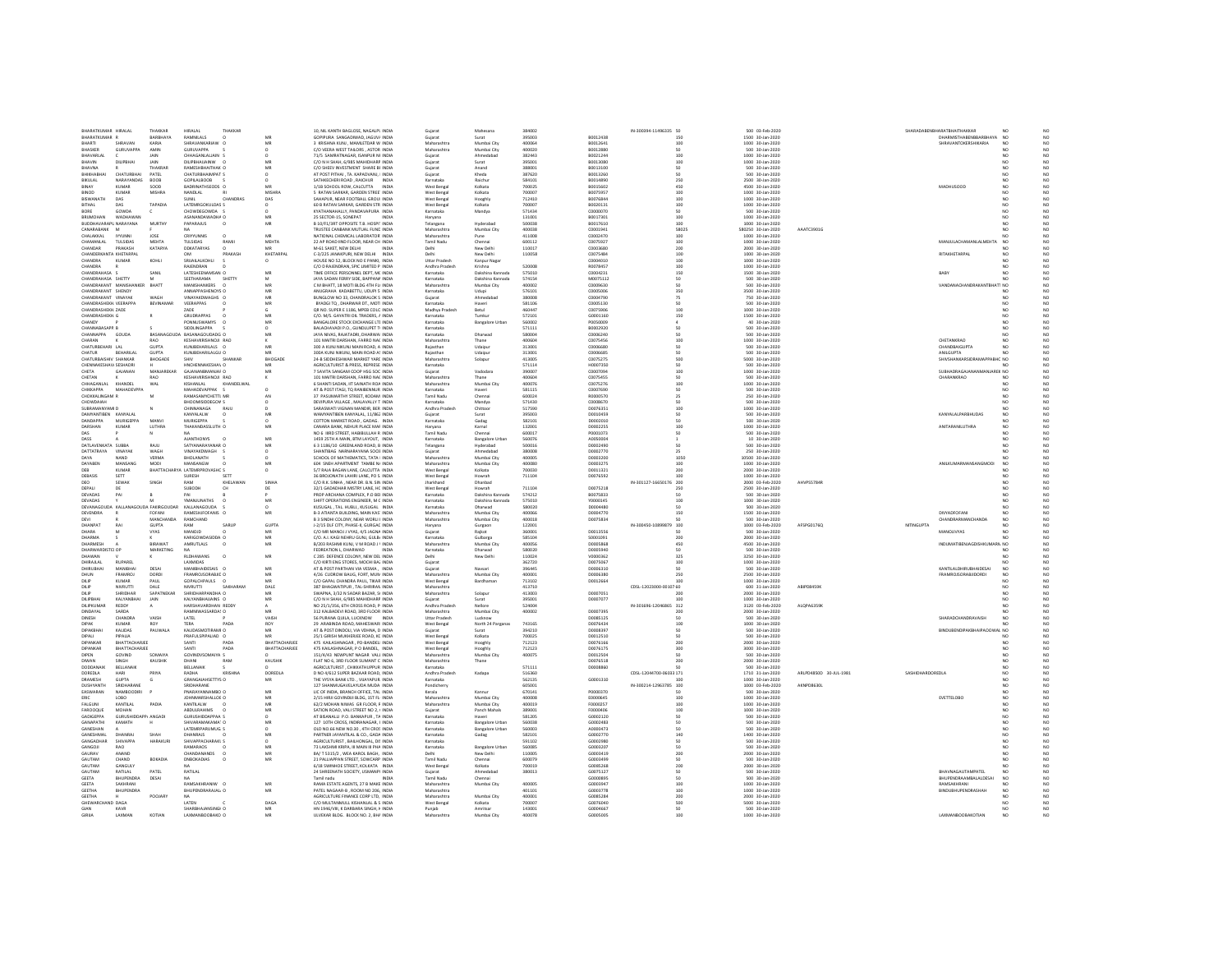|                                              | BHARATKUMAR HIRALAL                  | THAKKAR                     | <b>HIRALAL</b>                          | THAKKAR          |                | 10. NIL KANTH BAGLOSE, NAGALPL INDIA                                              | Guiarat                         | Mahesana                        | 384002           |                      | IN-300394-11496335 50   |                                           | 500 03-Feb-2020                      |                        |                  | SHARADABENBHARATBHAITHAKKAR                              | NO<br>N <sub>0</sub>                                                             |
|----------------------------------------------|--------------------------------------|-----------------------------|-----------------------------------------|------------------|----------------|-----------------------------------------------------------------------------------|---------------------------------|---------------------------------|------------------|----------------------|-------------------------|-------------------------------------------|--------------------------------------|------------------------|------------------|----------------------------------------------------------|----------------------------------------------------------------------------------|
| BHARATKUMAR<br><b>BHARTI</b>                 | SHRAVAN                              | BARBHAYA<br>KARIA           | RAMNILALS<br>SHRAVANKARIAW O            |                  | MF<br>MR       | GOPIPURA SANGADIWAD, JAGUV/ INDIA<br>3. KRISHNA KUNI MAMI FTDAR W. INDIA          | Gujarat<br>Maharashtra          | Surat<br>Mumhai City            | 395003<br>400064 | B0012438<br>80012641 |                         | 150<br>100 <sub>0</sub>                   | 1500 30-Jan-2020<br>1000 30-Jan-2020 |                        |                  | DHARMISTHABENBBARBHAYA NO<br><b>SHRAVANTOKERSHIKARIA</b> | N <sub>0</sub><br>NO <sub>1</sub>                                                |
| BHASKER                                      | <b>GURUVAPPA</b>                     | AMIN                        | <b>GURUVAPPA</b>                        |                  |                | C/O VEERA WEST TAILORS, ASTOR INDIA                                               | Maharashtra                     | Mumbai City                     | 400020           | B0012880             |                         | 50                                        | 500 30-Jan-2020                      |                        |                  |                                                          | $_{\rm NO}^{\rm NO}$                                                             |
| BHAVARLA                                     |                                      |                             | CHHAGANLALJAIN                          |                  |                | 71/5 SAMRATNAGAR, ISANPUR NI INDIA                                                | Gujarat                         | Ahmedabar                       | 382443           | 80021244             |                         | 100                                       | 1000 30-Jan-2020                     |                        |                  |                                                          | NO<br>NO<br>NO<br>NO                                                             |
| BHAVIN                                       | <b>DILIPBHAI</b>                     | JAIN                        | DILIPBHAUAINW O                         |                  | MF             | C/O N H SHAH, 6/985 MAHIDHARP INDIA                                               | Guiarat                         | Surat                           | 395001           | 80013080             |                         | 100                                       | 1000 30-Jan-2020                     |                        |                  |                                                          | NO <sub></sub>                                                                   |
| BHAVNA<br>HIKHARHA                           | CHATURRHAL                           | THAKRAR                     | RAMESHBHAITHAK O<br>CHATURBHAIMPAT S    |                  | MF             | C/O SHEEV INVESTMENT SHARE BI INDIA                                               | Gujarat                         | Anand                           | 388001<br>387620 | B0013100<br>B0013260 |                         | 50                                        | 500 30-Jan-2020                      |                        |                  |                                                          | NO.<br>NO                                                                        |
| BIKLIL AL                                    | NARAYANDAS                           | PATEL<br>BOOR               | GOPS ALBOOR                             |                  | $\Omega$       | AT POST PITHAI , TA. KAPADVANJ, I INDIA<br>SATHKECHERLROAD RAICHLIR INDIA         | Gujarat<br>Karnataka            | Kheda<br>Raichu                 | 584101           | 80014890             |                         | 250                                       | 500 30-Jan-2020<br>2500 30-lan-2020  |                        |                  |                                                          | NO                                                                               |
| BINAY                                        | KUMAR                                | SOOD                        | BADRINATHSEODS O                        |                  | MR             | 1/1B SCHOOL ROW, CALCUTTA<br>INDIA                                                | West Benga                      | Kolkata                         | 700025           | B0015602             |                         | 450                                       | 4500 30-Jan-2020                     |                        |                  | MADHUSOOD                                                | NO<br>NO<br>NO                                                                   |
| BINOD                                        | KUMAR                                | MISHRA                      | NANDLAL                                 |                  | <b>MISHRA</b>  | 5 RATAN SARKAR, GARDEN STREE' INDIA                                               | West Benga                      | Kolkata                         | 700007           | B0075957             |                         | 100                                       | 1000 30-Jan-2020                     |                        |                  |                                                          | NO<br>NQ                                                                         |
| RISWANATH                                    | nas                                  |                             | <b>HMIL2</b>                            | CHANDRAS         | nas            | SAHAPUR, NEAR FOOTBALL GROUI INDIA                                                | West Benga                      | Hooghly                         | 712410           | B0076844             |                         | 100 <sub>0</sub>                          | 1000 30-lan-2020                     |                        |                  |                                                          | $_{\rm NO}^{\rm NO}$<br>NO                                                       |
| <b>BITHAL</b>                                | DAS                                  | TAPADIA                     | LATEMRGOKULDAS S                        |                  |                | 60 B RATAN SARKAR, GARDEN STR INDIA                                               | West Benga                      | Kolkata                         | 700007           | B0020131             |                         | 100                                       | 1000 30-Jan-2020                     |                        |                  |                                                          | NO <sub></sub>                                                                   |
| BORE<br><b>BRUMOHAN</b>                      | GOWDA<br>WADHAWAN                    | c                           | CHOWDEGOWDA<br>ASANANDAWADHA O          |                  | MR             | KYATHANAHALLY, PANDAVAPURA INDIA<br>25 SECTOR-15, SONEPAT<br><b>INDIA</b>         | Karnataka<br>Haryana            | Mandya                          | 571434<br>131001 | C000007<br>B0017301  |                         | 100                                       | 500 30-Jan-2020<br>1000 30-Jan-2020  |                        |                  |                                                          | NO<br>NO<br>NO.                                                                  |
| BUDDHAVARAPL NARAYANA                        |                                      | <b>MURTHY</b>               | PAPARAJUS                               | $\Omega$         | MR             | B 10/F1/3RT OPPOSITE T.B. HOSPIT INDIA                                            | Telangana                       | Hyderabad                       | 500038           | 80017610             |                         | 100                                       | 1000 30-Jan-2020                     |                        |                  |                                                          | NQ<br>NO.                                                                        |
| CANARABANK                                   | $\overline{\phantom{a}}$             |                             |                                         |                  |                | TRUSTEE CANBANK MUTUAL FUND INDIA                                                 | Maharashtra                     | Mumbai Cit                      | 400038           | CD001941             |                         | 58025                                     | 580250 30-Jan-2020                   | AAATC39016             |                  |                                                          | NQ<br>san.                                                                       |
| CHALAKKAL                                    | <b>TYYLINNE</b>                      | IOSE                        | CRIVEINNIS                              | $\Omega$         | MR             | NATIONAL CHEMICAL LABORATOR INDIA                                                 | Maharashtra                     | Pune                            | 411008           | 00002470             |                         | 100 <sub>0</sub>                          | 1000 30-lan-2020                     |                        |                  |                                                          | $_{\rm NO}$<br>NO                                                                |
| CHAMANLAL                                    | TULSIDAS                             | <b>MEHTA</b>                | TULSIDAS                                | RAMI             | <b>MEHTA</b>   | 22 AP ROAD IIND FLOOR. NEAR CH_INDIA                                              | Tamil Nadu                      | Chennai                         | 600112           | CD075927             |                         | 100                                       | 1000 30-Jan-2020                     |                        |                  | MANJULACHAMANLALMEHTA NO                                 | $_{\rm NO}^{\rm NO}$                                                             |
| CHANDAR                                      | PRAKASH                              | <b>KATARYA</b>              | DDKATARYAS                              |                  |                | M-61 SAKET, NEW DELHI                                                             |                                 | New Delh                        | 110017           | C000368              |                         | 200                                       | 2000 30-Jan-2020                     |                        |                  |                                                          |                                                                                  |
| CHANDERKANTA KHETARPAL                       |                                      |                             | nas<br>SRIJAILALKOHLI                   | PRAKASH          | KHETARPAL      | C-3/225 JANAKPURI, NEW DELHI INDIA                                                | Delhi                           | New Delhi                       | 110058           | 00075484             |                         | $\begin{array}{c} 100 \\ 100 \end{array}$ | 1000 30-Jan-2020                     |                        |                  | <b><i>RITAKHFTARPAL</i></b>                              | $_{\rm NO}^{\rm NO}$<br>NO                                                       |
| CHANDRA<br>CHANDRA                           | KUMAR                                | KOHLI                       | RAJENDRAN                               |                  | $\circ$        | HOUSE NO 52, BLOCK NO E PANKI, INDIA<br>C/O D RAJENDRAN, SPIC LIMITED P. INDIA    | Uttar Pradesh<br>Andhra Pradesh | Kanpur Nagar<br>Krishna         | 52000            | C0004010<br>R007845  |                         | 100                                       | 1000 30-Jan-2020<br>1000 30-Jan-2020 |                        |                  |                                                          | NO.<br>NO                                                                        |
| CHANDRAHASA S                                |                                      | <b>SANIL</b>                | LATESHEENAMSAN O                        |                  | MR             | TIME OFFICE PERSONNEL DEPT. MC INDIA                                              | Karnataka                       | Dakshina Kannada                | 575010           | CD004231             |                         | 150                                       | 1500 30-Jan-2020                     |                        |                  | BABY                                                     | NO<br>NO<br>NO<br>NO                                                             |
| CHANDRAHASA SHETTY                           |                                      | M.                          | SEETHARAMA                              | SHETTY           | M              | JAYA SADAN FERRY SIDE, BAPPANA INDIA                                              | Karnataka                       | Dakshina Kannada                | 574154           | M0075112             |                         | 50                                        | 500 30-Jan-2020                      |                        |                  |                                                          | NO <sub>1</sub>                                                                  |
|                                              | CHANDRAKANT MANISHANKER              | BHATT                       | MANISHANKERS                            |                  | MF             | C M BHATT. 18 MOTI BLDG 4TH FLI INDIA                                             | Maharashtra                     | Mumbai City                     | 400002           | CD009630             |                         |                                           | 500 30-Jan-2020                      |                        |                  | VANDANACHANDRAKANTBHAT1 NO                               | NO<br>NO<br>NO<br>NO                                                             |
| CHANDRAKANT SHENOY                           |                                      |                             | ANNAPPASHENOVS O                        |                  | MR             | ANUGRAHA KADABETTU, UDUPI 5 INDIA                                                 | Karnataka                       | Udupi                           | 576101           | coopsons             |                         | 350                                       | 3500 30-lan-2020                     |                        |                  |                                                          | NO                                                                               |
| CHANDRAKANT VINAYAK<br>CHANDRASHEKH VEERAPPA |                                      | WAGH<br>BEVINAMAR           | VINAYAKDWAGHS O<br>VEERAPPAS            |                  | MR<br>MF       | BUNGLOW NO 33, CHANDRALOK S INDIA<br>BYADGI TO, DHARWAR DT., MOTI INDIA           | Guiarat<br>.<br>Karnataka       | Ahmedabad<br>Haveri             | 380008<br>58110  | C0004790<br>C000513  |                         | 75                                        | 750 30-Jan-2020<br>500 30-Jan-2020   |                        |                  |                                                          | NO                                                                               |
| CHANDRASHEKH ZADE                            |                                      |                             | <b>ZADE</b>                             |                  | $\mathfrak{g}$ | OR NO. SUPER E 1186, MPEB COLO INDIA                                              | Madhya Pradesh                  | Betul                           | 460447           | 00075906             |                         | 100                                       | 1000 30-Jan-2020                     |                        |                  |                                                          | NO                                                                               |
| CHANDRASHEKH G                               |                                      |                             | GRUDRAPPAS                              |                  | MF             | C/O. M/S. GAYATRI OIL TRADERS, A INDIA                                            | Karnataka                       | Tumkur                          | 572101           | G0001160             |                         | 150                                       | 1500 30-Jan-2020                     |                        |                  |                                                          | $_{\rm NO}^{\rm NO}$<br>NO.                                                      |
| CHANDY                                       |                                      |                             | PONNUSWAMYS                             |                  |                | BANGALORE STOCK EXCHANGE LTL INDIA                                                | Karnataka                       | <b>Bangalore Urban</b>          | 560002           | P005000              |                         |                                           | 40 30-Jan-2020                       |                        |                  |                                                          | NO<br>NO<br>NO                                                                   |
| CHANNARASAPP R                               |                                      |                             | SIDDI INGAPPA                           |                  | $\Omega$       | BALACHAVADLE O GUNDLIPET TLINDIA                                                  | Karnataka                       |                                 | 571111           | B0002920             |                         |                                           | 500 30-lan-2020                      |                        |                  |                                                          | NO                                                                               |
| CHANNAPPA GOUDA                              |                                      | BASANAGO                    | DA BASANAGOUDADG O                      |                  | MR             | JAYA NIVAS, RAJATADRI, DHARWAI INDIA                                              | Karnataka                       | Dharwad                         | 580004           | C0006240             |                         | 50                                        | 500 30-Jan-2020                      |                        |                  |                                                          | NO.                                                                              |
| CHARAN<br>CHATURBEHARI LAL                   |                                      | RAO<br><b>GLIPTA</b>        | KESHAVKRISHNOJI RAO<br>KUNIREHARILAIS O |                  | MR             | 101 MAITRI DARSHAN, FARRO NAC INDIA<br>300 A KUNJ NIKUNJ MAJN ROAD, A INDIA       | Maharashtra<br>Ralasthan        | Thane<br>Udalou                 | 400604<br>313001 | C0075456<br>CDODGG8D |                         | 100<br>sn                                 | 1000 30-Jan-2020<br>500 30-Jan-2020  |                        |                  | CHETANKRAO<br>CHANDBAIGUPTA                              | NO<br>NO<br>NO                                                                   |
| <b>CHATUR</b>                                | BEHARILAL                            | <b>GUPTA</b>                | KUNJBEHARILALGU O                       |                  | MR             | 300A KUNJ NIKUNJ, MAIN ROAD AS INDIA                                              | Ralasthan                       | Udalpur                         | 313001           | CD006685             |                         | 50                                        | 500 30-Jan-2020                      |                        |                  | <b>ANILGUPTA</b>                                         | $_{\rm NO}$<br>NO                                                                |
| CHATURBAISHIV SHANKAR                        |                                      | BHOGADE                     | SHIV                                    | SHANKAR          | BHOGAD         | 24-B SIDDHESHWAR MARKET YARE INDIA                                                | .<br>Maharashtr                 | Solapu                          | 413005           | C007527              |                         | 500                                       | 5000 30-Jan-2020                     |                        |                  | HIVSHANKARSIDRAMAPPABHC NO                               | $_{\rm NO}^{\rm NO}$                                                             |
| CHENNAKESHAV, SESHADR                        |                                      |                             | HNCHENNAKESHAV O                        |                  | MR             | AGRICULTURIST & PRESS, REPRESE INDIA                                              | Karnataka                       |                                 | 571114           | H0007350             |                         | 50                                        | 500 30-Jan-2020                      |                        |                  |                                                          | NO<br>NO<br>NO                                                                   |
| CHETA                                        | GAJANAN                              | MANJAREKAR                  | GAJANANBMANJAF O                        |                  | MR             | 7 SAVITA SANGAM COOP HSG SOC INDIA                                                | Guiarat                         | Vadodara                        | 390007           | C0007094             |                         | 100                                       | 1000 30-Jan-2020                     |                        |                  | SUBHADRAGAJANANMANJAREK NO                               |                                                                                  |
| CHETAN                                       |                                      | RAO                         | KESHAVKRISHNOJI RAO                     |                  |                | 101 MAITRI DARSHAN, FARRO NAC INDIA                                               | Maharashtra                     | Thane                           | 40060            | CD075455             |                         | 50                                        | 500 30-Jan-2020                      |                        |                  | CHARANKRAD                                               | $\begin{array}{c} 10 \\ \hline 10 \\ 0 \\ 0 \\ 0 \end{array}$<br>NO <sub>1</sub> |
| CHHAGANIAL                                   | KHANDEL                              | WAL                         | KISHANI AI                              | KHANDELWAL       |                | 6 SHANTI SADAN JIT SAINATH ROA INDIA                                              | Maharashtra                     | Mumhai Cit                      | 400076           | 00075276             |                         | 100<br>sn                                 | 1000 30-lan-2020                     |                        |                  |                                                          | NO <sub>1</sub>                                                                  |
| CHIKKAPPA<br>CHOKKALINGAM F                  | MAHADEVPPA                           | M                           | MAHADEVAPPAK S<br>RAMASAMYCHETTI MR     |                  |                | AT & POST ITAGI, TO RANIBENNUR INDIA<br>37 PASUMARTHY STREET. KODAM INDIA         | Karnataka<br>Tamil Nadu         | Haveri<br>Chennai               | 581115<br>600024 | C0007690<br>R0000570 |                         | 25                                        | 500 30-Jan-2020<br>250 30-Jan-2020   |                        |                  |                                                          | NO <sub>1</sub><br>NO                                                            |
| CHOWDAIAH                                    |                                      |                             | BHOOMISIDDEGOV S                        |                  |                | DEVIPURA VILLAGE . MALAVALLY T INDIA                                              | Karnataka                       | Mandya                          | 571430           | coops670             |                         |                                           | 500 30-Jan-2020                      |                        |                  |                                                          | $\begin{array}{c} 10 \\ \hline 10 \\ 0 \\ 0 \\ 0 \end{array}$<br>NO              |
| SUBRAMANYAM D                                |                                      |                             | CHINNANAGA                              | RAJU             |                | SARASWATI VIGNAN MANDIR, BER INDIA                                                | Andhra Pradesh                  | Chittoon                        | 517590           | D0076351             |                         | 100                                       | 1000 30-Jan-2020                     |                        |                  |                                                          | NO <sub>1</sub>                                                                  |
| DAMYANTIBEN KANYALA                          |                                      |                             | KANYALALW                               |                  |                | WAMYANTIBEN KANYALAL, 11/862 INDIA                                                | Gujarat                         | Surat                           | 395003           | D0010459             |                         |                                           | 500 30-Jan-2020                      |                        |                  | KANYALALPARBHUDAS                                        | NQ<br>NO                                                                         |
| <b>DANDAPPA</b>                              | <b>MURIGEPPA</b>                     | MANV                        | MURIGEPPA                               |                  | $\circ$        | COTTON MARKET ROAD . GADAG. INDIA                                                 | Karnataka                       | Gadag                           | 582101           | 00002010             |                         |                                           | 500 30-Jan-2020                      |                        |                  |                                                          | $_{\rm NO}^{\rm NO}$<br>NO                                                       |
| DARSHAN                                      | <b>KUMAR</b>                         | LUTHRA                      | THAKANDASSLUTH O                        |                  | MR             | CANARA BANK, NEHUR PLACE MAF INDIA<br>NO 6 IIRD STREET, HABIBULLAH R INDIA        | Harvana                         | Karnal                          | 132001           | D0002255             |                         | 100                                       | 1000 30-Jan-2020<br>500 30-Jan-2020  |                        |                  | ANITARANILUTHRA                                          | NO                                                                               |
| DAS<br>DASS                                  |                                      |                             | <b>AJANTHONYS</b>                       |                  | MF             | 1459 25TH A MAIN. BTM LAYOUT. INDIA                                               | Tamil Nadu<br>Karnataka         | Chennai<br><b>Bangalore Url</b> | 600017<br>560076 | P0001073<br>A0050004 |                         | 50                                        | 10 30-Jan-2020                       |                        |                  |                                                          | NQ                                                                               |
| DATLAVENKATA SUBBA                           |                                      | <b>RAJU</b>                 | SATYANARAYANAR O                        |                  | MF             | 6 3 1186/10 GREENLAND ROAD. B INDIA                                               | Telangana                       | Hyderabad                       | 500016           | D0002490             |                         | 50                                        | 500 30-Jan-2020                      |                        |                  |                                                          | $_{\rm NO}^{\rm NO}$<br>NO                                                       |
| DATTATRAYA                                   | VINAYAK                              | WAGH                        | VINAYAKDWAGH S                          |                  | $\circ$        | SHANTIBAG NARNARAYANA SOCIE INDIA                                                 | Gujarat                         | Ahmedabac                       | 380008           | D0002770             |                         | 25                                        | 250 30-Jan-2020                      |                        |                  |                                                          | $_{\rm NO}$<br>N <sub>O</sub>                                                    |
| nava                                         | NAND.                                | VERMA                       | <b>RHOLANATH</b>                        |                  | $\circ$        | SCHOOL OF MATHEMATICS, TATA I INDIA                                               | Maharashtra                     | Mumbai City                     | 400005           | DO003200             |                         | 1050                                      | 10500 30-Jan-2020                    |                        |                  |                                                          | $_{\rm NO}$<br>NO                                                                |
| DAYABEN                                      | MANSANG                              | MODI                        | MANSANGW                                | $\Omega$         | MR             | 604 SNEH APARTMENT TAMBE N/ INDIA                                                 | Maharashtra                     | Mumbai City                     | 400080           | D0003275             |                         | 100                                       | 1000 30-Jan-2020                     |                        |                  | ANILKUMARMANSANGMODI                                     | $_{\rm NO}^{\rm NO}$<br><b>NO</b>                                                |
| DEB                                          | KUMAF                                | <b>BHATTACH</b>             | A LATEMRPROVASHC S                      |                  | $\circ$        | 5/7 RAJA BAGAN LANE, CALCUTTA INDIA                                               | West Benga                      | Kolkata                         | 700030           | D0011321             |                         | 200                                       | 2000 30-Jan-2020                     |                        |                  |                                                          |                                                                                  |
| DEBASIS<br>n <sub>FO</sub>                   | SETT<br>SEWAK                        | SINGH                       | SURESH<br>RAM                           | SETT<br>KHELAWAN | SINHA          | 36 BROJONATH LAHIRI LANE, PO S. INDIA<br>C/O R.K. SINHA . NEAR DR. B.N. SIN INDIA | West Benga<br>Jharkhand         | Howrah<br>Dhanbad               | 711104           | D0076592             | IN-301127-16650176 200  | $100 -$                                   | 1000 30-Jan-2020<br>2000 03-Feb-2020 | AHVPS5784R             |                  |                                                          | $_{\rm NO}^{\rm NO}$<br>NO <sub>1</sub>                                          |
| DEPALI                                       | DE                                   |                             | SUBODH                                  |                  | DE             | 32/1 GADADHAR MISTRY LANE. HC INDIA                                               | West Benga                      | Howrah                          | 711104           | D0075218             |                         | 250                                       | 2500 30-Jan-2020                     |                        |                  |                                                          | $_{\rm NO}$<br>NO                                                                |
| DEVADAS                                      | PAI                                  |                             |                                         |                  |                | PROP ARCHANA COMPLEX. P.O BEI INDIA                                               | Karnataka                       | Dakshina Kannad                 | 574212           | B0075833             |                         |                                           | 500 30-Jan-2020                      |                        |                  |                                                          |                                                                                  |
| DEVADAS                                      |                                      |                             | YMANJUNATHS                             |                  | MR             | SHIFT OPERATIONS ENGINEER. M C INDIA                                              | Karnataka                       | Dakshina Kannada                | 575010           | Y0000145             |                         | 100                                       | 1000 30-Jan-2020                     |                        |                  |                                                          | NO <sub>1</sub>                                                                  |
| DEVANAGOUDA KALLAM                           |                                      | <b>JDA FAKIRGOUDAR</b>      | KALLANAGOUDA                            |                  | $\circ$        | KUSUGAL, TAL. HUBLI., KUSUGAL INDIA                                               | Karnataka                       | Dharwad                         | 580020           | D0004480             |                         | 50                                        | 500 30-Jan-2020                      |                        |                  |                                                          | 20<br>20<br>20<br>20<br>20<br>NO <sub>1</sub>                                    |
| <b>DEVENDRA</b>                              |                                      | FOFANI                      | RAMESHJFOFANIS C                        |                  | MR             | <b>B-3 ATIANTA BUILDING, MAIN KAS' INDIA</b>                                      | Maharashtr.                     | Mumbai Cit                      | 400066           | D0004770             |                         | 150                                       | 1500 30-Jan-2020                     |                        |                  | <b>DIVYADEOFANI</b>                                      |                                                                                  |
| <b>DEVI</b><br>DHANPAT                       |                                      | MANCHANDA                   | RAMCHAND                                |                  | <b>GUPTA</b>   | B 3 SINDHI COLONY, NEAR WORLLI INDIA<br>J-2/15 DLF CITY, PHASE-II, GURGAC INDIA   | Maharashtra                     | Mumbai City                     | 400018           | D0075834             | IN-300450-10899879 100  |                                           | 500 30-Jan-2020<br>1000 03-Feb-2020  |                        | <b>NITINGUPT</b> | CHANDRARMANCHANDA                                        | NO <sub></sub>                                                                   |
| DHARA                                        |                                      | <b>GUPTA</b>                | RAM                                     | SARUR            |                |                                                                                   | Haryana                         |                                 | 122001           |                      |                         |                                           |                                      | AFSPG0176Q             |                  |                                                          |                                                                                  |
| DHARMA                                       |                                      |                             |                                         |                  |                |                                                                                   |                                 | Gurgaon                         |                  |                      |                         |                                           |                                      |                        |                  |                                                          |                                                                                  |
|                                              |                                      | VYAS                        | MANOID                                  |                  | MR             | C/O MR MANOJ J VYAS, 4/5 JAGNA INDIA                                              | Gujarat                         | Rajkot                          | 360001           | D0013556             |                         |                                           | 500 30-Jan-2020                      |                        |                  | MANOJJVYAS                                               | NO                                                                               |
|                                              |                                      |                             | KARIGOWDASIDDAI O                       |                  | MR             | C/O. A.J. KAGI NEHRU GUNJ. GULB/ INDIA                                            | Karnataka                       | Gulbarea                        | 585104           | S0001091             |                         | 200                                       | 2000 30-Jan-2020                     |                        |                  |                                                          | $_{\rm NO}^{\rm NO}$<br>NO <sub>1</sub>                                          |
| DHARMESH<br>DHARWARDIS                       | ro or                                | <b>BIRAWAT</b><br>MARKETING | AMRUTLALS                               | $\circ$          | MR             | B/203 RASHMI KUNJ, V M ROAD J \ INDIA<br>FEDREATION L, DHARWAD                    | Maharashtra<br>Karnataka        | Mumbai City<br>Dharwad          | 400056<br>58002  | D0005868<br>D0005940 |                         | 450                                       | 4500 30-Jan-2020<br>500 30-Jan-2020  |                        |                  | INDUMATIBENJAGDISHKUMARN NO                              | $_{\rm NO}$<br>NO <sub>1</sub>                                                   |
| DHAWAN                                       |                                      |                             | <b>RLDHAWANS</b>                        | $\circ$          | MR             | C 285 DEFENCE COLONY, NEW DEL INDIA                                               | Delhi                           | New Delhi                       | 110024           | V0000362             |                         | 325                                       | 3250 30-Jan-2020                     |                        |                  |                                                          | $_{\rm NO}^{\rm NO}$<br>NO                                                       |
| DHIRAJLAL                                    | <b>RUPARE</b>                        |                             | LAXMIDAS                                |                  |                | C/O KIRTI ENG STORES, MOCHI BAJ INDIA                                             | Gujarat                         |                                 | 362720           | D0075067             |                         | 100                                       | 1000 30-Jan-2020                     |                        |                  |                                                          |                                                                                  |
| DHIRUBHAI                                    | <b>MANIRHA</b>                       | DESAI                       | MANIBHAIDESAIS O                        |                  | MR             | AT & POST PARTHAN VIA VESMA, INDIA                                                | Gujarat                         | Navsari                         | 396445           | D0006310             |                         | 50                                        | 500 30-Jan-2020                      |                        |                  | KANTILALDHIRUBHAIDESAI                                   | NO<br>NO<br>N <sub>O</sub>                                                       |
| DHUN                                         | <b>FRAMROL</b>                       | nosni                       | FRAMROISORARIIC O                       |                  | MR             | 4/26 CUDROW RAUG FORT MUM INDIA                                                   | Maharashtra                     | Mumhai City                     | 400001           | nonnesso             |                         | 250                                       | 2500 30-Jan-2020                     |                        |                  | <b>FRAMROISORARIIDORDI</b>                               | NO                                                                               |
| DILIP                                        | <b>KUMAR</b>                         | PAUL                        | GOPALCHPAULS 0                          | SAKHARAN         | MR             | C/O GAPAL CHANDRA PAUL. TIKAR INDIA                                               | West Bengal                     | Bardhaman                       | 713102           | D0012664             |                         | 100                                       | 1000 30-Jan-2020                     | ABIPD84598             |                  |                                                          | NO<br>NO                                                                         |
| DILIP<br><b>DILIP</b>                        | NIVRUTT<br>SHRIDHAR                  | DALE<br>SAPATNEKAR          | NIVRUTTI<br>SHRIDHARPANDHA O            |                  | DALE<br>MR     | 387 BHAGWATIPUR, TAL-SHRIRAN INDIA<br>SWAPNA 3/32 N SADAR RAZAR SLINDIA           | Maharashtr.<br>Maharashtra      | Solapur                         | 413710<br>413003 | 00007051             | CDSL-12023000-0010; 60  | 200                                       | 600 31-Jan-2020<br>2000 30-Jan-2020  |                        |                  |                                                          | NO<br>NO                                                                         |
| DILIPBHAI                                    | KALYANBHAI                           | JAIN                        | KALYANBHAUAINS O                        |                  | MR             | C/O N H SHAH, 6/985 MAHIDHARP INDIA                                               | Gujarat                         | Surat                           | 395001           | D0007077             |                         | 100                                       | 1000 30-Jan-2020                     |                        |                  |                                                          | $_{\rm NO}^{\rm NO}$<br>NO.                                                      |
| DILIPKUMAR                                   | <b>REDDY</b>                         |                             | HARSHAVARDHAN REDD'                     |                  |                | NO 25/1/356. 6TH CROSS ROAD. P INDIA                                              | Andhra Pradesh                  | Nellon                          | 52400            |                      | N-301696-12046865 312   |                                           | 3120 03-Feb-2020                     | ALQPA6359              |                  |                                                          |                                                                                  |
| DINDAYAL                                     | SARDA                                |                             | RAMNIWASSARDAS O                        |                  | MR             | 312 KALBADEVI ROAD, 3RD FLOOR INDIA                                               | Maharashtra                     | Mumbai City                     | 400002           | D0007395             |                         | 200                                       | 2000 30-Jan-2020                     |                        |                  |                                                          |                                                                                  |
| <b>DINESH</b><br>DIPAK                       | CHANDRA<br>KUMAR                     | VAISH                       | LATEL<br><b>TERA</b>                    | PADA             | VAISH          | 56 PURANA QUILA, LUCKNOW INDIA                                                    | Uttar Pradesh                   | Lucknow                         |                  | D0085125<br>D0076434 |                         | 50<br>100                                 | 500 30-Jan-2020                      |                        |                  | SHARADCHANDRAVAISH                                       | NO <sub>1</sub>                                                                  |
| <b>DIPAKRHAL</b>                             | KALIDAS                              | PAUWALA                     | KALDASMOTIRAMED.                        |                  | ROY<br>MR      | 29 ARABINDA ROAD, MAHESWARI INDIA<br>AT & POST DINDOLL VIA VOHNA D. INDIA         | West Benga<br>Gularat           | North 24 Pargana:<br>Surat      | 743165<br>394210 | 00008397             |                         | sn                                        | 1000 30-Jan-2020<br>500 30-lan-2020  |                        |                  | RINDURFNDIPAKRHAIPAOOWAL NO                              |                                                                                  |
| DIPALI                                       | PIPALIA                              |                             | PRAFULSPIPALIAD O                       |                  | MR             | 25/1 GIRISH MUKHERJEE ROAD, KC INDIA                                              | West Benga                      | Kolkata                         | 700025           | D0012510             |                         |                                           | 500 30-Jan-2020                      |                        |                  |                                                          | NO<br>NO<br>NO<br>NO<br>NO                                                       |
| DIPANKAR                                     | BHATTACHARJEE                        |                             | SANTI                                   | PADA             | BHATTACHARJEE  | 475 KAILASHNAGAR, PO-BANDELI INDIA                                                | West Benga                      | Hooghly                         | 712123           | D0076166             |                         | 200                                       | 2000 30-Jan-2020                     |                        |                  |                                                          | NO                                                                               |
| DIPANKAR                                     | RHATTACHARIFF                        |                             | SANTI                                   | PADA             | BHATTACHARJEE  | 475 KAILASHNAGAR P O RANDEL INDIA                                                 | West Bengal                     | Hooghly                         | 712123           | D0076175             |                         | 300                                       | 3000 30-Jan-2020                     |                        |                  |                                                          | NO <sub>1</sub>                                                                  |
| DIPEN                                        | GOVIND                               | SOMAIYA                     | GOVINDVSOMAIYA S                        |                  |                | 151/4/43 NEWPUNT NAGAR VALL INDIA                                                 | Maharashtra                     | Mumbai City                     | 400075           | D0012504             |                         |                                           | 500 30-Jan-2020                      |                        |                  |                                                          | NO<br>NO<br>NO.                                                                  |
| DIWAN                                        |                                      | KAUSHIN                     |                                         | RAM<br>$\leq$    | KAUSHII        | FLAT NO 6. 3RD FLOOR SUMANT C INDIA                                               | Maharashtra                     | Thane                           |                  | D0076518             |                         |                                           | 2000 30-Jan-2020                     |                        |                  |                                                          |                                                                                  |
| DODDANAIK<br>DOREDLA                         | BELLANAIK<br>HARL                    | PRIYA                       | BELLANAIK<br>RADHA                      | KRISHNA          | DOREDLA        | AGRICULTURIST . CHIKKATHUPPUR INDIA<br>D NO 4/612 SUPER BAZAAR ROAD. INDIA        | Karnataka<br>Andhra Pradesh     | Kadapa                          | 571111<br>516360 | D0008860             | CDSL-12044700-0603: 171 |                                           | 500 30-Jan-2020<br>1710 31-Jan-2020  | ARLPD4850D 30-JUL-1981 | SASHIDHARDOREDLA |                                                          | $_{\rm NO}^{\rm NO}$<br>NO<br>NO.                                                |
| DRAMESH                                      | GUPTA                                |                             | GRANGAIAHSETTYS O                       |                  | MF             | THE VYSYA BANK LTD., VIJAYAPUR INDIA                                              | Karnataka                       |                                 | 562135           | G0001310             |                         |                                           | 1000 30-Jan-2020                     |                        |                  |                                                          | NO <sub>1</sub>                                                                  |
| DUSHYANTH                                    | SRIDHARANE                           |                             | SRIDHARANE                              |                  |                | 127 SHANMUGAVELAYUDA MUDALINDA                                                    | Pondicherry                     |                                 | 605001           |                      | IN-300214-12963785 100  |                                           | 1000 03-Feb-2020                     | AKNPDR630L             |                  |                                                          | $\begin{array}{c} 10 \\ \text{NO} \\ \text{NO} \end{array}$<br>NO                |
| EASWARAN                                     | NAMBOODIRI                           |                             | PNARAYANNAMBO O                         |                  | MF             | LIC OF INDIA, BRANCH OFFICE, TAL INDIA                                            | Kerala                          | Kannur                          | 670141           | P0000370             |                         |                                           | 500 30-Jan-2020                      |                        |                  |                                                          | $_{\rm NO}^{\rm NO}$<br>NO.                                                      |
| ERIC                                         | LOBO                                 |                             | OHNMARSHALLOE O                         |                  | MF             | 2/15 HIRJI GOVINDUI BLDG, 1ST FU INDIA                                            | Maharashtra                     | Mumbai City                     | 40000            | E0000645             |                         | 100                                       | 1000 30-Jan-2020                     |                        |                  | EVETTELOBO                                               | NO<br>NO                                                                         |
| <b>FALGUNI</b>                               | KANTILAI                             | PADIA                       | WIANTILAIW                              |                  | MF             | 62/2 MOHAN NIWAS GR FLOOR. B INDIA                                                | Maharashtra                     | Mumbai City                     | 400019           | <b>E0000257</b>      |                         | 100                                       | 1000 30-Jan-2020                     |                        |                  |                                                          | NO.                                                                              |
| FAROOQUE<br>GADIGEPPA                        | MOHAN<br><b>GURUSHIDDAPP/ ANGADI</b> |                             | ABDULRAHIMS<br>GURUSHIDDAPPAA S         |                  | MR<br>$\circ$  | SATION ROAD, VALI STREET NO 2, ( INDIA<br>AT BISANALLI P.O. BANKAPUR, TA INDIA    | Gujarat<br>Karnataka            | Panch Mahals<br>Haveri          | 389001<br>581205 | F0000406<br>G0002120 |                         | 100                                       | 1000 30-Jan-2020<br>500 30-Jan-2020  |                        |                  |                                                          | $_{\rm NO}^{\rm NO}$<br>NO <sub>1</sub>                                          |
| <b>GANAPATHI</b>                             | KAMATH                               |                             | SHIVARAMAKAMA1 O                        |                  | ME             | 127 10TH CROSS INDIRANAGAR LINDIA                                                 | Karnataka                       | <b>Bangalore Urban</b>          | 560038           | 60002483             |                         | <b>co</b>                                 | 500 30-Jan-2020                      |                        |                  |                                                          | NO                                                                               |
| GANESHAN                                     |                                      |                             | LATEMRPARUMUG S                         |                  | $\circ$        | OLD NO.66 NEW NO.30 . 4TH CROS INDIA                                              | Karnataka                       | Bangalore Urban                 | 560003           | A0000473             |                         | 50                                        | 500 30-Jan-2020                      |                        |                  |                                                          | NO.                                                                              |
| GANESHMA                                     | DHANRA                               | <b>SHAF</b>                 | HANRAJS                                 |                  | MF             | PARTNER JAYANTILAL & CO., GADA INDIA                                              | Karnatak                        |                                 | 58210            | G0002770             |                         | 140                                       | 1400 30-Jan-2020                     |                        |                  |                                                          | NC                                                                               |
| GANGADHAR                                    | SHIVAPPA                             | <b>HARAKLIRI</b>            | SHIVAPPACHARAKI S                       |                  | $\circ$        | AGRICULTURIST . BAILHONGAL, DIS INDIA                                             | Karnataka                       |                                 | 591102           | 60002980             |                         | sn                                        | 500 30-Jan-2020                      |                        |                  |                                                          | NO                                                                               |
| GANGOJI                                      | <b>RAO</b>                           |                             | RAMARAOS                                | $\Omega$         | MR             | 73 LAKSHMI KRIPA, III MAIN III PHA INDIA                                          | Karnataka                       | Bangalore Urban                 | 560085           | G0003207             |                         | 50                                        | 500 30-Jan-2020                      |                        |                  |                                                          | NO.                                                                              |
| <b>GAURAV</b><br><b>GALITAM</b>              | ANAND<br><b>CHAND</b>                | <b>BOKADIA</b>              | CHANDANANDS<br>DNBOKADIAS               | $\circ$          | MF<br>MR       | 8A/ T 5315/2, WEA KAROL BAGH, INDIA<br>21 PALLIAPPAN STREET, SOWCARP INDIA        | Tamil Nadu                      | New Delh<br>Chennai             | 11000<br>600079  | G0003419<br>GOODRARR |                         |                                           | 2000 30-Jan-2020<br>500 30-Jan-2020  |                        |                  |                                                          | NO                                                                               |
| GAUTAM                                       | GANGULY                              |                             |                                         |                  |                | 6/18 SWINHOE STREET, KOLKATA INDIA                                                | West Benga                      | Kolkata                         | 700019           | G0085268             |                         | 200                                       | 2000 30-Jan-2020                     |                        |                  |                                                          |                                                                                  |
| GAUTAM                                       | RATILAL                              | PATEL                       | RATILAL                                 |                  |                | 24 SHREENATH SOCIETY, USMANPL INDIA                                               | Guiarat                         | Ahmedabac                       | 380013           | G0075127             |                         |                                           | 500 30-Jan-2020                      |                        |                  | <b>SHAVNAGAUTAMPATE</b>                                  | $_{\rm NO}^{\rm NO}$                                                             |
| <b>GEETA</b>                                 | <b>RHI IPENDRA</b>                   | DESAL                       |                                         |                  |                | Tamil nadu<br><b>INDIA</b>                                                        | Tamil Nadu                      | Chennai                         |                  | GOODBRAS             |                         |                                           | 500 30-lan-2020                      |                        |                  | BHLIPENDRAAMRALALDESAL                                   | NO                                                                               |
| <b>GEETA</b>                                 | SAKHRANI                             |                             | RAMSAKHRANIW O                          |                  | MR             | RAMA ESTATE AGENTS, 27 B MAKE INDIA                                               | Maharashtra                     | Mumbai City                     | 400005           | G0003947             |                         | 100                                       | 1000 30-Jan-2020                     |                        |                  | RAMSAKHRANI                                              | NO                                                                               |
| <b>GEETHA</b><br><b>GEFTHA</b>               | <b>BHUPENDRA</b>                     | PODJARY                     | HUPENDRARAJALI C<br>NA                  |                  | MF             | PATEL NAGAAR-B, ROOM NO 206, INDIA<br>AGRICULTURE FINANCE CORP LTD INDIA          | Maharashtra                     | Mumbai City                     | 401101<br>400001 | G0003778<br>60085284 |                         | 200                                       | 1000 30-Jan-2020<br>2000 30-Jan-2020 |                        |                  | INDUBHUPENDRASHAP                                        | NO<br>NO<br>NO<br>NO<br>NO<br>NO                                                 |
| GHEWARCHAND DAGA                             |                                      |                             | LATEN                                   |                  | DAGA           | C/O MULTANMULL KISHANLAL & S INDIA                                                | West Bengal                     | Kolkata                         | 700007           | G0076040             |                         | 500                                       | 5000 30-Jan-2020                     |                        |                  |                                                          | NO<br>NO                                                                         |
| GIAN<br>GIRUA                                | KAVR<br>LAXMAN                       | KOTIAN                      | SHARBHAJANSINGHO<br>LAXMANBOOBAKO 0     |                  | MF             | HN 1946/VIII, K DARBARA SINGH, 8 INDIA<br>ULVEKAR BLDG. BLOCK NO. 2. BHA INDIA    | Punjab<br>Maharashtr.           | Amritsar<br>Mumbai Cit          | 14300<br>400078  | G000466              |                         |                                           | 500 30-Jan-2020<br>1000 30-Jan-2020  |                        |                  | LAXMANBOOBAKOTIAN                                        | $_{\rm NO}^{\rm NO}$                                                             |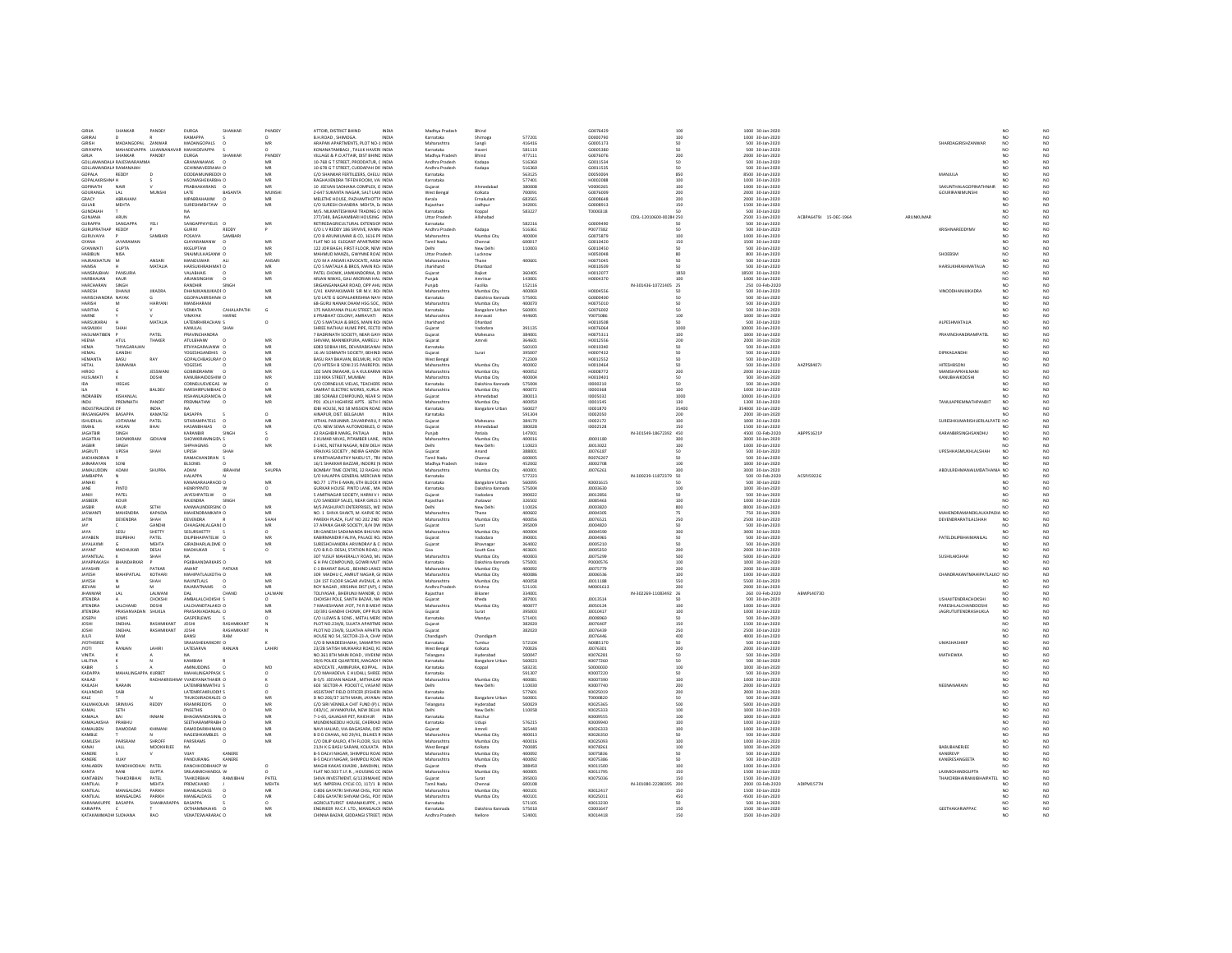| GIRD)                               | SHANKAR                     | PANDEY                | <b>DURGA</b>                                         | <b>SUANKAI</b>      | PANDEY        | ATTOIR, DISTRICT BHIND                                                           | INDIA        | Madhya Pradest                | Bhind                               |                  | 60076429              |                         | 100            | 1000 30-Jan-2020                      |                        |           |                                                    | NO                    | NC                                  |
|-------------------------------------|-----------------------------|-----------------------|------------------------------------------------------|---------------------|---------------|----------------------------------------------------------------------------------|--------------|-------------------------------|-------------------------------------|------------------|-----------------------|-------------------------|----------------|---------------------------------------|------------------------|-----------|----------------------------------------------------|-----------------------|-------------------------------------|
| GIRIRAJ                             |                             |                       | RAMAPPA                                              |                     |               | <b>B.H.ROAD, SHIMOGA</b>                                                         | <b>INDIA</b> | Karnataka                     | Shimoga                             | 577201           | D0000790              |                         | 100            | 1000 30-Jan-2020                      |                        |           |                                                    | NO                    | NO.                                 |
| GIRISH<br><b>GIRIYAPPA</b>          | MADANGOPAL ZANWAR           |                       | MADANGOPALS<br>ΜΑΗΔΠΕΥΔΡΡΑ ΙΙΙΙΑΝΝΑΝΑΥΑR ΜΑΗΔΠΕΥΔΡΡΑ |                     | MR            | ARAPAN APARTMENTS. PLOT NO-1 INDIA<br>KONANATAMRAGI TALLIK HAVERLINDIA           |              | Maharashtra<br>Karnataka      | Sangli<br>Haveri                    | 416416<br>581110 | G0005173<br>60005380  |                         | cn.            | 500 30-Jan-2020<br>500 30-Jan-2020    |                        |           | SHARDAGIRISHZANWAR                                 | NO<br>NO              | $_{\rm NO}$                         |
| GIRJA                               | SHANKAR                     | PANDEY                | DURGA                                                | SHANKAR             | PANDEY        | VILLAGE & P.O.ATTAIR, DIST BHIND INDIA                                           |              | Madhya Pradesh                | Bhind                               | 477111           | G0076076              |                         | 200            | 2000 30-Jan-2020                      |                        |           |                                                    | NO <sub>1</sub>       | NO                                  |
|                                     | GOLLAMANDALA RAJESWARAMM    |                       | GRAMANAIANS                                          |                     |               | 10-768 G T STREET, PRODDATUR, C INDIA                                            |              | Andhra Pradesh                | Kadapa                              | 516360           | G0011534              |                         |                | 500 30-Jan-2020                       |                        |           |                                                    |                       | NO<br>NO                            |
| GOLLAMANDALA RAMANAIAH              |                             |                       | GCHINNAVERAIAH O                                     |                     | MR            | 10-678 G T STREET, CUDDAPAH DIS INDIA                                            |              | Andhra Pradesh                | Kadapa                              | 516360           | 60011535              |                         | 50             | 500 30-Jan-2020                       |                        |           |                                                    | NO                    |                                     |
| GOPALA                              | REDDY                       |                       | DODDAMUNIREDDY C                                     |                     | MR            | C/O SHANKAR FERTILIZERS, CHELU INDIA                                             |              | Karnataka                     |                                     | 563125           | D0050004              |                         | 850            | 8500 30-Jan-2020                      |                        |           | MANJULA                                            | NO                    | $_{\rm NO}^{\rm NO}$                |
| <b>GOPALAKRISHNA H</b><br>CORINATU  | MAID                        |                       | HSOMASHEKARBH/ C<br>PRABHAKARANS                     |                     | 5.40          | RAGHAVENDRA TIFFEN ROOM, VAI INDIA<br>10 JEEVAN SADHANA COMPLEX, O INDIA         |              | Karnataka                     | Ahmedsha                            | 577401<br>380008 | H0002088<br>vonnnzes  |                         | 100<br>100     | 1000 30-Jan-2020                      |                        |           | SAKUNTHALAGOPINATHNAIR                             | NO<br>NO              | NO                                  |
| GOURANGA                            | LAL                         | MUNSH                 | LATE                                                 | BASANTA             | MUNSHI        | Z-647 SUKANTA NAGAR, SALT LAKI INDIA                                             |              | West Benga                    | Kolkata                             | 700091           | G0076009              |                         | 200            | 1000 30-Jan-2020<br>2000 30-Jan-2020  |                        |           | <b>GOURIRANIMUNSHI</b>                             | NO                    | NO<br>NO.                           |
| GRACY                               | ABRAHAM                     |                       | MPABRAHAMW                                           |                     | MB            | MELETHE HOUSE. PAZHAMTHOTTA INDIA                                                |              | Kerala                        | Ernakulan                           | 683565           | G0008648              |                         | 200            | 2000 30-Jan-2020                      |                        |           |                                                    |                       | $_{\rm NO}$                         |
| <b>GUIAR</b>                        | MEHTA                       |                       | SURFSHMEHTAW (                                       |                     | MR            | C/O SURFSH CHANDRA MEHTA DJ INDIA                                                |              | Rajasthan                     | Jodhpur                             | 342001           | 60008913              |                         | 150            | 1500 30-Jan-2020                      |                        |           |                                                    | NO                    | NO                                  |
| GUNDAIAH                            |                             |                       | NA                                                   |                     |               | M/S. NILKANTESHWAR TRADING O INDIA                                               |              | Karnataka                     | Koppal                              | 583227           | T0000318              |                         | 50             | 500 30-Jan-2020                       |                        |           |                                                    | NO <sub>1</sub>       | NO<br>NO                            |
| GUNJANA                             | ARUM                        |                       |                                                      |                     |               | 277/348, BAGHAMBARI HOUSING INDIA                                                |              | Uttar Prades                  | Allahabar                           |                  |                       | CDSL-12010600-00284 250 |                | 2500 31-Jan-2020                      | ACBPA6479J 15-DEC-1964 | ARUNKUMAI |                                                    | NO                    |                                     |
| <b>GURAPPA</b><br>GURUPRATHAP REDDY | SANGAPPA                    | YELL                  | SANGAPPAYYELIS O                                     | REDDY               | MR            | RETIREDAGRICULTURAL EXTENSION INDIA<br>C/O L V REDDY 186 SRIVIVE, KANNJ INDIA    |              | Karnataka                     |                                     | 582216           | GOOGLASD<br>P0077382  |                         | 50<br>50       | 500 30-Jan-2020                       |                        |           | KRISHNAREDDYMV                                     | NO<br>NO              | $_{\rm NO}^{\rm NO}$                |
| GURUVAIYA                           |                             | SAMBAR                | <b>GURIVI</b><br>POSAIYA                             | SAMBAR              |               | C/O B ARUNKUMAR & CO, 1616 PR INDIA                                              |              | Andhra Pradesh<br>Maharashtra | Kadapa<br>Mumbai City               | 516361<br>400004 | G0075879              |                         | 100            | 500 30-Jan-2020<br>1000 30-Jan-2020   |                        |           |                                                    | NO                    | $_{\rm NO}$                         |
| GYANA                               | <b>IAVARABAAN</b>           |                       | <b>GIAYARAMANW</b>                                   |                     | MR            | FLAT NO 16 ELEGANT APARTMENT INDIA                                               |              | Tamil Nadu                    | Chenna                              | 600017           | 60010420              |                         | 150            | 1500 30-Jan-2020                      |                        |           |                                                    |                       | NO                                  |
| <b>GYANWATI</b>                     | <b>GUPTA</b>                |                       | <b>KKGUPTAW</b>                                      |                     | MR            | 122 JOR BAGH, FIRST FLOOR, NEW INDIA                                             |              | Delhi                         | New Delhi                           | 110003           | G0010450              |                         | 50             | 500 30-Jan-2020                       |                        |           |                                                    | NO <sub>1</sub>       | NO <sub>1</sub>                     |
| <b>HABIBUN</b>                      | NISA                        |                       | SNAJMULHASANW O                                      |                     | MR            | MAHMUD MANZIL, GWYNNE ROAI INDIA                                                 |              | <b>Uttar Pradesh</b>          | Lucknow                             |                  | H0050048              |                         |                | 800 30-Jan-2020                       |                        |           | SHOEBSM                                            | NO                    | $_{\rm NO}$                         |
| HAIRAKHATUN M                       |                             | <b>ANSARI</b>         | HANDLIMAR                                            | 411                 | ANSARI        | C/O M A ANSARI ADVOCATE ANSA INDIA                                               |              | Maharashtra                   | Thane                               | 400601           | HOOZSOAS              |                         |                | 500 30-Jan-2020                       |                        |           |                                                    | NO                    | $_{\rm NO}$                         |
| <b>HAMSA</b><br>HANSRAJBHA          | PANSURIA                    | MATALIA               | HARSUKHRAIHMAT O<br>VALABHAIS                        |                     | MR            | C/O S MATALIA & BROS, MAIN ROJ INDIA<br>PATEL CHOWK, JAMKANDORNA, DI INDIA       |              | Jharkhand                     | Dhanbad<br>Rajkot                   | 360405           | H0010509<br>H001207   |                         | 1850           | 500 30-Jan-2020<br>18500 30-Jan-2020  |                        |           | <b>HARSUKHRAIHMATALIA</b>                          | NO <sub>1</sub>       | $_{\rm NO}^{\rm NO}$                |
| HARRHAIAN                           | KALIR                       |                       | ARIANSINGHW                                          |                     | MR            | ARJAN NIWAS, GALI ARORIAN HAL INDIA                                              |              | Gujara<br>Punjab              | Amritsar                            | 143001           | H0004370              |                         |                | 1000 30-Jan-2020                      |                        |           |                                                    | NO                    | $_{\rm NO}$                         |
| HARCHARAN                           | SINGH                       |                       | RANDHIR                                              | SINGH               |               | SRIGANGANAGAR ROAD, OPP AHU INDIA                                                |              | Punjab                        | Fazilka                             | 152116           |                       | IN-301436-10721405 25   |                | 250 03-Feb-2020                       |                        |           |                                                    | NO <sub>1</sub>       |                                     |
| HARESH                              | DHANI                       | <b>JIKADRA</b>        | DHANJIKANJUIKADF C                                   |                     | MR            | C/41 KANYAKUMARI SIR M.V. ROJ INDIJ                                              |              | Maharashtr.                   | Mumbai City                         | 400069           | H0004556              |                         |                | 500 30-Jan-2020                       |                        |           | VINODDHANJUIKADRA                                  | NO                    | NO<br>NO                            |
| UADICCUANDOA NAVAV                  |                             |                       | GGOPALAKRISHNAI O                                    |                     | <b>A40</b>    | S/O LATE G GOPALAKRISHNA NAYL INDIA                                              |              | Karnataka                     | Dakshina Kannad                     | 575001           | GOODMOO               |                         |                | 500 30-Jan-2020                       |                        |           |                                                    | NO                    | NO<br>NO                            |
| <b>HARISH</b>                       | M                           | <b>HARYANI</b>        | MANSHARAM                                            |                     |               | 68-GURU NANAK DHAM HSG SOC. INDIA                                                |              | Maharashtra                   | Mumbai City                         | 400070           | H0075010              |                         |                | 500 30-Jan-2020                       |                        |           |                                                    | NO <sub>1</sub>       |                                     |
| HARITHA<br>HARNE                    |                             |                       | VENKATA<br>VINAVAK                                   | CAHALAPATH<br>HARNE | G             | 175 NARAYANA PILLAI STREET, BAI INDIA<br>6 PRABHAT COLONY AMRAVATI INDIA         |              | Karnataka<br>Maharashtra      | <b>Bangalore Urban</b><br>Amrayati  | 560001<br>444505 | G0076002<br>V0075086  |                         | 100            | 500 30-Jan-2020<br>1000 30-Jan-2020   |                        |           |                                                    | NO<br>NO              | $_{\rm NO}$<br>NO                   |
| HARSUKHRA                           |                             | MATALIA               | LATEMRHIRACHAN S                                     |                     | $\circ$       | C/O S MATAUA & BROS, MAIN ROJ INDIA                                              |              | Jharkhand                     | Dhanbad                             |                  | H0010508              |                         | 50             | 500 30-Jan-2020                       |                        |           | ALPESHMATALIA                                      | NO <sub>1</sub>       |                                     |
| HASMUKH                             |                             |                       | KANULAL                                              | SHAH                |               | SHREE NATHAJI HUME PIPE, FECTO INDIA                                             |              | Sujara                        |                                     | 391135           | 10076064              |                         | 1000           | 10000 30-Jan-2020                     |                        |           |                                                    | NO                    | NO<br>NO                            |
| HASHMATIREN                         |                             | PATFI                 | PRAVINCHANDRA                                        |                     |               | 7 BADRINATH SOCIETY, NEAR GAY/ INDIA                                             |              | Gujarat                       | Mahesana                            | 384001           | H0075311              |                         | 100            | 1000 30-Jan-2020                      |                        |           | PRAVINCHANDRAMPATEL                                | NO                    | $_{\rm NO}$                         |
| <b>HEENA</b>                        | ATUL                        | THAKER                | <b>ATULBHAIW</b>                                     |                     |               | SHIVAM, MANNEKPURA, AMRELU INDIA                                                 |              | Guiarat                       | Amreli                              | 364601           | H0012556              |                         | 200            | 2000 30-Jan-2020                      |                        |           |                                                    | NO                    | $_{\rm NO}^{\rm NO}$                |
| HEMA<br>HEMAL                       | THYAGARAJA<br><b>GANDHI</b> |                       | RTHYAGARAJANW C<br>YOGESHGANDHIS                     |                     | MR            | 6083 SOBHA IRIS, DEVARABISANAI INDIA                                             |              | Karnataka                     |                                     | 560103           | H0010340<br>H0007432  |                         | so             | 500 30-Jan-2020                       |                        |           | DIPIKAGANDHI                                       | NO                    |                                     |
| <b>HEMANTA</b>                      | BASU                        | RAY                   | <b>GOPALCHBASURAY O</b>                              |                     | MR            | 16 JAI SOMNATH SOCIETY. BEHIND INDIA<br>BASU RAY BHAVAN, BELMURI, HOC INDIA      |              | Gujarat<br>West Benga         | Surat                               | 395007<br>712309 | H0012552              |                         |                | 500 30-Jan-2020<br>500 30-Jan-2020    |                        |           |                                                    | NO<br>NO <sub>1</sub> | NO<br>NO                            |
| HETAL                               | DAIMANL                     |                       | YOGESHS                                              |                     |               | C/O HITESH B SONI 215 PAUREPOL INDIA                                             |              | Maharashtra                   | Mumbai City                         | 400002           | H0010464              |                         |                | 500 30-Jan-2020                       | AAZPS8407              |           | <b>HITESHBSONI</b>                                 | NO                    | $_{\rm NO}$                         |
| ODBIH                               |                             | <b>IFSSWAND</b>       | GORINDRAMW                                           |                     | MR            | 102 SAIN DWAKAR, G.A.KULKARM, INDIA                                              |              | Maharashtra                   | Mumbai City                         | 400052           | H0008772              |                         | 200            | 2000 30-Jan-2020                      |                        |           | MANISHAPKHII NANI                                  | NO                    | $_{\rm NO}$                         |
| HUSUMAT                             |                             | <b>DOSHI</b>          | KANUBHAIDOSHIW O                                     |                     | MR            | 110 KIKA STREET, MUMBAI                                                          | <b>INDM</b>  | Maharashtra                   | Mumbai City                         | 400004           | H0010401              |                         | 50             | 500 30-Jan-2020                       |                        |           | KANUBHAIKDOSHI                                     | NO                    | $_{\rm NO}^{\rm NO}$                |
|                                     | VIEGAS                      |                       | CORNELIUSVIEGAS W                                    |                     |               | C/O CORNELIUS VIELAS, TEACHERS INDIA                                             |              | Karnataka                     | Dakshina Kannad                     | 575004           | 10000210              |                         |                | 500 30-Jan-2020                       |                        |           |                                                    | NO                    |                                     |
| II A                                |                             | BALDEV                | NARSHIRPLIMRHAF O                                    |                     | MR            | SAMRAT ELECTRIC WORKS, KURLA INDIA                                               |              | Maharashtra                   | Mumbai City                         | 400072           | 10000368              |                         | $100 -$        | 1000 30-Jan-2020                      |                        |           |                                                    | NO                    | NO                                  |
| INDRABEN<br>INDU                    | KISHANLAI<br>PREMNATH       | PANDIT                | KISHANLALRAMCH/ O<br>PREMNATHW                       |                     | MR<br>MR      | 180 SORABJI COMPOUND, NEAR SI INDIA<br>PO1 JOLLY HIGHRISE APTS. 16TH F INDIA     |              | Guiarat<br>Maharashtr.        | Ahmedabad<br>Mumbai City            | 380013<br>400050 | 10005032<br>10001545  |                         | 1000<br>130    | 10000 30-Jan-2020<br>1300 30-Jan-2020 |                        |           | TANUJAPREMNATH PANDIT                              | NO <sub>1</sub><br>NO | NO<br>NO                            |
| INDUSTRIALDEVE OF                   |                             |                       |                                                      |                     |               | IDBI HOUSE, NO 58 MISSION ROAD INDIA                                             |              | Karnataka                     | <b>Bangalore Urbar</b>              | 560027           | 10001870              |                         | 35400          | 354000 30-Jan-2020                    |                        |           |                                                    | NO                    | NO                                  |
| IRASANGAPPA BASAPPA                 |                             | KAMATGI               | <b>BASAPPA</b>                                       |                     | $\Omega$      | AINAPUR, DIST, BELGAUM                                                           | <b>INDM</b>  | Karnataka                     |                                     | 591304           | 10002050              |                         | 200            | 2000 30-Jan-2020                      |                        |           |                                                    | NO <sub>1</sub>       | NO <sub>1</sub>                     |
| ISHUERLAL                           | <b>JOITARAM</b>             | PATEL                 | SITARAMPATELS                                        |                     | MR            | VITHAL PARUNINR. ZAVARIPARU, P INDIA                                             |              | Guiarat                       | Mahesana                            | 384170           | 10002172              |                         | 100            | 1000 30-Jan-2020                      |                        |           | SURESHKUMARISHUERLALPATEI NO                       |                       | $_{\rm NO}$                         |
| <b>ILAMPI</b>                       | HASAN                       | RHAI                  | PAIAHRHAIAS                                          |                     | MR            | C/O. NEW SEWA AUTOMOBILES. O INDIA                                               |              | Guiarat                       | Ahmedahad                           | 380028           | 10002528              |                         | 150            | 1500 30-Jan-2020                      |                        |           |                                                    |                       | NO                                  |
| <b>JAGATBIR</b>                     | SINGH                       | GIDVAN                | <b>KARANBIR</b>                                      | SINGE               |               | 42 RAGHBIR MARG, PATIALA                                                         | <b>INDIA</b> | Puniab                        | Patiala                             | 147001           | 10001180              | IN-301549-18672392 450  |                | 4500 03-Feb-2020                      | ABPPS1621P             |           | KARANBIRSINGHSANDHU                                | NO                    | NO <sub>1</sub>                     |
| <b>JAGATRAI</b><br><b>IAGRIR</b>    | SHOWKIRAM<br>SINGH          |                       | SHOWKIRAMNGID\ S<br>SHPHAGNAS                        |                     | MR            | 2 KUMAR NIVAS. PITAMBER LANE. INDIA<br>E-1401, NETAJI NAGAR, NEW DELH INDIA      |              | Maharashtra<br>Delhi          | Mumbai City<br>New Delhi            | 400016<br>110023 | J0013022              |                         | 300<br>100     | 3000 30-Jan-2020<br>1000 30-Jan-2020  |                        |           |                                                    |                       | $_{\rm NO}$<br>$_{\rm NO}$          |
| <b>JAGRUTI</b>                      | UPESH                       | SHAH                  | UPESH                                                | SHAH                |               | VRAJVAS SOCIETY . INDIRA GANDH INDIA                                             |              | Guiarat                       | Anand                               | 388001           | J0076187              |                         | 50             | 500 30-Jan-2020                       |                        |           | <b>UPESHHASMUKHLALSHAH</b>                         | NO                    |                                     |
| <b>JAICHANDRAI</b>                  |                             |                       | RAMACHANDRAN 9                                       |                     |               | 6 PARTHASARATHY NAIDU ST., TRII INDIA                                            |              | Tamil Nadu                    | Chenna                              | 600005           | R007620               |                         |                | 500 30-Jan-2020                       |                        |           |                                                    |                       | $_{\rm NO}^{\rm NO}$                |
| <b>IAINARAYAN</b>                   | SONI                        |                       | <b>RISONIS</b>                                       |                     | MR            | 16/1 SHAKKAR BAZZAR, INDORE (N INDIA                                             |              | Madhya Pradesh                | Indore                              | 452002           | 10002708              |                         | 100            | 1000 30-Jan-2020                      |                        |           |                                                    |                       | NO<br>NO                            |
| <b>JAMALUDDIN</b>                   | ADAM                        | SHUPRA                | <b>ADAM</b>                                          | <b>IBRAHIM</b>      | <b>SHUPRA</b> | BOMBAY TIME CENTRE, 32 RAGHU INDIA                                               |              | Maharashtra                   | Mumbai City                         | 400001           | 10076261              |                         | 300            | 3000 30-Jan-2020                      |                        |           | ABDULREHMANAILMDATHANIA NO                         |                       | $_{\rm NO}$                         |
| <b>JAMBAPPA</b>                     |                             |                       | HALAPPA<br>KANAKARA IARAOD O                         |                     |               | S/O HALAPPA GENERAL MERCHAN INDIA                                                |              | Karnataka                     |                                     | 577223           |                       | IN-300239-11872379 50   |                | 500 03-Feb-2020                       | ACSPJ5922G             |           |                                                    | NO <sub>1</sub>       |                                     |
|                                     |                             |                       |                                                      |                     |               |                                                                                  |              |                               |                                     |                  |                       |                         |                |                                       |                        |           |                                                    |                       |                                     |
| <b>JANAKI</b>                       |                             |                       |                                                      |                     | MR            | NO 77 17TH F-MAIN 6TH BLOCK & INDIA                                              |              | Karnataka                     | <b>Bangalore Urban</b>              | 560095           | K0001615              |                         | 50             | 500 30-lan-2020                       |                        |           |                                                    | NO                    | NO                                  |
| JANE                                | PINTO                       |                       | <b>HENRYPINTO</b>                                    |                     | $\Omega$      | GURKAR HOUSE PINTO LANE . MA INDIA                                               |              | Karnataka                     | Dakshina Kannada                    | 575004           | J0003630              |                         | 100            | 1000 30-Jan-2020                      |                        |           |                                                    | NO <sub>1</sub>       | NO.                                 |
| JANVI<br><b>IASREER</b>             | PATEL<br>KOUR               |                       | <b>JAYESHPATELW</b><br>RAIFNDRA                      | SINGE               | MR            | 5 AMITNAGAR SOCIETY. HARNI V I INDIA<br>C/O SANDEEP SALES, NEAR GIRLS S INDIA    |              | Gujarat<br>Raiastha           | Vadodara<br>Jhalawa                 | 390022<br>326502 | 10012856<br>J0085463  |                         | 100            | 500 30-Jan-2020<br>1000 30-Jan-2020   |                        |           |                                                    | NO<br>NO              | $_{\rm NO}$                         |
| <b>JASBIR</b>                       | KAUR                        | SETHI                 | KANWALINDERSING O                                    |                     | MR            | M/S.PASHUPATI ENTERPRISES, WE INDIA                                              |              | Delhi                         | New Delhi                           | 110026           | 10003820              |                         | 800            | 8000 30-Jan-2020                      |                        |           |                                                    | NO <sub>1</sub>       | $_{\rm NO}$                         |
| JASWAN                              | MAHENDRA                    | KAPADIA               | MAHENDRAMKAPA O                                      |                     |               | NO. 1 SHIVA SHAKTI, M. KARVE RC INDIA                                            |              | Maharashtr.                   |                                     | 400602           | J0004305              |                         | 75             | 750 30-Jan-2020                       |                        |           | MAHENDRAMANEKLALKAPADIA NO                         |                       | $_{\rm NO}^{\rm NO}$                |
| JATIN                               | DEVENDRA                    | SHAH                  | <b>DEVENDRA</b>                                      |                     | SHAH          | PAREKH PLAZA, FLAT NO 202 2ND INDIA                                              |              | Maharashtra                   | Mumbai City                         | 400056           | 10076521              |                         | 250            | 2500 30-Jan-2020                      |                        |           | DEVENDRARATILALSHAH                                | NO <sub>1</sub>       |                                     |
| JAY                                 |                             | GANDHI                | CHHAGANLALGANI O                                     |                     | MR            | 37 APANA GHAR SOCIETY, B/H DW INDIA                                              |              | Gujarat                       | Surat                               | 395009           | J0004820              |                         | 50             | 500 30-Jan-2020                       |                        |           |                                                    |                       | $_{\rm NO}^{\rm NO}$                |
| JAYA<br><b>JAYAREN</b>              | SESU<br>DE IPRHAI           | SHETTY<br>PATFI       | SESURSHETTY<br>DI IPRHAIPATEI W O                    |                     | MR            | SRI GANESH SADANANDA BHUVAN INDIA<br>KARIRMANDIR FALIYA, PALACE ROL INDIA        |              | Maharashtra<br>Guiarat        | Mumbai City<br>Vadodara             | 400004<br>390001 | J0004590<br>innnasss  |                         | 300<br>cn.     | 3000 30-Jan-2020<br>500 30-lan-2020   |                        |           | PATELOILIPRHAIMANILAI                              | NO                    | $_{\rm NO}$                         |
| <b>JAYALAXMI</b>                    |                             | MEHTA                 | <b>GIRADHARLALDME O</b>                              |                     | MR            | SURESHCHANDRA ARVINDRAY & O INDIA                                                |              | Guiarat                       | Bhaynagar                           | 364002           | 10005210              |                         | $50^{\circ}$   | 500 30-Jan-2020                       |                        |           |                                                    | NO                    | $_{\rm NO}$<br>NO.                  |
| JAYANT                              | MADHUKAR                    | DESAI                 | MADHUKAR                                             |                     | $\circ$       | C/O B.R.D. DESAI. STATION ROAD. I INDIA                                          |              | Goa                           | South Goa                           | 403601           | J0005350              |                         | 200            | 2000 30-Jan-2020                      |                        |           |                                                    | NO                    | $_{\rm NO}$                         |
| ΙΔΥΔΝΤΙΙ ΔΙ                         |                             | SHAH                  |                                                      |                     |               | 307 YUSUF MAHERALLY ROAD ML INDIA                                                |              | Maharashtra                   | Mumhai City                         | 400003           | 10075299              |                         | son            | 5000 30-Jan-2020                      |                        |           | SUSHILAKSHAF                                       | NO                    | $_{\rm NO}$                         |
| <b>JAYAPRAKASH</b>                  | BHANDARKAR                  |                       | PGKBHANDARKARS O                                     |                     | MR            | G H PAI COMPOUND, GOWRI MUT INDIA                                                |              | Karnataka                     | Dakshina Kannada                    | 575001           | P0000576              |                         | 100            | 1000 30-Jan-2020                      |                        |           |                                                    | NO                    |                                     |
| JAYASHRI                            |                             | PATKAR                | ANANT                                                | PATKAI              |               | C-1 BHARAT BAUG, BEHIND LANCE INDIA                                              |              | Maharashtr.                   | Mumbai City                         | 400092           | J0075779              |                         | 200            | 2000 30-Jan-2020                      |                        |           |                                                    |                       | NO<br>NO                            |
| <b>IAVESH</b><br>JAYESH             | MAHIPATI AL                 | KOTHARI<br>SHAH       | MAHIPATLALKOTH/ O<br>NAVNITLALS                      |                     | MR<br>MR      | 309 MADHU C. AMRUT NAGAR, GI INDIA<br>124 1ST FLOOR SAGAR AVENUE, AI INDIA       |              | Maharashtra<br>Maharashtra    | Mumbai City<br>Mumbai City          | 400086<br>400058 | innnes 36<br>J0011188 |                         | 100<br>550     | 1000 30-Jan-2020<br>5500 30-Jan-2020  |                        |           | CHANDRAKANTMAHIPATLALKO' NO                        | <b>NO</b>             |                                     |
| JEEVAN                              |                             |                       | RAJARATNAMS                                          |                     |               | ROY NAGAR , KRISHNA DIST (AP), C INDIA                                           |              | Andhra Pradesh                | Krishna                             | 521101           | M0001613              |                         | 200            | 2000 30-Jan-2020                      |                        |           |                                                    |                       | $_{\rm NO}^{\rm NO}$<br>$_{\rm NO}$ |
| <b>IMAMMAS</b>                      |                             | LALWANI               |                                                      | CHAND               | LALWAN        | TOLIYASAR . BHERUNJI MANDIR, O INDIA                                             |              | Rajasthan                     | Bikane                              | 334001           |                       | IN-302269-11083492      | 26             | 260 03-Feb-2020                       | ARWPLANZ3D             |           |                                                    |                       | NO                                  |
| <b>JITENDRA</b>                     |                             | CHOKSHI               | AMBALALCHOKSHI S                                     |                     |               | CHOKSHI POLE, SANTH BAZAR, NAI INDIA                                             |              | Guiarat                       | Kheda                               | 387001           | 10013514              |                         |                | 500 30-Jan-2020                       |                        |           | <b>USHAJITENDRACHOKSHI</b>                         | NO                    | NO                                  |
| <b>JITENDRA</b><br><b>IITENDRA</b>  | LALCHAND<br>PRASANVADAN     | DOSH<br>SHUG A        | LALCHANDTALAKCHO<br>PRASANVADANI ALLO                |                     | MR            | 7 MAHESHWAR JYOT. 74 R B MEHT INDIA                                              |              | Maharashtra                   | Mumbai City<br>Surat                | 400077<br>395003 | 10050124<br>10010417  |                         | 100<br>$100 -$ | 1000 30-Jan-2020                      |                        |           | PARESHLALCHANDDOSHI                                | NO<br>NO              | $_{\rm NO}$                         |
| <b>JOSEPH</b>                       | LEWIS                       |                       | GASPERLEWIS                                          |                     |               | 10/391 GANDHI CHOWK, OPP RUS INDIA<br>C/O LLEWIS & SONS . METAL MERC INDIA       |              | Gujarat<br>Karnataka          | Mandya                              | 571401           | 10008960              |                         | 50             | 1000 30-Jan-2020<br>500 30-Jan-2020   |                        |           | <b>JAGRUTUITENDRASHUKLA</b>                        | NO <sub>1</sub>       | $_{\rm NO}$                         |
| JOSH                                | SNEHA                       | <b>RASHMIKANT</b>     | JOSH                                                 | <b>RASHMIKANT</b>   |               | PLOT NO.234/B, SUJATA APARTME INDIA                                              |              | Gujarat                       |                                     | 382020           | J0076407              |                         | 150            | 1500 30-Jan-2020                      |                        |           |                                                    |                       | $_{\rm NO}^{\rm NO}$                |
| <b>IOSHI</b>                        | SNEHAL                      | RASHMIKANT            | <b>IOSHI</b>                                         | RASHMIKANT          |               | PLOT NO 234/B, SUJATHA APARTN INDIA                                              |              | Gujarat                       |                                     | 382020           | 10076439              |                         | 250            | 2500 30-Jan-2020                      |                        |           |                                                    | NO <sub>1</sub>       |                                     |
| JULFI                               | RAM                         |                       | BANSI                                                | RAM                 |               | HOUSE NO 54, SECTOR-23-A, CHAP INDIA                                             |              | Chandigari                    | Chandigarh                          |                  | J0076446              |                         | 400            | 4000 30-Jan-2020                      |                        |           |                                                    | NO                    | $_{\rm NO}^{\rm NO}$                |
| <b>JYOTHISRE</b>                    |                             |                       | SRAJASHEKARKORI O                                    |                     |               | C/O B NANDEESHAIAH, SAMARTHY INDIA                                               |              | Karnataka                     | Tumku                               | 572104           | N0085170              |                         |                | 500 30-Jan-2020                       |                        |           | <b>UMASHASHIKI</b>                                 | NO                    | $_{\rm NO}$                         |
| <b>TOYI</b>                         | RANJAN                      | <b>LAHIR</b>          | LATESARVA<br>NA.                                     | RANJAN              | LAHIR         | 23/2B SATISH MUKHARJI ROAD, KC INDIA                                             |              | West Beng                     | Kolkata                             | 700026           | 10076301              |                         | 200<br>50      | 2000 30-Jan-2020                      |                        |           |                                                    | NO                    | NO                                  |
| <b>VINITA</b><br>LALITHA            |                             |                       | КАМВІАН                                              |                     |               | NO.361 STH MAIN ROAD . VIVEKN/ INDIA<br>39/6 POLICE QUARTERS. MAGADI / INDIA     |              | Telangana<br>Karnataka        | Hyderabad<br><b>Bangalore Urban</b> | 500047<br>560023 | K0076281<br>K0077260  |                         | 50             | 500 30-Jan-2020<br>500 30-Jan-2020    |                        |           | MATHEWKA                                           | NO <sub>1</sub><br>NO | NO <sub>1</sub>                     |
| KARIR                               |                             |                       | AMMI IDDINS                                          |                     | MD            | ADVOCATE AMINPURA KOPPAL INDIA                                                   |              | Karnataka                     | Koppal                              | 583231           | snoonag               |                         | 100            | 1000 30-Jan-2020                      |                        |           |                                                    | NO                    | $_{\rm NO}$<br>$_{\rm NO}$          |
| KADAPPA                             | MAHALINGAPPA KURBET         |                       | MAHALINGAPPASK S                                     |                     |               | C/O MAHADEVA E HUDALI, SHREE INDIA                                               |              | Karnataka                     |                                     | 591307           | K0007220              |                         | 50             | 500 30-Jan-2020                       |                        |           |                                                    | NO <sub>1</sub>       |                                     |
| KAILAD                              |                             | RADHAKE               | VVAIDYANATHAIER C                                    |                     |               | B-5/5 JEEVAN NAGAR, MITHAGAR INDIA                                               |              | Maharashtr                    | Mumbai City                         | 400081           | K000739               |                         | 100            | 1000 30-Jan-2020                      |                        |           |                                                    | NO                    | $_{\rm NO}^{\rm NO}$                |
| KAILASH                             | NARAIN<br>SABI              |                       | LATEMRRNMATHLL                                       |                     |               | 603 SECTOR-A POCKET C. VASANT INDIA                                              |              | Delhi                         | New Delhi                           | 110030           | K0007740              |                         | 200            | 2000 30-Jan-2020                      |                        |           | NFFNANARAIN                                        | NO                    |                                     |
| KALANDAR<br>KALE                    |                             |                       | LATEMRFAKRUDDI! 9<br>THUKOJIRAOKALES O               |                     |               | ASSISTANT FIELD OFFICER (FISHERI INDIA<br>D NO 206/37 16TH MAIN, JAYANA( INDIA   |              | Karnataka<br>Karnataka        |                                     | 577601<br>560001 | K0025019<br>T0000820  |                         | 200            | 2000 30-Jan-2020<br>500 30-Jan-2020   |                        |           |                                                    | NO<br>NO              | $_{\rm NO}^{\rm NO}$                |
| KALMAKOLAN                          | SRINIVAS                    | REDDY                 | <b>KRAMIREDDYS</b>                                   |                     | MR            | C/O SIRLVENNELA CHIT FUND (PLL) INDIA                                            |              | Telangana                     | <b>Bangalore Urban</b><br>Hyderabar | sonnag           | VOOTEZES              |                         | 500            | 5000 30-Jan-2020                      |                        |           |                                                    | NO                    | $_{\rm NO}$                         |
| KAMAL                               | SETH                        |                       | PNSETHIS                                             |                     | MR            | C4D/1C, JAYANKPURA, NEW DELHI INDIA                                              |              | Delhi                         | New Delhi                           | 110058           | K0025333              |                         | 100            | 1000 30-Jan-2020                      |                        |           |                                                    | NO <sub>1</sub>       | NO<br>NO                            |
| KAMALA                              |                             | INNANI                | BHAGWANDASINN, O                                     |                     | M             | 7-1-65, GAJAGAR PET, RAICHUR NDIA                                                |              | Karnataka                     | Raichur                             |                  | K0009555              |                         | 100            | 1000 30-Jan-2020                      |                        |           |                                                    | NO                    | $_{\rm NO}$                         |
| KAMAI AKSHA                         | PRARHIL                     |                       | <b>SEETHARAMPRARH O</b>                              |                     | MR            | MUNDKINJEDDU HOUSE, CHERKAD INDIA                                                |              | Karnataka                     | Udupi                               | 576215           | knonggan              |                         | $100 -$        | 1000 30-Jan-2020                      |                        |           |                                                    | NO                    | NO                                  |
| KAMALBEN                            | DAMODAR                     | KHIMANI               | DAMODARKHIMAN O                                      |                     | MR            | NAVI HALIAD, VIA-BAGASARA, DIST INDIA                                            |              | Guiarat                       | Amreli                              | 365440           | K0026333              |                         | 100            | 1000 30-Jan-2020                      |                        |           |                                                    | NO <sub>1</sub>       |                                     |
| KAMBLE<br>KAMLESH                   | PARSRAM                     | SHROEF                | NAGESHKAMBLES O<br>PARSRAMS                          |                     | M<br>MB       | B D D CHAWL, NO 29/41, DILAIES R INDIA<br>C/O DILIP KALRO, 4TH FLOOR, SULI INDIA |              | Maharashtr<br>Maharashtra     | Mumbai City<br>Mumbai City          | 400013<br>400016 | K002635<br>K0025093   |                         | 100            | 500 30-Jan-2020<br>1000 30-Jan-2020   |                        |           |                                                    | NO <sub>1</sub>       | NO<br>NO                            |
| KANAI                               | LALL                        | MOOKHRJEE             | NA                                                   |                     |               | 21/H K G BASU SARANI, KOLKATA INDIA                                              |              | West Benga                    | Kolkata                             | 700085           | K0078261              |                         | 100            | 1000 30-Jan-2020                      |                        |           | BABUBANERJEE                                       | NO                    | $_{\rm NO}$                         |
| KANERE                              |                             |                       | VIJA)                                                | KANERE              |               | <b>B-5 DALVI NAGAR, SHIMPOLI ROAL INDIA</b>                                      |              | Maharashtra                   | Mumbai City                         | 400092           | S0075836              |                         |                | 500 30-Jan-2020                       |                        |           | KANEREVF                                           | NO                    | $_{\rm NO}^{\rm NO}$                |
| VANCOC                              | <b>MIAV</b>                 |                       | <b>DAMPLIDANG</b>                                    | KANERE              |               | <b>B-5 DALVI NAGAR, SHIMPOLI ROAL INDIA</b>                                      |              | Maharashtra                   | Mumbai City                         | 400092           | VOOTEZRG              |                         |                | 500 30-Jan-2020                       |                        |           | KANERESANGEETA                                     | NO                    | NO                                  |
| KANLABEN                            | RANCHHODHAI PATEL           |                       | RANCHHODBHAICP W                                     |                     |               | MAGHI KAKAS KHADKI . BANDHNI. INDIA                                              |              | Guiarat                       | Kheda                               | 388450           | K0011500              |                         | 100            | 1000 30-Jan-2020                      |                        |           |                                                    | NO <sub>1</sub>       | NO.                                 |
| KANTA<br>KANTAREN                   | RANI<br>THAKORRHAL          | <b>GUPTA</b><br>PATFI | SRILAXMICHANDGL W<br><b>TAHKORRHAL</b>               | RAMIRHAL            | PATEL         | FLAT NO.503 T.LF.R. . HOUSING CO INDIA<br>SHIVA INVESTMENT 6/1339MAHIC INDIA     |              | Maharashtra<br>Guiarat        | Mumbai City<br>Surat                | 400005<br>395003 | K0011795<br>KDO75036  |                         | 150<br>150     | 1500 30-Jan-2020<br>1500 30-Jan-2020  |                        |           | <b>LAXMICHANDGUPTA</b><br>THAKORBHAIRAMJIBHAIPATEL | NO<br><b>NO</b>       | $_{\rm NO}$                         |
| KANTILAL                            |                             | MEHTA                 | PREMCHAND                                            |                     | <b>MEHTA</b>  | M/S IMPERIAL CYCLE CO. 117/1 B INDIA                                             |              | <b>Tamil Nadu</b>             | Chennai                             | 600108           |                       | IN-301080-22280395 200  |                | 2000 03-Feb-2020                      | ADIPM1577H             |           |                                                    | NO                    | NO<br>NO                            |
| KANTILAL                            | MANGALDAS                   | PARIKH                | MANGALDASS                                           |                     |               | C-806 GAYATRI SHIVAM CHSL, POIS INDIA                                            |              |                               | Mumbai City                         | 400101           | K0012417              |                         | 150            |                                       |                        |           |                                                    |                       | NO                                  |
| KANTILAI                            | MANGALDAS                   | PARIKH                | MANGALDASS                                           |                     | MR            | C-SO6 GAYATRI SHIVAM CHSL. POP. INDIA                                            |              | Maharashtra                   | Mumbai City                         | 400101           | K0025011              |                         | 450            | 4500 30-Jan-2020                      |                        |           |                                                    | NO                    | NO <sub>1</sub>                     |
| KARANAKUPPE BASAPPA<br>KARIAPPA     |                             | SHANKARAPPA BASAPPA   | CKTHAMMAIAHS                                         |                     | $\Omega$      | AGRICULTURIST KARANAKUPPE. I INDIA<br>ENGINEER M.C.F. LTD., MANGALOI INDIA       |              | Karnataka<br>Karnataka        | Dakshina Kannada                    | 571105<br>575010 | K0013230<br>C000164   |                         | 50<br>150      | 500 30-Jan-2020<br>1500 30-Jan-2020   |                        |           | GEETHAKARIAPPAC                                    | NO <sub>1</sub>       | NO.                                 |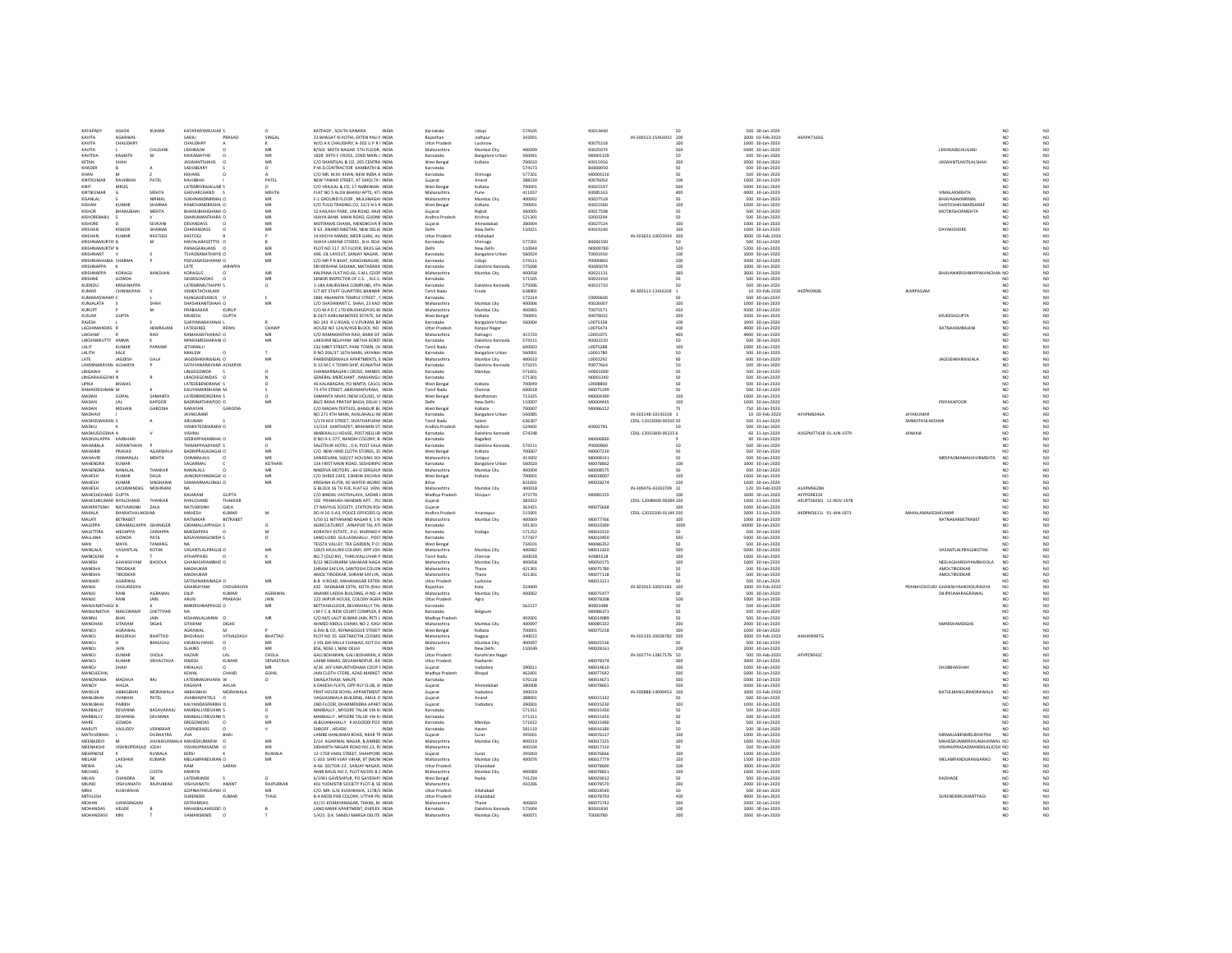| KATAPAM                      | ASHOK                 | KIMAR           | KATAPADYMSUVAR S                            |                        | KATPADY . SOUTH KANARA.<br><b>INDIA</b>                                  | Karnataka                            | Udupi                           | \$741.05         | KDO14440             |                         | 500 30-lan-2020                      |                        |
|------------------------------|-----------------------|-----------------|---------------------------------------------|------------------------|--------------------------------------------------------------------------|--------------------------------------|---------------------------------|------------------|----------------------|-------------------------|--------------------------------------|------------------------|
| KAVITA                       | AGARWAI               |                 | SARJU<br>PRASAD                             | SINGAL                 | 23 BHAGAT KI KOTHI, EXTEN PALI F INDIA                                   | Ralasthan                            | Jodhour                         | 342001           |                      | IN-300513-15416932 200  | 2000 03-Feb-2020                     | AEAPA7165G             |
|                              |                       |                 |                                             |                        |                                                                          |                                      |                                 |                  |                      |                         |                                      |                        |
| KAVITA                       | CHAUDHRY              |                 | CHAUDHRY                                    |                        | W/O A K CHAUDHRY. A-302 U P R I INDIA                                    | <b>Uttar Prades</b>                  | Lucknow                         |                  | K0075218             | 100                     | 1000 30-Jan-2020                     |                        |
| KAVITA                       |                       | CHUGAN          | <b>I FKHRAIW</b>                            | MR                     | R/502 MOTA NAGAR STH FLOOR INDIA                                         | Maharashtra                          | Mumhai City                     | sonnee           | K0025074             | son                     | 5000 30-lan-2020                     |                        |
| KAVITHA                      | KAMATH                | M               | MVKAMATHD                                   | MR                     | 1828 39TH F CROSS, 22ND MAIN J INDIA                                     | Karnataka                            | Bangalore Urban                 | 560041           | M0001329             | 50                      | 500 30-Jan-2020                      |                        |
| KETAN                        |                       |                 | <b>JASWANTSHAH</b>                          | MR                     | C/O SHANTILAL & CO, 205 CENTRA INDIA                                     | West Benga                           |                                 | 700020           | K0015916             | 200                     | 2000 30-Jan-2020                     |                        |
| KHADER                       |                       |                 | SADURFARY                                   | $\Omega$               | P W D CONTRACTOR KAMRATHI B. INDIA                                       | Karnataka                            |                                 | 574173           | BODDOOSO             | sn                      | 500 30-Jan-2020                      |                        |
| KHAN                         |                       |                 | KKHANS                                      |                        | C/O MR. M.M. KHAN, NEW INDIA A INDIA                                     | Karnataka                            | Shimoga                         | 577201           | M0004210             |                         | 500 30-Jan-2020                      |                        |
| KIRITKUMAI                   | RAVJIBHA              | PATEL           | RAVJIBHA                                    | PATE                   | NEW TAWAR STREET, AT SIHOLTA I INDIA                                     |                                      | Anand                           | 388130           | K0076054             | 100                     | 1000 30-Jan-2020                     |                        |
|                              |                       |                 | LATEMRVRAIALLMLS                            |                        |                                                                          | Gujarat                              |                                 |                  |                      |                         |                                      |                        |
| KIRIT                        | MRUG                  |                 |                                             |                        | C/O VRAILAL & CO. 17 AMRENIAN INDIA                                      | West Benga                           | Kolkata                         | zonnos           | K0025597             | sno                     | 5000 30-Jan-2020                     |                        |
| KIRTIKUMAR                   | G                     | MEHTA           | GHEVARCHAND                                 | MEHTA                  | FLAT NO 5 ALOK BHANU APTS, 473 INDIA                                     | Maharashtra                          | Pune                            | 411037           | K0085163             | 400                     | 4000 30-Jan-2020                     |                        |
| KISANLAL                     |                       | NIRMAL          | SUKHNANDNIRMAL C                            |                        | F-1 GROUND FLOOR . MULJINAGAF INDIA                                      | Maharashtra                          | Mumbai City                     | 400092           | K0027518             |                         | 500 30-Jan-2020                      |                        |
| KISHAN                       | KUMAR                 | SHARMA          | RAMCHANDRASHA C                             | MB                     | C/O TULSI TRADING CO. 33/1 N S R INDIA                                   | West Bengal                          | Kolkata                         | 700001           | K0025560             | 100                     | 1000 30-Jan-2020                     |                        |
| <b>KISHOR</b>                | <b>RHANLIRHAL</b>     | <b>MEHTA</b>    | <b>BHANUBHAISHAM/ C</b>                     | MB                     | 12 KAILASH PARK, UNI ROAD, RAJK INDIA                                    | Guiarat                              | Raikot                          | 360005           | K0017508             | 50                      | 500 30-Jan-2020                      |                        |
| KISHOREBABL                  |                       |                 | <b>SHANI IMANTHARA C</b>                    | MR                     | VIJAYA BANK MAIN ROAD, GUDIW INDIA                                       | Andhra Prades                        |                                 | 521301           | S0003294             | cn.                     | 500 30-Jan-2020                      |                        |
|                              |                       |                 |                                             |                        |                                                                          |                                      | Krishna                         |                  |                      |                         |                                      |                        |
| <b>KISHORE</b>               |                       | SEVKANI         | <b>DEVANDASS</b>                            | MR                     | MOTIRAMS CHAWL MENDICITIA R INDIA                                        | Guiarat                              | Ahmedahar                       | sannou           | KD027524             | 100                     | 1000 30-lan-2020                     |                        |
| <b>KRISHAN</b>               | KISHOR                | SHARMA          | CHARANDASS                                  | MR                     | D 63 ANAND NIKETAN, NEW DELHI INDIA                                      | Delhi                                | New Delhi                       | 110021           | K0019240             | 100                     | 1000 30-Jan-2020                     |                        |
| KRISHAN                      | KUMAF                 | RASTOG          | RASTOGI                                     |                        | 14 KHOYA MANDI, MEER GANJ, ALI INDIA                                     | <b>Uttar Prades</b>                  | Allahabad                       |                  |                      | N-301653-10053924 300   | 3000 03-Feb-2020                     |                        |
| KRISHNAMI IRTH R             |                       |                 | MAYALARASETTYS O                            |                        | VIIAVA LAXHMI STORES R.H. ROALINDIA                                      | Karnataka                            | Shimoga                         | 577201           | 80001590             | sn                      | 500 30-Jan-2020                      |                        |
|                              |                       |                 | PANAGARAJANS                                | MB                     | PLOT NO 117 IST FLOOR, EROS GA INDIA                                     | Delhi                                |                                 | 110044           |                      | 520                     | 5200 30-Jan-2020                     |                        |
| KRISHNAMURTH N               |                       |                 |                                             |                        |                                                                          |                                      | New Delh                        |                  | N0000780             |                         |                                      |                        |
| KRISHNANT                    |                       |                 | <b>TSVAIDIANATHAIYE C</b>                   | MR                     | A96 CIL LAYOUT, SANJAY NAGAR, INDIA                                      | Karnataka                            | <b>Bangalore Urban</b>          | 560024           | T0001930             | 100                     | 1000 30-Jan-2020                     |                        |
| KRISHNANANDA SHARMA          |                       |                 | PDEVADASSHARMA O                            | MB                     | C/O MR P R BHAT, KANCHINAGAR, INDIA                                      | Karnataka                            | Udupi                           | 574111           | P0000803             | 200                     | 2000 30-Jan-2020                     |                        |
| <b>KRISHNAPPA</b>            |                       |                 | LATE<br><b>JARAPPA</b>                      |                        | SRI KRISHNA SADANA, MATADAKA INDIA                                       | Karnataka                            | Dakshina Kannada                | 575006           | K0085074             | 100                     | 1000 30-Jan-2020                     |                        |
| KRISHNAPPA                   | KORAGU                | KANCHAN         | KORAGUS                                     | MB                     | KALPANA FLAT NO.66, S.M.L.COOP INDIA                                     | Maharashtra                          | Mumbai City                     | 400058           | K0021131             | 360                     | 3600 30-Jan-2020                     |                        |
| KRISHNE                      | GOWDA                 |                 | SIDDEGOWDAS                                 | MB                     | SENIOR INSPECTOR OF C.S. . N.E.S. INDIA                                  | Karnataka                            |                                 | 571105           | K0021410             | sn                      | 500 30-Jan-2020                      |                        |
| KUDROLI                      | <b>KRISHNAPPA</b>     |                 | LATEMRMUTHAPP/ S                            | $\circ$                | 1-18A ANURADHA COMPUND. 4TH INDIA                                        | Karnataka                            | Dakshina Kannada                | 575006           | K0021710             |                         | 500 30-Jan-2020                      |                        |
| KIMAR                        | CHINNAIVAN            |                 | VENKATACHALAM                               |                        | F/7 BIT STAFF QUARTERS BANNAR INDIA                                      | Tamil Nadi                           |                                 | 638401           |                      | IN-300513-13416203      |                                      | AKZPK0968L             |
|                              |                       |                 |                                             |                        |                                                                          |                                      |                                 |                  |                      |                         | 10 03-Feb-2020                       |                        |
| KUMARASWAMY C                |                       |                 | HUNGADEVARUS O                              | c                      | SREE ANIANEYA TEMPLE STREET 1 INDIA                                      | Karnataka                            |                                 | 572214           | cnoonson             | 50                      | 500 30-lan-2020                      |                        |
| KUNJALATA                    |                       | SHAF            | SHASHIKANTSHAH\ C                           | M                      | C/O SHASHIKANT C. SHAH, 23 KAD INDIA                                     | Maharashtra                          | Mumbai City                     | 400006           | K0026007             | 100                     | 1000 30-Jan-2020                     |                        |
| KURUPT                       |                       |                 | PRABHAKAR<br>KURUP                          |                        | C/O M A D C LTD KRUSHIUDYOG BI INDIA                                     | Maharashtra                          | Mumbai City                     | 400065           | T0075571             | 450                     | 4500 30-Jan-2020                     |                        |
| KUSUM                        | <b>GUPTA</b>          |                 | <b>MUKESH</b><br><b>GUPTA</b>               |                        | B-24/S KARUNAMOYEE ESTATE, SA INDIA                                      | West Bengal                          | Kolkata                         | 700091           | K0078032             | 200                     | 2000 30-Jan-2020                     |                        |
| RAJESH                       |                       |                 | SURIYANARAYANAI L                           |                        | NO.143 R.V.ROAD, V.V.PURAM, BA INDIA                                     | Karnataka                            | <b>Bangalore Urban</b>          | 560004           | L0075358             | 100                     | 1000 30-Jan-2020                     |                        |
| LACHHMANDAS F                |                       | <b>HEMRAIAN</b> | <b>LATESHREE</b><br><b>REWN</b>             | CHAWE                  | HOUSE NO 124/A/458 BLOCK, NO INDIA                                       | <b>Littar Pradesh</b>                |                                 |                  | 10075474             | ann                     | 4000 30-Jan-2020                     |                        |
|                              |                       |                 |                                             |                        |                                                                          |                                      | Kanpur Nagar                    |                  |                      |                         |                                      |                        |
| LAKSHMI                      |                       | RAO             | RAMAKANTHARAO O                             | MR                     | C/O RAMAKANTHA RAO, BANK OF INDIA                                        | Maharashtra                          | Ratnagiri                       | 415720           | L0001075             | 400                     | 4000 30-Jan-2020                     |                        |
| LAKSHMIKUTTY AMMA            |                       |                 | NPARAMESHARANI O                            | MB                     | LAKSHMI NELAYAM METHA KOKD' INDIA                                        | Karnataka                            | Dakshina Kannada                | 574211           | K0002220             | 50                      | 500 30-Jan-2020                      |                        |
| LALIT.                       | KUMAR                 | PARMAR          | <b>IFTHMALIL</b>                            |                        | 232 MINT STREET, PARK TOWN, CH INDIA                                     | Tamil Nadu                           | Chennai                         | 600003           | 10075288             | 100                     | 1000 30-Jan-2020                     |                        |
| LALITH                       | KALE                  |                 | NKALEW<br>$\Omega$                          |                        | D NO 206/37 16TH MAIN, JAYANA( INDIA                                     | Karnataka                            | Bangalore Urban                 | 560001           | L0001780             | 50                      | 500 30-Jan-2020                      |                        |
|                              |                       |                 |                                             |                        |                                                                          |                                      |                                 |                  |                      |                         |                                      |                        |
| LATE                         | JAGDISH               | GALA            | IMJIGAL C<br><b>JAGDISHI</b>                |                        | PARBENDERWALA APARTMENTS, E INDIA                                        | Maharashtr.                          | Mumbai City                     | 400010           | LO002292             |                         | 600 30-Jan-2020                      |                        |
| LAXMINARAYAN ACHARYA         |                       |                 | SATHYANARAYANA ACHARYA                      |                        | D-33 M C F TOWN SHIP, KUNJATHA INDIA                                     | Karnataka                            | Dakshina Kannada                | 575015           | P0077664             | 50                      | 500 30-Jan-2020                      |                        |
| LINGAIAH                     |                       |                 | LINGEGOWDA                                  | $\circ$                | SHANKARNAGAR I CROSS, MANDYA INDIA                                       | Karnataka                            | Mandya                          | 571401           | H0001000             |                         | 500 30-Jan-2020                      |                        |
| LINGARAJEGOWI N              |                       |                 | LRACHEGOWDAS                                |                        | GENERAL MERCHANT, NANJANGU INDIA                                         | Karnataka                            |                                 | 571301           | N0001340             |                         | 500 30-Jan-2020                      |                        |
| LIPIKA                       | BISWAS                |                 | LATEDEBENDRANA1 S                           | O                      | 46 KALABAGAN, PO NIMTA, CALCU INDIA                                      | West Benga                           | Kolkata                         | 700049           | L0008800             |                         | 500 30-Jan-2020                      |                        |
|                              |                       |                 |                                             |                        |                                                                          |                                      |                                 |                  |                      |                         |                                      |                        |
| RAMAKRISHNAN M               |                       |                 | KALIYAMARDHANA M                            |                        | 73 4TH STREET, ABIRAMAPURAM. INDIA                                       | <b>Tamil Nadu</b>                    | Chennai                         | 600018           | M0075299             | $50^{\circ}$            | 500 30-Jan-2020                      |                        |
| MADAN                        | GOPAL                 | SAMANT/         | LATEMRMONORAN S                             |                        | SAMANTA NIVAS (NEW HOUSE), VI INDIA                                      | West Benga                           | Bardhama                        | 713325           | M0004390             |                         | 1000 30-Jan-2020                     |                        |
| MADAN                        | 1.41                  | KAPOOR          | <b>BADRINATHKAPOO O</b>                     | MR                     | R6/2 RANA PRATAP RAGH DELHL1 INDIA                                       | Delhi                                | New Belbi                       | 110007           | MODDAAS              | 100                     | 1000 30-lan-2020                     |                        |
| MADAN                        | MOHAN                 | GARODIA         | NARAYAN<br>GARODIA                          |                        | C/O MADAN TEXTILES, BANGUR BL INDIA                                      | West Bengal                          | Kolkata                         | 700007           | M0086152             |                         | 750 30-Jan-2020                      |                        |
| MADHAVI                      |                       |                 | JAYAKUMAR                                   |                        | NO 271 4TH MAIN, AVALAHALLI NE INDIA                                     | Karnataka                            | <b>Bangalore Urba</b>           | 560085           |                      | IN-302148-10143318 1    | 10 03-Feb-2020                       | AFHPMFOARA             |
|                              |                       |                 |                                             |                        |                                                                          |                                      |                                 |                  |                      |                         |                                      |                        |
| MADHESWARAN S                |                       |                 | <b>ARILINAN</b>                             |                        | 1/174 M.K STREET, SIVATHAPURAN INDIA                                     | Tamil Nadu                           | Salem                           | 636307           |                      | CDSL-12023000-0001( SO  | 500 31-Jan-2020                      |                        |
| MADHU                        |                       |                 | VENKATESWARARA O                            | MB                     | 11/214 SANTHAPET, BRAHMIN STI INDIA                                      | Andhra Pradesh                       | Nellore                         | 524001           | K0002781             |                         | 500 30-Jan-2020                      |                        |
| MADHUSOODHA A                |                       |                 | VISHNU                                      |                        | AMBEKALLU HOUSE, POST NELLUR INDIA                                       | Karnataka                            | Dakshina Kannad                 | 574248           |                      | CDSL-12015800-00225 6   | 60 31-Jan-2020                       | AOGPM7742B 01-JUN-1979 |
| MADIVALAPPA KARRHAR          |                       |                 | VEFRAPPAKARRHALD                            | MR                     | D NO 9-1-577, NANDHI COLONY, B INDIA                                     | Karnataka                            | Bagalkot                        |                  | MODOGR3D             |                         | 90 30-Jan-2020                       |                        |
| MAHABALA                     | ADYANTHAYA            |                 | THIMAPPAADYANTI S                           |                        | SALETHUR HOTEL, D K, POST SALA INDIA                                     | Karnataka                            | Dakshina Kannada                | 574211           | P0000960             |                         | 500 30-Jan-2020                      |                        |
|                              |                       |                 |                                             |                        |                                                                          |                                      |                                 |                  |                      |                         |                                      |                        |
| MAHABIR                      | PRASAD                | AGARWALA        | <b>BADRIPRASADAGAI C</b>                    |                        | C/O. NEW HIND CLOTH STORES. 15 INDIA                                     | West Bengal                          | Kolkata                         | 700007           | M0007230             |                         | 500 30-Jan-2020                      |                        |
| <b>MAHAVIR</b>               | CHIMANLAL             | MEHTA           | CHIMANLALS<br>C.                            | MR                     | SANJEEVANI, 560/27 HOUSING SOI INDIA                                     | Maharashtra                          | Solapur                         | 413002           | M0008141             |                         | 500 30-Jan-2020                      |                        |
| MAHENDRA                     | KUMAR                 |                 | SAGARMAL                                    | KOTHAR                 | 134 FIRST MAIN ROAD, SESHDRIPU INDIA                                     | Karnataka                            | <b>Bangalore Urban</b>          | 560020           | M0078862             | 100                     | 1000 30-Jan-2020                     |                        |
| MAHENDRA                     | NANALAL               | THAKKAR         | NANALALS                                    | MR                     | NINERVA MOTORS , 64-D SERGAUP INDIA                                      | Maharashtr.                          | Mumbai City                     | 400004           | M0008575             |                         | 500 30-Jan-2020                      |                        |
| <b>MAHESH</b>                |                       | <b>DAGA</b>     | <b>IAINORAYANDAGA' O</b>                    | MR                     | C/O SHREE CAFE 13/NDIA EXCHAN INDIA                                      | West Bengal                          | Kolkata                         | zonnot           | M0028007             | 100                     | 1000 30-lan-2020                     |                        |
|                              |                       |                 |                                             |                        |                                                                          |                                      |                                 |                  |                      |                         |                                      |                        |
|                              | KUMAR                 |                 |                                             |                        |                                                                          |                                      |                                 |                  |                      |                         |                                      |                        |
| <b>MAHESH</b>                | <b>KUMAR</b>          | SINGHANI        | SANWARMALSINGHO                             | MR                     | KRISHNA KUTIR, 90 WATER WORKS INDIA                                      |                                      |                                 | 831001           | M0028274             |                         | 1000 30-Jan-2020                     |                        |
| MAHESH                       | LACHMANDAS            | MOHINAN         |                                             |                        | G BLOCK 16 TH FLR, FLAT 63 VENL INDIA                                    | Maharashtra                          | Mumbai City                     | 400018           |                      | IN-300476-43303709 12   | 120 03-Feb-2020                      | ALAPM9628F             |
| MAHESHCHAND GUPTA            |                       |                 | RAIARAM<br><b>GLIPTA</b>                    |                        | C/O RINDAL VASTRALAYA, SADAR LINDIA                                      | Madhya Pradesh                       | Shivpur                         | 473770           | <b>MOD85155</b>      | 100                     | 1000 30-lan-2020                     | <b>AFYPG9832K</b>      |
| MAHESHKUMAR NYALCHAND        |                       | THAKKAR         | NYALCHAND                                   | THAKKAR                | 102 PRAMUKH NANDAN APT. . PLC INDIA                                      | Guiarat                              |                                 | 382022           |                      | CDSL-12048400-00004 100 | 1000 31-Jan-2020                     |                        |
|                              |                       |                 |                                             |                        |                                                                          |                                      |                                 |                  |                      |                         |                                      | AEUPT2605Q 12-NOV-1978 |
| MAHIPATSINH                  | NATVARSINH            | ZALA            | NATVARSINH<br>GALA                          |                        | 27 NAVYUG SOCIETY. STATION ROA INDIA                                     | Gujarat                              |                                 | 363421           | M0075668             |                         | 1000 30-Jan-2020                     |                        |
| MAKALA                       | BHARATHALAKSHMI       |                 | MAHESH<br><b>KUMAR</b>                      | M                      | DO N 10-3-A3, POLICE OFFICERS OF INDIA                                   | Andhra Pradesh                       | Anantapur                       | 515001           |                      | CDSL-12033200-0114(200  | 2000 31-Jan-2020                     | AKDPM3611J 01-JAN-1973 |
| MALATI                       | BETRABET              |                 | RATNAKAR                                    | BETRABET               | 5/50 51 NITYANAND NAGAR II, S N INDIA                                    | Maharashtra                          | Mumbai City                     | 400069           | M0077766             | 100                     | 1000 30-Jan-2020                     |                        |
| MAI FPPA                     | GIRAMALLAPPA GHANIGER |                 | GIRAMALI APPAGH S                           | $\Omega$               | AGRICULTURIST . AINAPUR TAL ATI INDIA                                    | Karnataka                            |                                 | 591303           | MOD10300             | 1000                    | 10000 30-Jan-2020                    |                        |
| MALETTIRA                    | MEDAPPA               | CARIAPPA        | <b>BMEDAPPAS</b><br>$\Omega$                |                        | KORATHY ESTATE . P.O. MURNAD # INDIA                                     | Karnataka                            | Kodagu                          | 571252           | M0010310             | 50                      | 500 30-Jan-2020                      |                        |
| MALLANA                      | GOWDA                 | PATIL           | BASAVANAGOWDA S                             |                        | LAND LORD GULLADAHALLI, POST INDIA                                       | Karnataka                            |                                 | 577427           | M0010450             | 500                     | 5000 30-Jan-2020                     |                        |
| MAN.                         | MAYA                  | <b>TAMANS</b>   |                                             |                        |                                                                          |                                      |                                 |                  |                      | 50                      |                                      |                        |
|                              |                       |                 |                                             |                        | TESSTA VALLEY, TEA GARDEN, P O   INDIA                                   | West Benga                           |                                 | 734101           | M0086352             |                         | 500 30-Jan-2020                      |                        |
| MANGALA                      | VASANTLAL             | KOTAK           | VASANTLALPRAGJI O                           | MB                     | 100/5 MULUND COLONY, OPP JOH INDIA                                       | Maharashtra                          | Mumbai City                     | 400082           | M0011820             | 500                     | 5000 30-Jan-2020                     |                        |
| MANICKAM                     |                       |                 | <b>ATHAPPANS</b>                            |                        | NO.7 (OLD #3), THIRUVALLUVAR P INDIA                                     | Tamil Nadu                           | Chenna                          | 600028           | 40085528             | 100                     | 1000 30-Jan-2020                     |                        |
| MANISH                       | CHANCHYAM             | BHOOLA          | GHANASHYAMBHO O                             | MR                     | <b>R/12 NEOVIKARM SAHAKAR NAGA INDIA</b>                                 | Maharashtra                          | Mumbai City                     | 400058           | MOD50175             | 100                     | 1000 30-Jan-2020                     |                        |
| MANISHA                      | TIRODKAR              |                 | MADHUKAR                                    |                        | SHRAM SAFLYA, SANTOSHI COLON INDIA                                       | Maharashtra                          | Thane                           | 421301           | M0075780             | 50                      | 500 30-Jan-2020                      |                        |
| MANISHA                      | TIRODKAR              |                 | MADHUKAR                                    |                        | AMOL TIRODKAR, SHRAM SAFLYA. INDIA                                       |                                      | Thane                           | 421301           | M0077118             |                         | 500 30-Jan-2020                      |                        |
| MANIARI                      | AGARWAL               |                 | SATISHNARAINAGA O                           | MR                     | <b>B-8 H ROAD MAHANAGAR EXTEN INDIA</b>                                  | Maharashtra<br><b>Littar Pradesh</b> | Lucknow                         |                  | M0013121             | <b>cn</b>               | 500 30-lan-2020                      |                        |
|                              |                       |                 |                                             |                        |                                                                          |                                      |                                 |                  |                      |                         |                                      |                        |
| MANJU                        | CHOURASIYA            |                 | GHANSHYAM                                   | CHOURASIYA             | 632 DADABARI EXTN., KOTA (RAJ/ INDIA                                     | Raiasthan                            | Kota                            | 324009           |                      | IN-301055-10025181 100  | 1000 03-Feb-2020                     |                        |
| MANJU                        | RANI                  | AGRAWAL         | KUMAR<br>DILIP                              | AGRAWAL                | ANANDI LADDA BUILDING. R-NO .- 4 INDIA                                   | Maharashtra                          | Mumbai City                     | 400002           | M0075477             |                         | 500 30-Jan-2020                      |                        |
| MANILE                       | RANI                  | <b>IAIN</b>     | <b>ARLIN</b><br>PRAKASH                     | <b>IAIN</b>            | 122 JAIPUR HOUSE, COLONY AGRA INDIA                                      | <b>Littar Pradesh</b>                | Agra                            |                  | MOO78208             | son                     | 5000 30-Jan-2020                     |                        |
| MANJUNATHAG( B               |                       |                 | BMKRISHNAPPAGO O                            | MR                     | BETTAHALSOOR, DEVANHALLY TAL INDIA                                       | Karnataka                            |                                 | 562127           | B0001088             | 50                      | 500 30-Jan-2020                      |                        |
| MANJUNATHA                   | MAILSWAM              | CHETTIYAI       |                                             |                        | M F C II, NEW COURT COMPLEX, E INDIA                                     | Karnataka                            | Belgaun                         |                  | M008637              |                         | 500 30-Jan-2020                      |                        |
| MANNU                        | <b>DUAL</b>           | <b>IAIN</b>     | KISHANLALIAINW O                            | MR                     | C/O M/S LALIT KUMAR JAIN, PETI L INDIA                                   |                                      |                                 | 492001           | M0014089             | 50                      |                                      |                        |
|                              |                       |                 | DIGHE                                       |                        |                                                                          | Madhya Pradesh                       |                                 |                  |                      | 200                     | 500 30-Jan-2020                      |                        |
| MANOHAR                      | SITARAM               | DIGHE           | SITARAM                                     |                        | AHMED ABDUL CHAWL NO 2, KAS/ INDIA                                       | Maharashtra                          | Mumbai City                     | 400097           | M0085322             |                         | 2000 30-Jan-2020                     |                        |
| MANOJ                        | AGRAWA                |                 | AGRAWA                                      |                        | G.RAJ & CO, 4SYNAGOGUE STREET: INDIA                                     | West Bengal                          | Kolkata                         | 700001           | M0075258             |                         | 1000 30-Jan-2020                     |                        |
| <b>MANOJ</b>                 | BHOJRAJJ              | <b>BHATTAD</b>  | BHOJRAJJI                                   | VITHALDASJI<br>BHATTAD | PLOT NO 35 GEETAKOTHI, COSMO INDIA                                       | Maharashtra                          | Nagpu                           | 440022           |                      | IN-301330-20028782 500  | 5000 03-Feb-2020                     | AAIHM9997G             |
| MANOJ                        |                       | BANUSALI        | HIRJIKALYANJIS<br>$\circ$                   | MR.                    | 1 VEL BAI MULJI CHAWAD, KOT DU INDIA                                     | Maharashtra                          | Mumbai City                     | 400097           | M0025536             |                         | 500 30-Jan-2020                      |                        |
| MANOJ                        | JAIN                  |                 | <b>SLIAINS</b>                              |                        | B56, NDSE I, NEW DELHI                                                   |                                      | New Delh                        | 110049           | M0028161             |                         | 2000 30-Jan-2020                     |                        |
| MANOL                        | KUMAR                 | CHOLA           | HAZARI<br>1AL                               | CHOLA                  | GALLBOHARAN GALLBOHARAN K INDIA                                          | <b>Littar Pradesh</b>                | Kanshiram Naga                  |                  |                      | IN-301774-12817176 50   | 500 03-Feb-2020                      | AFVPC9042C             |
|                              |                       |                 |                                             |                        |                                                                          |                                      |                                 |                  |                      |                         |                                      |                        |
| MANOJ                        | KUMAR                 | SRIVASTAVA      | DINESH<br><b>KUMAR</b>                      | SRIVASTAVA             | LAXMI NIWAS, DEVANANDPUR, RA INDIA                                       | Uttar Pradesh                        | Raebareli                       |                  | M0078174             | 300                     | 3000 30-Jan-2020                     |                        |
| MANOJ                        |                       |                 | HIRALALS                                    | MB                     | A/26 JAY VAIKUNTHDHAM COOP   INDIA                                       | Gujarat                              |                                 | 390011           | M0014610             | 100                     | 1000 30-Jan-2020                     |                        |
| MANDIGOH                     |                       |                 | KEWAL<br>CHAND                              | GOHL                   | JAIN CLOTH STORE, AZAD MARKET, INDIA                                     | Madhya Pradesh                       | Bhopal                          | 462001           | M0077642             | son                     | 5000 30-lan-2020                     |                        |
| MANORAMA                     | MADHVA                | RAJ             | LATEMMADHVARA W                             | $\circ$                | SWAGATHAM, MALPE<br><b>INDIA</b>                                         | Karnataka                            |                                 | 576118           | M0014671             | 500                     | 5000 30-Jan-2020                     |                        |
| MANOY                        |                       |                 | RAGHVIR<br>AHUJA                            |                        | 6 DAXESH FLATS, OPP RLY CLUB, M INDIA                                    | Gujarat                              | Ahmedaba                        | 380008           | M0078601             |                         | 5000 30-Jan-2020                     |                        |
| <b>MANSUR</b>                | ABBASBHA              | <b>MORAWALA</b> | ABBASBHAI                                   | MORAWALA               | PENT HOUSE ROYAL APPARTMENT. INDIA                                       | Guiarat                              | Vadodara                        | 390019           |                      | IN-300888-14099453 100  | 1000 03-Feb-2020                     |                        |
|                              |                       | PATEL           | $^{\circ}$                                  | M                      |                                                                          |                                      |                                 |                  |                      | 50                      |                                      |                        |
| MANUBHAI                     | <b>JIVABHAI</b>       |                 | <b>JIVABHAIPATELS</b>                       |                        | VAGHASIWALA BUILDING, AMUL D INDIA                                       | Gujarat                              | Anand                           | 388001           | M0015142             |                         | 500 30-Jan-2020                      |                        |
| MANUBHA                      | PARIKH                |                 | KALYANDASPARIKH C                           | M                      | 2ND FLOOR, DHARMENDRA APART INDIA                                        | Gujarat                              | Vadodar                         | 39000            | M0015230             | 100                     | 1000 30-Jan-2020                     |                        |
| MARBALLY                     | DEVANNA               | BASAVARAJU      | MARBALLYDEVANN S                            | $\Omega$               | MARBALLY . MYSORE TALUK VIA K/ INDIA                                     | Karnataka                            |                                 | 571311           | M0015430             | sn                      | 500 30-Jan-2020                      |                        |
| MARBALLY                     | DEVANNA               | <b>DEVANNA</b>  | MARBALLYDEVANN S                            |                        | MARBALLY, MYSORE TALUK VIA K/ INDIA                                      | Karnataka                            |                                 | 571311           | M0015420             |                         | 500 30-Jan-2020                      |                        |
| MARE                         | GOWDA                 |                 | <b>FREGOWDAS</b>                            | MR                     | ALBUJANAHALLY K.M.DODDI POS' INDIA                                       | Karnataka                            | Mandya                          | 571422           | M0015490             |                         | 500 30-Jan-2020                      |                        |
|                              |                       |                 | $\Omega$                                    |                        | <b>INDIA</b>                                                             |                                      |                                 |                  |                      |                         |                                      |                        |
| <b>MARUTI</b>                | VASUDEV               | VERNEKAR        | <b>WERNEKARS</b>                            | v                      | SHROFF . HEVERI                                                          | Karnataka                            | Haveri                          | 581110           | M0016180             | 50                      | 500 30-Jan-2020                      |                        |
| MATHURBHA                    |                       | DUDHATRA        | <b>JIVA</b>                                 |                        | LAMBE HANUMAN ROAD, NEAR TR INDIA                                        | Gujarat                              | Surat                           | 395001           | M0076137             | 100                     | 1000 30-Jan-2020                     |                        |
| MEENADEVI                    |                       | <b>HUNHUM</b>   | MAHESKUMARW                                 | MR                     | 2/14 AGARWAL NAGAR, B.AMBED INDIA                                        | Maharashtra                          | Mumbai Cit                      | 400019           | M0017225             | 100                     | 1000 30-Jan-2020                     |                        |
| <b>MEENAKSHI</b>             | VISHNI IPRASAD IOSHI  |                 | VISHNI IPRASADW O                           | MR                     | SIDHARTH NAGAR ROAD NO 13 RL INDIA                                       | Maharashtra                          |                                 | 400104           | M0017310             | $50^{\circ}$            | 500 30-lan-2020                      |                        |
| MEHRNOSE                     |                       | RUWALA          | KERSI                                       | <b>RUWALA</b>          | 12-1758 VAKIL STREET, SHAHPORE INDIA                                     | Gujarat                              | Surat                           | 395003           | M0076666             | 100                     | 1000 30-Jan-2020                     |                        |
| MELAM                        | LAKSHM                | KUMARI          | MELAMPANDURAN C                             | MR                     | C-303 SHRI VUAY VIHAR. IT (MUM INDIA                                     | Maharashtra                          | Mumbai City                     | 400076           | M0017779             | 150                     | 1500 30-Jan-2020                     |                        |
| MEWA                         | 1.41                  |                 | RAM<br>SARAN                                |                        | A-66 SECTOR-23 . SANJAY NAGAR. INDIA                                     | Uttar Pradesh                        | Ghaziahad                       |                  | M0078600             | 300                     | 3000 30-Jan-2020                     |                        |
|                              |                       |                 |                                             |                        |                                                                          |                                      |                                 |                  |                      |                         |                                      |                        |
| MICHAEL                      | D                     | COSTA           | MARFIN                                      |                        | AMIR BAUG NO 2, PLOT M/395 B 2 INDIA                                     | Maharashtra                          | Mumbai City                     | 400089           | M007883              | 100                     | 1000 30-Jan-2020                     |                        |
| MILAN                        | CHANDRA               | DE.             | LATEMR INDE                                 | $\Omega$               | 6/1991 GAYESHPUR, PO GAYESHPL INDIA                                      | West Bengal                          | Nadia                           | 741234           | M0029012             | sn                      | 500 30-Jan-2020                      |                        |
| <b>MILIND</b>                | VISHVANATH            | RAJPURKAR       | VISHVANATH<br>ANANT                         | RAJPURKAR              | 401 YUDHISTIR SOCIETY PLOT-8, SE INDIA                                   | Maharashtra                          |                                 | 410206           | M0078570             | 200                     | 2000 30-Jan-2020                     |                        |
| MIRA                         | KUSHWAH               |                 | OPINATHKUSHW/ O                             |                        | C/O. MR. G.N. KUSHWAHA, 117B/2 INDIA                                     | <b>Uttar Pradesh</b>                 | Allahabad                       |                  | M0018540             |                         | 500 30-Jan-2020                      |                        |
| <b>MITHLESH</b>              |                       |                 | SURFNDER<br>KUMAR                           | TYAGI                  | B-4 MODI PAR COLONY, UTTAR PR. INDIA                                     | Uttar Pradesh                        | Ghaziahad                       |                  | M0078793             | 400                     | 4000 30-Jan-2020                     |                        |
| <b>MOHAN</b>                 | <b>JURIASINGANI</b>   |                 | SATRAMDAS                                   |                        | A1/21 KOMAYANAGAR, THANE, M. INDIA                                       | Maharashtra                          | Thane                           | 400603           | M0075742             | 200                     | 2000 30-Jan-2020                     |                        |
|                              |                       |                 |                                             |                        |                                                                          |                                      |                                 |                  |                      |                         |                                      |                        |
| <b>MOHANDAS</b><br>MOHANDASV | HEGDE<br>KIND         |                 | MAHABALAHEGDE! O<br>VAMANSKINIS<br>$\Omega$ |                        | LAND MARK APARTMENT, DUPLEX INDIA<br>5/421 D.K. SANDU MARGA DELITE INDIA | Karnataka<br>Maharashtra             | Dakshina Kannada<br>Mumbai City | 575004<br>400071 | B0001830<br>T0000780 | 200                     | 1000 30-Jan-2020<br>2000 30-Jan-2020 |                        |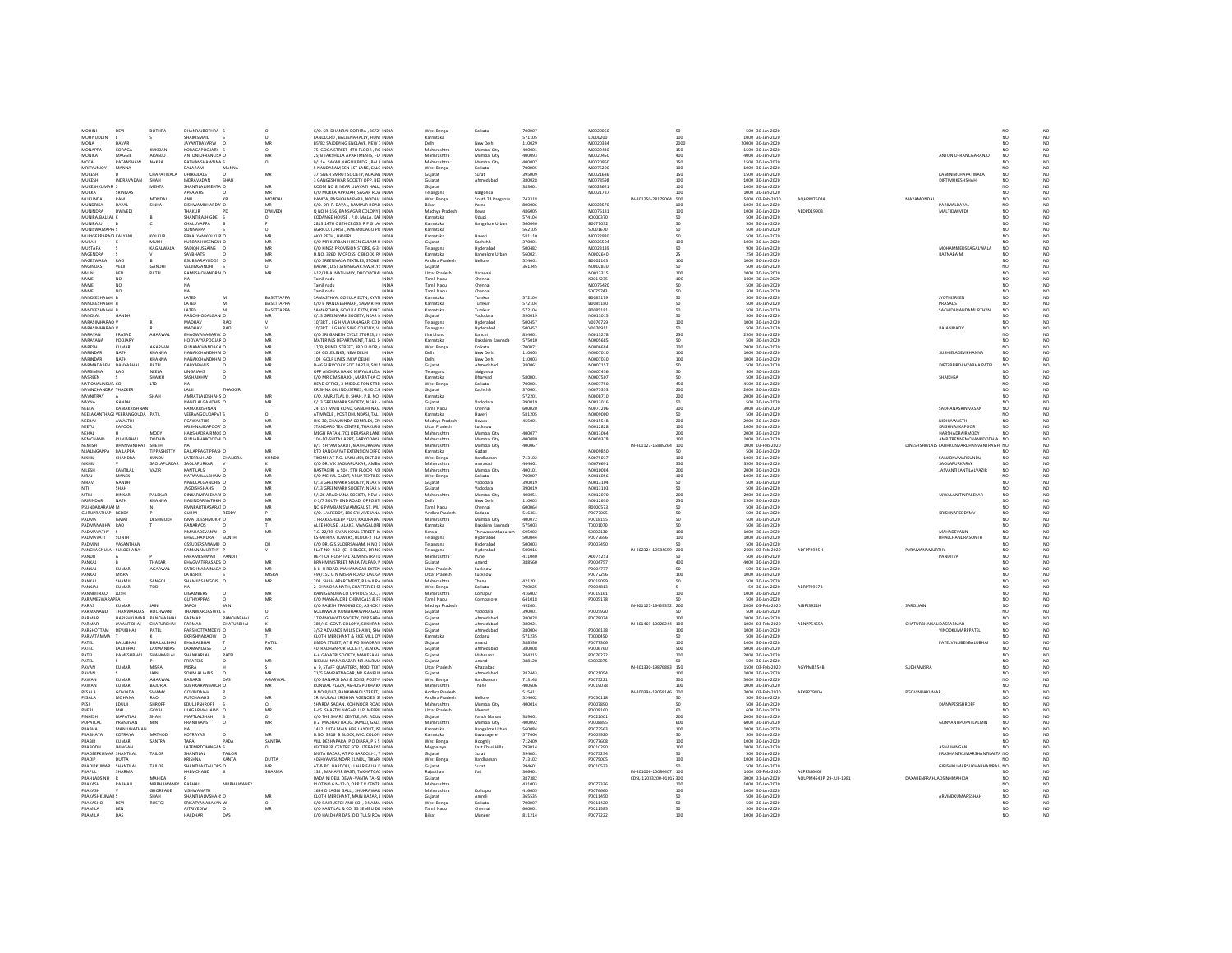| MOHINE<br>DEVI                                            | <b>BOTHRA</b>          | DHANRAJBOTHRA                                 |                    | C/O. SRI DHANRAJ BOTHRA . 36/2" INDIA                                           | West Benga                 | Kolkata                               | zonno            | M0020060             |                           |      | 500 30-Jan-2020                      |                        |                                            |                      |                                |
|-----------------------------------------------------------|------------------------|-----------------------------------------------|--------------------|---------------------------------------------------------------------------------|----------------------------|---------------------------------------|------------------|----------------------|---------------------------|------|--------------------------------------|------------------------|--------------------------------------------|----------------------|--------------------------------|
| <b>MOHM IDDIN</b>                                         |                        | SHAIKISMAIL                                   |                    | LANDLORD, BALLENAHALLY, HUNS INDIA                                              | .<br>Karnataka             |                                       | 571105           | L0000200             | 100                       |      | 1000 30-Jan-2020                     |                        |                                            | NO                   | N <sub>0</sub>                 |
| MONA<br><b>DAVAR</b>                                      |                        | IAVANTDAVARW C                                | MF                 | BS/82 SAIDEVING FNCLAVE NEW CINDIA                                              | Delhi                      | New Delhi                             | 110029           | MOD20384             |                           | 2000 | 20000 30-Jan-2020                    |                        |                                            | NO                   | $_{\rm NO}^{\rm NO}$           |
| MONAPPA<br>KORAGA<br>MAGGIE                               | KUKKIAN                | KORAGAPOOJARY                                 |                    | 75 GOGA STREET 4TH FLOOR . RC INDIA                                             | Maharashtra                | Mumbai City                           | 400001           | M0020430             | 150                       |      | 1500 30-Jan-2020                     |                        | ANTONIOFRANCISARANJO                       | NO.                  |                                |
| MONICA<br><b>MOTA</b><br>RATANSHAW                        | ARANJO<br>NAKRA        | ANTONIOFRANCISA C<br>RATHANSHAWNNA S          | $\Omega$           | 25/B TAKSHILLA APARTMENTS, FL/ INDIA<br>9/11A SAYAJI NAGUJI BLDG., BALA INDIA   | Maharashtr.<br>Maharashtra | Mumbai City<br>Mumbai City            | 400093<br>400007 | M0020450<br>M0020860 | 400<br>150                |      | 4000 30-Jan-2020<br>1500 30-Jan-2020 |                        |                                            | NO<br>NO             | NO<br>NO                       |
| MRITYUNJOY<br><b>MANNA</b>                                |                        | BALARAM<br>MANNA                              |                    | 5 NANDARAM SEN 1ST LANE, CALC INDIA                                             | West Benga                 | Kolkata                               | 700005           | M0075206             | 100                       |      | 1000 30-Jan-2020                     |                        |                                            | NO.                  | NO                             |
| <b>MUKESH</b>                                             | CHAPATWALA             | DHIRAJLALS                                    | MR                 | 37 SNEH SMRUT SOCIETY, ADAJAN INDIA                                             | Gujara                     | Surat                                 | 395009           | M0021686             | 150                       |      | 1500 30-Jan-2020                     |                        | KAMINIMCHAPATWALA                          | NO <sub></sub>       | $_{\sf NO}$                    |
| MUKESH<br>INDRAVADAN                                      | SHAH                   | INDRAVADAN<br>SHAH                            |                    | 3 GANGESHWAR SOCIETY OPP. BES INDIA                                             | Guiarat                    | Ahmedabad                             | 380028           | M0078598             | 100                       |      | 1000 30-Jan-2020                     |                        | DIPTIMUKESHSHAH                            | NO                   | NO                             |
| MUKESHKUMAR S<br>SRINIVAS                                 | MEHTA                  | SHANTILALIMEHTA O<br><b>APPAIAHS</b>          | MR<br><b>ME</b>    | ROOM NO 8 NEAR LILAVATI HALL. INDIA<br>C/O MUKKA APPAIAH, SAGAR ROA INDIA       | Gujarat                    |                                       | 383001           | M0023621<br>M002178  | 100<br>100                |      | 1000 30-Jan-2020<br>1000 30-Jan-2020 |                        |                                            | NO<br>NO             | NO                             |
| MUKKA<br>MUKUNDA<br>RAM                                   | MONDAL                 | ANII                                          | MONDAL             | RANIYA PASHCHIM PARA NODAH INDIA                                                | Telangana<br>West Benga    | Nalgond<br>South 24 Parganas          | 743318           |                      | IN-301250-28179064 500    |      | 5000 03-Feb-2020                     | <b>AOHPM76034</b>      | MAYAMONDAL                                 | NO                   | NO<br>NO <sub>1</sub>          |
| MUNDRIKA<br>DAYAL                                         | SINHA                  | BISHWAMBHARDA' O                              |                    | C/O. DR. P. DAYAL, RAMPUR ROAD INDIA                                            | Bihar                      | Patna                                 | 800006           | M0022570             | 100                       |      | 1000 30-Jan-2020                     |                        | ARIMALDAYA                                 | $\overline{NQ}$      | $\overline{NQ}$                |
| MUNINDRA<br>DWIVED                                        |                        | THAKIIR                                       | <b>DWIVED</b>      | Q NO H-156, BANSAGAR COLONY ( INDIA                                             | Madhya Prades              | Rewa                                  | 486005           | M0076181             | 100                       |      | 1000 30-Jan-2020                     | AEDPD1990E             | MAI TIDWIVED                               | NO                   |                                |
| MUNIRAJBALLAL K                                           |                        | SHANTIRAJHIGDE S                              |                    | KODANGE HOUSE . P.O. MALA, KAF INDIA                                            | Karnataka                  | Udup                                  | 574104           | K0000370             | $50^{\circ}$              |      | 500 30-Jan-2020                      |                        |                                            | NO <sub></sub>       | NO<br>NO                       |
| MUNIRAJU                                                  |                        | CHALUVAPPA                                    |                    | 2813 14TH C 8TH CROSS, R P G LAY INDIA                                          | Karnataka                  | <b>Bangalore Urban</b>                | 560040           | B0077032             |                           |      | 500 30-Jan-2020                      |                        |                                            | NO                   | NO                             |
| MUNISWAMAPP.                                              |                        | SONNAPPA                                      |                    | AGRICULTURIST., ANEMODAGU PO INDIA                                              | Karnataka                  |                                       | 562105           | \$0001670            | 50                        |      | 500 30-lan-2020                      |                        |                                            | NO                   | $_{\rm NO}$<br>NO <sub>1</sub> |
| MURIGEPPARACI KALYANI                                     | KOLKUR                 | RBKALYANIKOLKUR O<br>KURBANHUSENGUL O         | MR<br>MR           | AKKI PETH . HAVERL<br><b>INDIA</b><br>C/O MR KURBAN HUSEN GULAM H INDIA         | Karnataka                  | Haveri<br>Kachchh                     | 581110           | M0022880             | 50                        |      | 500 30-Jan-2020<br>1000 30-Jan-2020  |                        |                                            | NO                   | NO                             |
| MUSAJI<br>MUSTAFA                                         | MUKHI<br>KAGALWAL/     | SADIQHUSSAINS O                               | MR                 | C/O KINGS PROVISION STORE, 6-3- INDIA                                           | Gujarat<br>Telangan        | Hyderabac                             | 370001<br>snnago | M0026504<br>M0023189 | 100<br>90                 |      | 900 30-Jan-2020                      |                        | MOHAMMEDSKAGALWALA                         | NO<br>NO             | NO                             |
| NAGENDRA                                                  |                        | SAVBHATS                                      | MR                 | H.NO. 3260 IV CROSS, C BLOCK, R/ INDIA                                          | Karnataka                  | Bangalore Urban                       | 560021           | N0002640             | 25                        |      | 250 30-Jan-2020                      |                        | RATNABAIM                                  | NO                   | NO                             |
| NAGESWARA<br>RAO                                          |                        | BSUBBARAYUDOS C                               | MF                 | C/O SREENIVASA TEXTILES, STONE INDIA                                            | Andhra Pradesh             | Nelloro                               | 524001           | B0002163             | 100                       |      | 1000 30-Jan-2020                     |                        |                                            | NO                   | $_{\rm NO}$                    |
| NAGINDAS<br>VELI                                          | GANDH                  | VELIMGANDHI                                   |                    | BAZAR DIST IAMNAGAR SW RIVE INDIA                                               | Gujarat                    |                                       | 361345           | NOODRES              | n <sub>n</sub>            |      | 500 30-Jan-2020                      |                        |                                            | NO.                  | NO<br>NO                       |
| NALINI<br>BEN                                             | PATEL                  | RAMESHCHANDRAI O                              | MR                 | J-12/38-A. NATHMLY, DHOOPCHAI INDIA                                             | Uttar Pradesh              | Varanasi                              |                  | N0013315             | 100                       |      | 1000 30-Jan-2020                     |                        |                                            | NO.<br>NO            |                                |
| NAME<br>NO <sub>1</sub><br>NAME<br>NO                     |                        |                                               |                    | Tamil nadu<br><b>INDM</b><br>Tamil nadu<br><b>INDM</b>                          | Tamil Nadu<br>Tamil Nady   | Chennai<br>Chenna                     |                  | K0014235<br>M0076420 | 100<br>so                 |      | 1000 30-Jan-2020<br>500 30-Jan-2020  |                        |                                            | NO                   | NO                             |
| NAME<br>NO                                                |                        | NA.                                           |                    | Tamil nadu<br>INDIA                                                             | <b>Tamil Nadu</b>          | Chennai                               |                  | S0075743             | 50                        |      | 500 30-Jan-2020                      |                        |                                            | NO                   | NO<br>NO                       |
| NANDEESHAIAH B                                            |                        | LATED                                         | <b>BASETTAPPA</b>  | SAMASTHYA. GOKULA EXTN. KYATI INDIA                                             | Karnataka                  | Tumkur                                | 572104           | B0085179             | 50                        |      | 500 30-Jan-2020                      |                        | <b>JYOTHISREEN</b>                         | NO                   | NO                             |
| NANDEESHAIAH R                                            |                        | <b>LATED</b>                                  | RASETTAPPA         | C/O B NANDEESHAIAH, SAMARTHY INDIA                                              | Karnataka                  | Tumkur                                | 572104           | BOD85180             | so                        |      | 500 30-Jan-2020                      |                        | PRASADS                                    | NO                   | $_{\rm NO}$                    |
| NANDEESHAIAH B                                            |                        | LATED                                         | <b>BASETTAPPA</b>  | SAMARTHYA, GOKULA EXTN, KYATI INDIA                                             | Karnataka                  | Tumkur                                | 572104           | B0085181             | 50                        |      | 500 30-Jan-2020                      |                        | SACHIDANANDAMURTHYN                        | NO                   | N <sub>0</sub>                 |
| NANDLAL<br>GANDH<br>NARASIMHARAO L                        |                        | RANCHHODA<br>LGANI O<br>MADHAV<br>RAC         |                    | C/13 GREENPARK SOCIETY, NEAR N INDIA                                            | Gujarat                    | Vadodara                              | 390019<br>500457 | N0013019<br>V0076729 |                           |      | 500 30-Jan-2020                      |                        |                                            |                      | N <sub>0</sub>                 |
| NARASIMHARAO V                                            |                        | MADHAV<br>RAO                                 |                    | 10/3RT L I G H VUAYANAGAR, COLI INDIA<br>10/3RT L I G HOUSING COLONY, VI. INDIA | Telangana<br>Telangana     | Hyderabac<br>Hyderabad                | 500457           | V0076911             | 100<br>50                 |      | 1000 30-Jan-2020<br>500 30-Jan-2020  |                        | RAJANIRAOV                                 | NO<br>NO             | $_{\rm NO}^{\rm NO}$           |
| PRASAD<br>NARAYAN                                         | AGARWAI                | BHAGWANAGARW, O                               |                    | C/O SRI GANESH CYCLE STORES, J J INDIA                                          | Jharkhand                  | Ranchi                                | 834001           | N0013278             | 250                       |      | 2500 30-Jan-2020                     |                        |                                            | NO.                  | NO                             |
| NARAYANA<br>POOLARY                                       |                        | HOOVAYYAPOOLAR O                              | <b>MC</b>          | MATERIALS DEPARTMENT TINO 1/ INDIA                                              | Karnataka                  | Dakshina Kar                          | 575010           | NOODS685             | $\epsilon$ n              |      | 500 30-Jan-2020                      |                        |                                            | NO                   | NO<br>NO                       |
| NARESH<br><b>KUMAR</b>                                    | AGARWAL                | PUNAMCHANDAGA O                               | MR                 | 12/B. RUNEL STREET, 3RD FLOOR, I INDIA                                          | West Benga                 | Kolkata                               | 700071           | N0006684             | 200                       |      | 2000 30-Jan-2020                     |                        |                                            | NO.                  |                                |
| NARINDAR<br>NATH                                          | <b>KHANNA</b>          | NANAKCHANDKHAI O                              | MF                 | 109 GOLE LINKS, NEW DELHI<br><b>INDM</b>                                        | Delhi                      | New Delh                              | 110003           | N0007010             | 100                       |      | 1000 30-Jan-2020                     |                        | SUSHIELADEVIKHANNA                         | NO                   | NO                             |
| NARINDAR<br>NATH                                          | KHANNA                 | NANAKCHANDKHALO                               | MR                 | 109 GOLF LINKS, NEW DELHI<br><b>INDIA</b>                                       | Delhi                      | New Delhi                             | 110003           | NOODZO3O             | 100                       |      | 1000 30-lan-2020                     |                        |                                            | NO                   | NO<br>N <sub>O</sub>           |
| NARMADABEN DAHYABHAI<br>NARSIMHA<br>RAO                   | PATEL<br>NEELA         | <b>DABYABHAIS</b><br>$\sqrt{2}$<br>LINGAIAHS  | MR<br>M            | D-46 SURVODAY SOC PART IL SOLA INDIA<br>OPP ANDHRA BANK, MIRYALGUDA INDIA       | Guiarat<br>Telangana       | Ahmedabac<br>Nalgonda                 | 380061           | N0007157<br>N000745  | 50                        |      | 500 30-Jan-2020<br>500 30-Jan-2020   |                        | <b>DIPTZBEIRDAHYABHAIPATEL</b>             | NO                   | N <sub>0</sub>                 |
| <b>NASREEN</b>                                            | SHAIKH                 | SASHAIKHM                                     | MR                 | C/O MR C M SHAIKH, MARATHA CC INDIA                                             | Karnataka                  | Dharwad                               | 580001           | N0007507             | 50                        |      | 500 30-Jan-2020                      |                        | SHAIKHSA                                   | NO.                  |                                |
| NATIONALINSUR CO                                          | LTD                    | NA                                            |                    | HEAD OFFICE, 3 MIDDLE TON STREI INDIA                                           | West Benga                 | Kolkata                               | 700001           | N0007750             | 450                       |      | 4500 30-Jan-2020                     |                        |                                            | NO                   | $_{\rm NO}^{\rm NO}$           |
| NAVINCHANDRA THACKE                                       |                        | THACKER<br>LALII                              |                    | KRISHNA OIL INDUSTRIES, G.I.D.C.B INDIA                                         | Gujarat                    | Kachchh                               | 370001           | N0075353             | 200                       |      | 2000 30-Jan-2020                     |                        |                                            |                      | NO                             |
| NAVNITRAY                                                 | SHAH                   | AMRATI ALDSHAHS O                             | ME                 | C/O. AMRUTLAL D. SHAH, P.B. NO. INDIA                                           | Karnataka                  |                                       | 572201           | N0008710             | 200                       |      | 2000 30-Jan-2020                     |                        |                                            | NO                   | $_{\rm NO}^{\rm NO}$           |
| NAYNA<br>GANDHI                                           |                        | NANDLALGANDHIS O                              | MR.                | C/13 GREENPARK SOCIETY. NEAR J/ INDIA                                           | Guiarat                    | Vadodara                              | 390019           | N0013016             | 50                        |      | 500 30-Jan-2020                      |                        |                                            | NO.                  |                                |
| NEELA<br>RAMAKRISHNAM<br>NEELAKANTHAGI VEERANGOLIDA PATIL |                        | RAMAKRISHNAN<br>VEERANGOUDAPA1 S              |                    | 24 1ST MAIN ROAD, GANDHI NAG. INDIA<br>AT MADLE POST DHUNDASL TAL INDIA         | Tamil Nadi<br>Karnataka    | Chennai<br>Haveri                     | 600020<br>581205 | N0077206<br>NOOGSOOC | 300<br>50 <sub>2</sub>    |      | 3000 30-Jan-2020<br>500 30-lan-2020  |                        | SADHANASRINIVASAN                          | NO<br>NO             | NO<br>N <sub>O</sub>           |
| NEERAJ<br>AWASTHI                                         |                        | <b>RCAWASTHIS</b>                             | MR                 | HIG 30, CHAMUNDA COMPLEX, CIV INDIA                                             | Madhya Pradesh             | Dewas                                 | 455001           | N0015548             | 200                       |      | 2000 30-Jan-2020                     |                        | <b>NIDHIAWASTHI</b>                        | NO.                  | NQ                             |
| NEETU<br>KAPOOF                                           |                        | KRISHNAJIKAPOOR! C                            | MF                 | STANDARD TEA CENTRE, THAKURG INDIA                                              | Uttar Pradesh              |                                       |                  | N0012828             | 100                       |      | 1000 30-Jan-2020                     |                        | KRISHNAJIKAPOOR                            | NO <sub></sub>       | N <sub>0</sub>                 |
| <b>NEHAL</b>                                              | MODY                   | HARSHADRAIRMOL O                              | MR                 | MEGH RATAN, 701 DERASAR LANE INDIA                                              | Maharashtra                | Mumhai City                           | 400077           | NOO13064             | 200                       |      | 2000 30-Jan-2020                     |                        | HARSHADRAIRMODY                            | NO                   | $_{\rm NO}$                    |
| NEMCHAND<br>PUNJABHAI                                     | DODHIA                 | PUNJABHAIKDODHI O                             | MR                 | 101-D2-SHITAL APRT, SARVODAYA INDIA                                             | Maharashtra                | Mumbai City                           | 400080           | N0009378             | 100                       |      | 1000 30-Jan-2020                     |                        | AMRITBENNEMCHANDDODHIA NO                  |                      | N <sub>O</sub>                 |
| NEMISH                                                    | SHETH                  |                                               |                    | B/1 SHYAM SARJIT, MATHURADAS INDIA                                              | Maharashtra                | Mumbai City                           | 400067           |                      | IN-301127-15889264<br>100 |      | 1000 03-Feb-2020                     |                        | DINESHSHIVLALS LABHKUNVARDHANVANTRAISHI NO |                      | N <sub>0</sub>                 |
| NIJAI INGAPP.<br><b>RAILAPPA</b>                          | TIPPASHETTY            | <b>BAILAPPAGTIPPASE O</b>                     | MR                 | RTD PANCHAYAT EXTENSION OFFIC INDIA                                             | Karnataka                  | Gadag                                 | 713102           | NODO9850<br>N0075037 | 50                        |      | 500 30-Jan-2020                      |                        |                                            | NO                   | $_{\rm NO}^{\rm NO}$           |
| <b>NIKHIL</b><br>CHANDRA<br><b>NIKHIL</b>                 | KUNDU<br>SAOLAPURKAR   | LATEPRAHLAD<br>CHANDRA<br>SAOLAPURKAR         | KUNDU              | TIKOMHAT P.O.-LAKUMDI, DIST.BU INDIA<br>C/O DR. V K SAOLAPURKAR, AMBA INDIA     | West Benga<br>Maharashtra  | Bardhamar<br>Amravati                 | 444601           | N0076691             | 100<br>350                |      | 1000 30-Jan-2020<br>3500 30-Jan-2020 |                        | SANJIBKUMARKUNDU<br>SAOLAPURKARVK          | NO                   | NO                             |
| NILFSH<br>KANTILAI                                        | VAZIR                  | KANTILAIS.                                    | MR                 | HASTAGIRI A SOA STH FLOOR ASLINDIA                                              | Maharashtra                | Mumhai City                           | 400101           | NOO10084             | 200                       |      | 2000 30-Jan-2020                     |                        | <b>IASVANTIKANTI AI VAZIR</b>              | NO                   |                                |
| <b>NIRAJ</b><br>MANEK                                     |                        | NATWARLALBHAIN O                              | MR                 | C/O MEHUL GADIT, ARUP TEXTILES INDIA                                            | West Benga                 | Kolkata                               | 700007           | N0016056             | 100                       |      | 1000 30-Jan-2020                     |                        |                                            | NO.                  | $\frac{NO}{NO}$                |
| GANDH<br><b>NIRAV</b>                                     |                        | NANDLALGANDHIS O                              | MF                 | C/13 GREENPAKR SOCIETY. NEAR N INDIA                                            | Gujarat                    | Vadodara                              | 390019           | N0013104             | sn                        |      | 500 30-Jan-2020                      |                        |                                            | NO                   | N <sub>0</sub>                 |
| NITI<br>SHAH                                              |                        | IAGDISHSHAHS O                                | MR                 | C/13 GREENPARK SOCIETY. NEAR N INDIA                                            | Guiarat                    | Vadodara                              | 390019           | N0013103             | $50^{\circ}$              |      | 500 30-lan-2020                      |                        |                                            | NO                   | NO                             |
| <b>NITIN</b><br><b>DINKAR</b><br>NATH                     | PALEKAR                | DINKARMPALEKARS O<br>NARINDARNATHKH 0         | MR                 | 5/126 ARADHANA SOCIETY. NEW N INDIA                                             | Maharashtra                | Mumbai City                           | 400051           | N0012070             | 200                       |      | 2000 30-Jan-2020                     |                        | <b>UJWALANITINPALEKAR</b>                  | NO<br>NO             | NO <sub>1</sub>                |
| NRIPINDAR<br>PSUNDARARAIALM                               | KHANNA                 | RMNPARTHASARA1 O                              | MR                 | C-1/7 SOUTH END ROAD, OPPOSITI INDIA<br>NO 6 PAMBAN SWAMIGAL ST. MU' INDIA      | Tamil Nadu                 | New Delh<br>Chennai                   | 110003<br>600064 | N0012630<br>80000573 | 250<br>50                 |      | 2500 30-Jan-2020<br>500 30-lan-2020  |                        |                                            | NO                   | N <sub>0</sub>                 |
| GURUPRATHAP REDDY                                         |                        | <b>REDDY</b><br><b>GURIVI</b>                 |                    | C/O. L.V.REDDY, 186 SRI VIVEKANA INDIA                                          | Andhra Pradesh             | Kadapa                                | 516361           | P0077005             | 50                        |      | 500 30-Jan-2020                      |                        | KRISHNAREDDYMV                             | $\overline{NQ}$      | $_{\rm NO}^{\rm NO}$           |
| PADMA                                                     | <b>DESHMUKH</b>        | ISMATJDESHMUKH! O                             |                    | 1 PRAKASHDEEP PLOT, KAJUPADA, INDIA                                             | Maharashtra                | Mumbai City                           | 400072           | P0018155             |                           |      | 500 30-Jan-2020                      |                        |                                            | NO                   | NO                             |
| PADMANABHA RAO                                            |                        | RANARAOS                                      |                    | ALKE HOUSE . ALAKE, MANGALORE INDIA                                             | Karnataka                  | Dakshina Kannada                      | 575003           | T0001070             | 50                        |      | 500 30-Jan-2020                      |                        |                                            | NO                   | NO<br>NO                       |
| PADMAVATHY                                                |                        | NMAHADEVANW                                   | MR                 | T.C. 22/49 SIVAN KOVIL STREET, K/ INDIA                                         | Kerala                     | Thiruvananthapuran                    | 695002           | S0002130             | 100                       |      | 1000 30-Jan-2020                     |                        | MAHADEVANN                                 | NO                   |                                |
| PADMAVATI<br>SONTH<br>PADMINI<br>VASANTHAN                |                        |                                               |                    | KSHATRIYA TOWERS, BLOCK-2 FLA INDIA                                             | Telangana                  | Hyderabad                             | soonaa<br>sonnos | P0077696             | 100                       |      | 1000 30-Jan-2020                     |                        | BHALCHANDRASONTH                           | NO<br>NO             | NO                             |
|                                                           |                        | RHALCHANDRA<br>SONTH                          |                    |                                                                                 |                            |                                       |                  |                      |                           |      |                                      |                        |                                            |                      | NO <sub>1</sub><br>NQ          |
|                                                           |                        | GSSUDERSANAMD O                               | <b>DR</b>          | C/O DR G S SUDERSANAM H NO 6 INDIA                                              | Telangana                  | Hyderahad                             |                  | POODRASO             | cn.                       |      | 500 30-lan-2020                      |                        |                                            |                      | N <sub>0</sub>                 |
| PANCHAGNULA SULOCHANA                                     |                        | RAMANAMURTHY F                                |                    | FLAT NO -412 -(E) E BLOCK, DR NC INDIA                                          | Telangana                  | Hyderabad                             | 500016           |                      | IN-302324-10584659 200    |      | 2000 03-Feb-2020                     | ADFPP2925H             | PVRAMANAMURTHY<br>PANDITVA                 | NO <sub></sub>       |                                |
| PANDIT<br>PANKAL                                          | THAKAR                 | PARAMESHWAR PANDIT<br><b>RHAGVATPRASADS O</b> | MR                 | DEPT OF HOSPITAL ADMINISTRATIC INDIA<br>RRAHMIN STREET NAPA TALPAD P INDIA      | .<br>Maharashtr<br>Guiarat | Pune<br>Anand                         | 411040<br>388560 | A0075253<br>PODDA757 | 4 <sub>nn</sub>           |      | 500 30-Jan-2020<br>4000 30-lan-2020  |                        |                                            | NO<br>NO <sub></sub> |                                |
| KUMAF<br>PANKAJ                                           | AGARWAL                | SATISHNARAINAGA O                             | MR                 | <b>B-8 H ROAD, MAHANAGAR EXTEN INDIA</b>                                        | Uttar Pradesh              | Lucknow                               |                  | P0004777             | 50                        |      | 500 30-Jan-2020                      |                        |                                            | $\overline{NQ}$      | $_{\rm NO}^{\rm NO}$           |
| PANKAJ<br>MISRA                                           |                        | LATESRIP                                      | <b>MISR</b>        | 499/152 G N MISRA ROAD, DALIGA INDIA                                            | Uttar Pradesh              | Lucknow                               |                  | P0077256             | 100                       |      | 1000 30-Jan-2020                     |                        |                                            | NO                   | NO                             |
| PANKAJ<br>SHAMJI                                          | SANGOI                 | SHAMJISSANGOIS O                              | MR                 | 204 SHAH APARTMENT, RAJAJI RA INDIA                                             | Maharashtra                | Thane                                 | 421201           | P0019099             | 50                        |      | 500 30-Jan-2020                      |                        |                                            | NO.                  | NO                             |
| PANKIAJ<br><b>KUMAR</b>                                   | TODI                   | NA.                                           |                    | 2 CHANDRA NATH, CHATTERJEE ST INDIA                                             | West Bengal                | Kolkata                               | 700025           | P0004813             |                           |      | 50 30-Jan-2020                       | <b>ABRPT9967B</b>      |                                            | NO                   | NQ                             |
| PANNDITRAO<br>JOSHI<br>PARAMESWARAPPA                     |                        | <b>DIGAMBERS</b><br><b>GUTHYAPPAS</b>         | MF<br>MR           | RAINIGANDHA CO OP HOUS SOC. : INDIA<br>C/O MANGALORE CHEMICALS & FE INDIA       | Maharashtra<br>Tamil Nadu  | Kolhapur<br>Coimbator                 | 416002<br>641018 | P0019161<br>P0005178 | 50                        |      | 1000 30-Jan-2020<br>500 30-Jan-2020  |                        |                                            | NO<br>NO             | NO<br>NO                       |
| PARAS<br>KUMAR                                            | JAIN                   | SARDJ<br>JAIN                                 |                    | C/O RAJESH TRADING CO. ASHOK I INDIA                                            | Madhya Pradesh             |                                       | 492001           |                      | IN-301127-16459352 200    |      | 2000 03-Feb-2020                     | AJBPJ3921H             | SAROJJAIN                                  | NO                   | NO                             |
| <b>DARAAMAND</b><br><b>THANWARDAS</b>                     | ROCHWANI               | THANWARDASWRCS                                |                    | GOLKIWADI KUMBHARWARAGALI INDIA                                                 | Gujara                     | Madodar                               | 390001           | <b>POODSR3D</b>      |                           |      | 500 30-Jan-2020                      |                        |                                            | NO                   | NO                             |
| PARMAR                                                    | HARISHKUMAR PANCHARHAL | PARMAR<br>PANCHARHAI                          |                    | 17 PANCHVATI SOCIETY, OPP SARA INDIA                                            | Guiarat                    | Ahmedahar                             | 380028           | P0078074             | 100                       |      | 1000 30-lan-2020                     |                        |                                            | NO                   |                                |
| PARMAR<br><b>JAYANTIBHAI</b>                              | CHATURBHAI             | PARMAR<br>CHATURBHAI<br>PARSHOTTAMDEVE O      |                    | 389/46 GOVT, COLONY, SUKHRAN INDIA                                              | Guiarat                    | Ahmedabac                             | 380021           |                      | IN-301469-10028244 100    |      | 1000 03-Feb-2020                     | ABNPP5465A             | CHATURBHAIKALIDASPARMAR                    | NO <sub></sub>       | $_{\rm NO}^{\rm NO}$           |
| PARSHOTTAM<br>DEVJIBHAI<br>PARVATAMMA                     | PATEL                  | BKRISHNARAOW O                                |                    | 3/52 ADVANCE MILLS CHAWL, SHA INDIA<br>CLOTH MERCHANT & RICE MILL OV INDIA      | Gujarat<br>Karnataka       | Ahmedaba<br>Kodagu                    | 380004<br>571235 | P0006138<br>T0000450 | 100<br>$50^{\circ}$       |      | 1000 30-Jan-2020<br>500 30-Jan-2020  |                        | <b>VINODKUMARPPATEI</b>                    | NO<br>NO.            | NO<br>NO <sub>1</sub>          |
| PATEL<br>BALUBHA                                          | BHAILALBHA             | BHAJLALBHAI                                   | PATEL              | LIMDA STREET, AT & PO BHADRAN INDIA                                             | Gujarat                    | Anand                                 | 388530           | P0077306             | 100                       |      | 1000 30-Jan-2020                     |                        | <b>PATELVINUBENBALUBHAI</b>                | NO                   |                                |
| PATE<br>LALJIBHA                                          | LAXMANDA:              | LAXMANDASS                                    |                    | 40 RADHANPUR SOCIETY. BLAIRAC INDIA                                             | Gujarat                    | Ahmedaba                              | 380008           | P0006760             | 500                       |      | 5000 30-Jan-2020                     |                        |                                            |                      | NO                             |
| PATEL<br>RAMESHBHA                                        | SHANKARLAL             | SHANKARLAL<br>PATEL                           |                    | 6-A GAYATRI SOCIETY, MAHESANA INDIA                                             | Guiarat                    | Mahesana                              | 384315           | P0076222             | 200                       |      | 2000 30-Jan-2020                     |                        |                                            | NO.                  | NO <sub>1</sub>                |
| PATEL                                                     |                        | PRPATELS                                      | MR                 | NIKUNJ NANA BAZAR. NR. NARMA INDIA                                              | Gujarat                    | Anand                                 | 388120           | S0002075             |                           |      | 500 30-Jan-2020                      |                        |                                            | NO                   | NQ                             |
| KUMAR<br>PAVAN                                            | MISRA                  | MISRA                                         |                    | A 9. STAFF QUARTERS. MODI TEXT INDIA                                            | Uttar Pradesh              | Ghaziabad                             |                  |                      | IN-301330-19876883 150    |      | 1500 03-Feb-2020                     | AGYPMRSSAR             | SUDHAMISRA                                 | NO.                  | $_{\rm NO}$                    |
| PAVAN<br>KUMAR<br>PAWAN                                   | JAIN<br><b>AGARWA</b>  | <b>SOHNLALIAINS</b><br>BANARSI                | MR<br>AGARWA       | 71/S SAMRATNAGAR, NR.ISANPUR INDIA<br>C/O BANARSI DAS & SONS, POST-P INDIA      | Guiarat<br>West Benga      | Ahmedabad<br>Bardhamar                | 382443<br>713148 | P0021054<br>P0075221 | 100                       |      | 1000 30-Jan-2020<br>5000 30-Jan-2020 |                        |                                            | NO.<br>NO.           |                                |
| PAWAN<br>KUMAR                                            | <b>RAIORIA</b>         | SUBHKARANBAJOR O                              | MR                 | RUNWAL PLAZA, A6-405 POKHARA INDIA                                              | Maharashtr.                | Thane                                 | 400606           | P0019078             |                           |      | 1000 30-Jan-2020                     |                        |                                            | NO                   | $_{\rm NO}^{\rm NO}$           |
| PESALA<br>GOVINDA                                         | SWAMY                  | GOVINDAIAH                                    |                    | D NO 8/167, BANKAMADI STREET. INDIA                                             | Andhra Pradesh             |                                       | 515411           |                      | IN-300394-13058146 200    |      | 2000 03-Feb-2020                     | AFXPP7980A             | PGOVINDAKUMAR                              | NO                   | NO<br>NO                       |
| PESALA<br>MOHANA                                          | RAO                    | <b>PUTCHAIAHS</b>                             | MR                 | SRI MURALI KRISHNA AGENCIES, S1 INDIA                                           | Andhra Pradesh             | Nellore                               | 524002           | P0050118             | 50                        |      | 500 30-Jan-2020                      |                        |                                            | NO                   | NO                             |
| EDULJI<br>PESI                                            | SHROFF                 | EDULJIPSHROFF                                 |                    | SHARDA SADAN, KOHINOOR ROAD INDIA                                               | Maharashtra                | Mumbai City                           | 400014           | P0007890             |                           |      | 500 30-Jan-2020                      |                        | <b>DIANAPESISHROFI</b>                     | NO                   | NO                             |
| PHERU<br>MAI                                              | GOYAL                  | UJAGARMALIAINS O                              | MR                 | F-45 SHASTRI NAGAR, U.P. MEERU INDIA                                            | Uttar Pradesh              | Meerut                                |                  | P0008160             | 60                        |      | 600 30-Jan-2020                      |                        |                                            | NO                   | NO <sub>1</sub>                |
| MAFATLAL<br>PINKESH<br>POPATI AL<br>PRANITVAN             | SHAH<br>MIN            | MAFTLALSHAH<br>PRANINANS                      | MR                 | C/O THE SHARE CENTRE, NR. ADUN INDIA<br>B 2 MADHAV BAUG, JAMLLI, GALL INDIA     | Guiarat<br>Maharashtra     | Panch Mahals                          | 389001<br>400092 | P0022001<br>POORRAS  | 200<br>600                |      | 2000 30-Jan-2020                     |                        | GUNVANTIPOPATI ALMIN                       | NO<br>NO             | NQ                             |
| PRABHA<br>MANJUNATHAI                                     |                        | NA.                                           |                    | 1412 18TH MAIN HBR LAYOUT, IST INDIA                                            | Karnataka                  | Mumbai City<br><b>Bangalore Urban</b> | 560084           | P0077563             | 100                       |      | 6000 30-Jan-2020<br>1000 30-Jan-2020 |                        |                                            | NO.                  | NO<br>NO                       |
| PRABHAYA<br>KOTRAYA                                       | MATHOD                 | KOTRAYAS                                      | MR                 | D.NO. 3816 B BLOCK, M.C. COLON INDIA                                            | Karnataka                  | Davanagere                            | 57700            | P0009920             |                           |      | 500 30-Jan-2020                      |                        |                                            | NO                   | N <sub>0</sub>                 |
| KUMAR<br>PRARIR                                           | SANTRA                 | TARA<br>PADA                                  | SANTRA             | VILL DESHAPARA, P O DIARA, P S S INDIA                                          | West Benga                 | Hooghly                               | 712409           | POOZZ608             | 100                       |      | 1000 30-Jan-2020                     |                        |                                            | NO <sub></sub>       | NO                             |
| PRARODH<br><b>IHINGAN</b>                                 |                        | LATEMRTC HINGAN S                             | $\Omega$           | LECTURER CENTRE FOR LITERARY& INDIA                                             | Meghalaya                  | Fact Khasi Hill                       | 793014           | P0010290             | 100                       |      | 1000 30-Jan-2020                     |                        | ASHAIHINGAN                                | NO <sub>1</sub>      |                                |
| PRADEEPKUMAR SHANTILAL                                    | TAILOR                 | SHANTILAL<br>TAILOR                           |                    | MOTA BAZAR, AT PO BARDOLI-1, T INDIA                                            | Guiarat                    | Surat                                 | 394601           | P0075254             |                           |      | 500 30-Jan-2020                      |                        | PRASHANTKUMARSHANTILALTA NO                |                      | $_{\rm NO}^{\rm NO}$           |
| PRADIP<br><b>DUTTA</b><br>PRADIPKUMAR SHANTILAL           | TAILOR                 | KRISHNA<br>KANTA<br>SHANTILALTAILORS O        | <b>DUTTA</b><br>MR | 40SHYAM SUNDAR KUNDU, TIKARI INDIA<br>AT & PO. BARDOLI, LUHAR FALIA D INDIA     | West Benga<br>Guiarat      | Bardhama<br>Surat                     | 713102<br>394601 | P0075009<br>P0010533 | 100<br>50                 |      | 1000 30-Jan-2020<br>500 30-Jan-2020  |                        | GIRISHKUMARSUKHABHAIPRAJ/ NO               |                      | NO<br>NO <sub>1</sub>          |
| <b>PRAFUL</b><br>SHARMA                                   |                        | KHEMCHAND                                     | SHARMA             | 138, MAHAVIR BASTI, TAKHATGAE INDIA                                             | Rajasthar                  |                                       | 306401           |                      | IN-301006-10084407 100    |      | 1000 03-Feb-2020                     | ACPPS8640              |                                            |                      | NO                             |
| PRAHLADSINH                                               | MAHIDA                 |                                               |                    | DADA NI DELI, DEVA -VANTA TA -SC INDIA                                          | Guiarat                    | Pali                                  | 387382           |                      | CDSL-12033200-01015 300   |      | 3000 31-Jan-2020                     | AOUPM4643P 29-JUL-1981 | DAXABENPRAHI ADSINHMAHIDA                  | NO                   | NO <sub>1</sub>                |
| PRAKASH<br>RABHAJ                                         | NIRBHAWANEY RABHAJI    | NIRBHAWANEY                                   |                    | PLOT NO.6 N-12-D, OPP T V CENTR INDIA                                           | Maharashtra                |                                       | 431003           | P0077336             | 100                       |      | 1000 30-Jan-2020                     |                        |                                            | NO.                  | N <sub>0</sub>                 |
| PRAKASH                                                   | SHORPADE               | VISHWANATH                                    |                    | 1654 D KAGDI GALLI, SHUKRAWAR INDIA                                             |                            |                                       | 41600            | P0076660             |                           |      | 1000 30-Jan-202                      |                        |                                            |                      | NQ                             |
| PRAKASHKLIMAR S                                           | SHAH                   | SHANTILAI MSHAH! O                            | MF                 | CLOTH MERCHANT, MAIN RAZAR 1, INDIA                                             | Gujarat                    | Amreli                                | 365535           | P0011450             | sn                        |      | 500 30-Jan-2020                      |                        | <b>ARVINDKI MARSSHAH</b>                   | NO                   | NO <sub>1</sub>                |
| PRAKASHO<br>DEVI<br>PRAMILA                               | <b>RUSTGI</b>          | SRISATYANARAYAN W<br>AJTRIVEDIW               |                    | C/O S.N.RUSTGI AND CO., 24 AMA INDIA<br>C/O KANTILAL & CO, 35 SEMBU DC INDIA    | West Benga<br>Tamil Nadu   | Kolkata<br>Chenna                     | 700007<br>600001 | P0011420<br>P0011585 | 50                        |      | 500 30-Jan-2020<br>500 30-Jan-2020   |                        |                                            | NO                   | N <sub>0</sub>                 |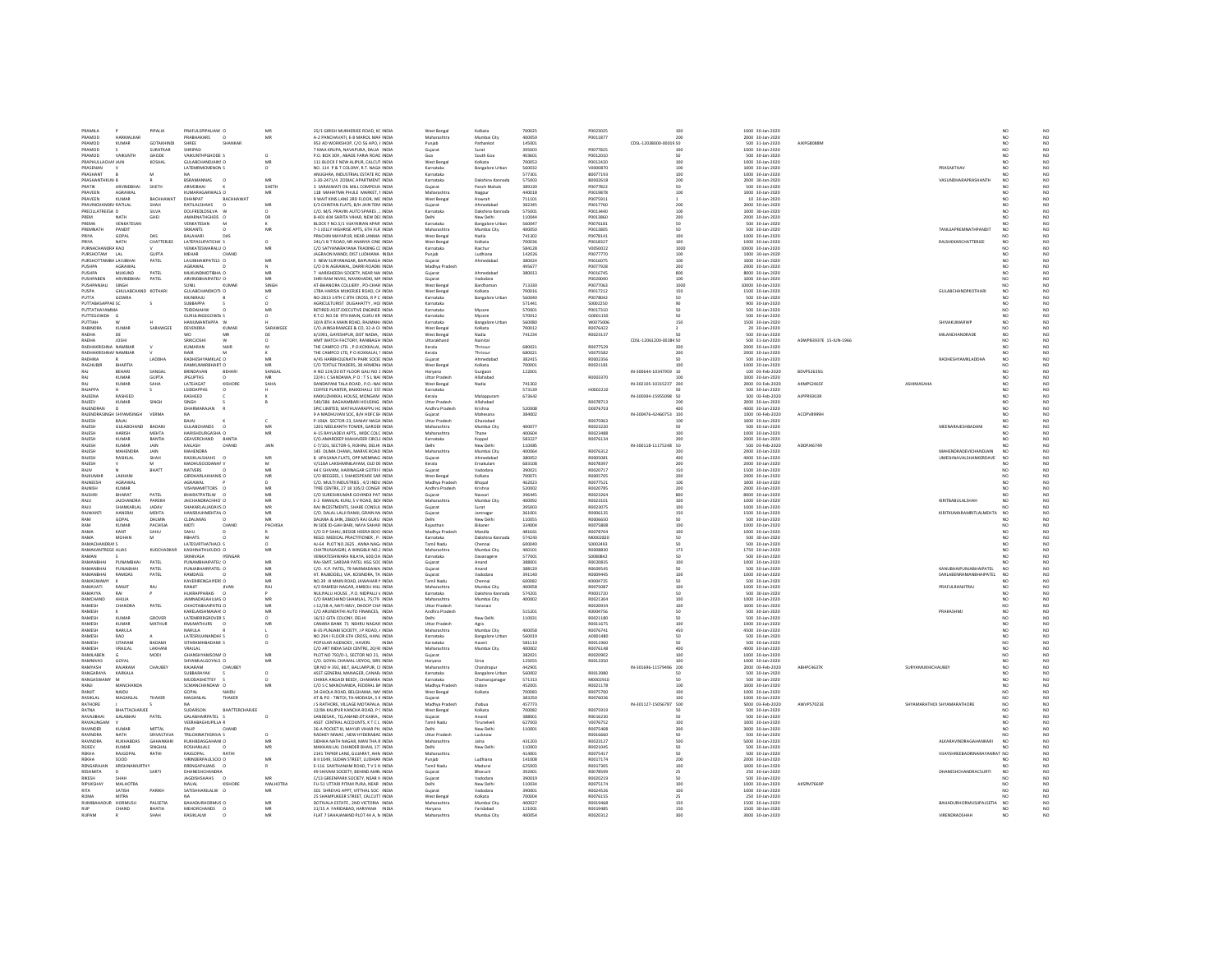| PRAMILA                 |                        | PIPALIA               | PRAFULSPIPALIAW O                       | MB              | 25/1 GIRISH MUKHERJEE ROAD, KC INDIA                                        | West Benga             | Kolkata                  | 700025           | P0023025           | 100                    | 1000 30-Jan-2020                     |                        |                            |                                |                 | NO.                   |
|-------------------------|------------------------|-----------------------|-----------------------------------------|-----------------|-----------------------------------------------------------------------------|------------------------|--------------------------|------------------|--------------------|------------------------|--------------------------------------|------------------------|----------------------------|--------------------------------|-----------------|-----------------------|
| PRAMOD                  | HARMALKAR              |                       | PRABHAKARS                              |                 | 4-2 PANCHAVATI, E-8 MAROL MAR INDIA                                         | Maharashtr             | Mumbai Cit               | 400059           | P001187            |                        | 2000 30-Jan-2020                     |                        |                            |                                |                 | $_{\rm NO}$           |
| PRAMOD                  | KUMAR                  | GOTAXHIND             | SHRFF<br>SHANKAR                        |                 | 953 AD WORKSHOP, C/O 56 APO, F INDIA                                        | Punjab                 | Pathankot                | 145001           |                    | CDSL-12038000-00015 50 | 500 31-Jan-2020                      | <b>AIKPGRORRM</b>      |                            |                                | NO              |                       |
| PRAMOD                  |                        | SURATKAR              | SHRIPAD                                 |                 | 7 MAA KRUPA, NAVAPURA, DALIA: INDIA                                         | Gujarat                | Surat                    | 395003           | P0077825           | 100                    | 1000 30-Jan-2020                     |                        |                            |                                | NO <sub>1</sub> | $_{\rm NO}^{\rm NO}$  |
| PRAMOD                  | VAIKUNTH               | GHODE                 | AIKUNTHPGHODE S                         |                 | P.O. BOX 309, ABADE FARIA ROAD INDIA                                        |                        | South Goa                | 403601           | P0012010           |                        | 500 30-Jan-2020                      |                        |                            |                                |                 | $_{\sf NO}$           |
| PRAPHULLACHAI JAIN      |                        | KOSHAL                | <b>GULABCHANDIAINS O</b>                |                 | 111 BLOCK F NEW ALIPUR, CALCUT INDIA                                        | West Benga             | Kolkata                  | 700053           | P0012420           | 100                    | 1000 30-Jan-2020                     |                        |                            |                                | N <sub>O</sub>  | NO                    |
| PRASENAN                |                        |                       | LATEMRMCMENON S                         |                 | NO. 114 P & T COLONY, R.T. NAGA INDIA                                       | Karnataka              | <b>Bangalore Urban</b>   | 560032           | V0000870           | 100                    | 1000 30-Jan-2020                     |                        |                            | PRASAKTHAV                     | NO <sub>1</sub> | NQ                    |
| PRASHANT                |                        | M                     |                                         |                 | ANUGHRA, INDUSTRIAL ESTATE RC INDIA                                         | Karnataka              |                          | 577301           | B0077193           | 100                    | 1000 30-Jan-2020                     |                        |                            |                                |                 | $_{\rm NO}$           |
| PRASHANTHICLIN R        |                        |                       | <b>RSRAMANNAS</b>                       | MR              | 3-30-2471/4 ZODIAC APARTMENT INDIA                                          | Karnataka              | Dakshina Kannada         | 575003           | <b>BODD2618</b>    | 200                    | 2000 30-Jan-2020                     |                        |                            | <b>VASUNDHARAPRASHANTH</b>     | NO              | NO.                   |
| PRATIK                  | ARVINDBHAI             | SHETH                 | ARIVDBHAI                               | SHETH           | 3 SARASWATI OIL MILL COMPOUN INDIA                                          | Guiarat                | Panch Mahals             | 389320           | P0077822           | 50                     | 500 30-Jan-2020                      |                        |                            |                                | NO <sub>1</sub> | NO <sub>1</sub>       |
| PRAVEEN                 | AGRAWAL                |                       | KUMARAGARWALS O                         |                 | 118 MAHATMA PHULE MARKET, I INDIA                                           | Maharashtr             | Nagpu                    | 440018           | P0019878           | 100                    | 1000 30-Jan-2020                     |                        |                            |                                | NO              | $_{\rm NO}$           |
| PRAVEEN                 | KUMAR                  | RACHHAWA <sup>*</sup> | <b>DHANPAT</b>                          | RACHHAWAT       | 9 WAIT KINS LANE 3RD FLOOR. WE INDIA                                        | West Benga             | Howrah                   | 711101           | P0075911           |                        | 10 30-lan-2020                       |                        |                            |                                | NO              |                       |
| PRAVINCHANDRJ RATILAL   |                        | SHAH                  | RATILALSHAHS                            |                 | E/3 CHINTAN FLATS, B/H JAIN TEM INDIA                                       | Gujarat                | Ahmedabad                | 382349           | P0017760           | 200                    | 2000 30-Jan-2020                     |                        |                            |                                | N <sub>O</sub>  | $_{\rm NO}^{\rm NO}$  |
| PRECILLATREESA D        |                        | SILVA                 | DOLFREDLDSILVA                          |                 | C/O. M/S. PRAVIN AUTO SPARES, ; INDIA                                       | Karnataka              | Dakshina Kannada         | 575001           | P0013440           | 100                    | 1000 30-Jan-2020                     |                        |                            |                                |                 | $_{\rm NO}$           |
| PREM                    | NATH                   | GHEI                  | AMARNATHGHEIS O                         | DF <sub>1</sub> | B-401 404 SARITA VIHAR, NEW DEL INDIA                                       | Delhi                  | New Delhi                | 110044           | P0013860           | 200                    | 2000 30-Jan-2020                     |                        |                            |                                |                 | NO                    |
| PREMA                   | VENKATESAN             |                       | VENKATESAN                              |                 | BLOCK F NO.5/1 VUAYKIRAN APAR' INDIA                                        | Karnataka              | Bangalore Urban          | 560047           | P0076181           | 50                     | 500 30-Jan-2020                      |                        |                            |                                |                 | NO<br>NO              |
| PREMNATH                | PANDIT                 |                       | SRIKANTS                                |                 | 7-1 JOLLY HIGHRISE APTS, 6TH FLR INDIA                                      | Maharashtr             | Mumbai City              | 400050           | P001380            | 50                     | 500 30-Jan-2020                      |                        |                            | TANUJAPREMNATHPANDIT           | NO              |                       |
| PRIVA                   | GOPAL                  | nas                   | RAI AHARI<br><b>DAS</b>                 |                 | PRACHIN MAYAPUR, NEAR JANMA: INDIA                                          | West Benga             | Nadia                    | 741302           | P0078141           | 100 <sub>0</sub>       | 1000 30-lan-2020                     |                        |                            |                                |                 |                       |
| PRIYA                   | NATH                   | CHATTERJEE            | LATEPASUPATICHA'S                       |                 | 241/1 B T ROAD, NR ANANYA CINE INDIA                                        | West Benga             | Kolkata                  | 700036           | P0018327           | 100                    | 1000 30-Jan-2020                     |                        |                            | <b>RAISHEKARCHATTERJEE</b>     | NO              | $_{\rm NO}^{\rm NO}$  |
| PURNACHANDRA RAO        |                        |                       | VENKATESWARALU C                        |                 | C/O SATYANARAYANA TRADING CC INDIA                                          | Karnataka              | Raichu                   | 584128           | /005002            | 1000                   | 10000 30-Jan-2020                    |                        |                            |                                |                 | $_{\rm NO}$           |
| PURSHOTAM               | 141                    | <b>GLIPTA</b>         | MEHAR<br>CHAND                          |                 | JAGRAON MANDI, DIST LUDHIANA INDIA                                          | Punjab                 | Ludhjana                 | 142026           | P0077770           | 100                    | 1000 30-00-2020                      |                        |                            |                                |                 |                       |
| PURSHOTTAMBI- LAVJIBHAI |                        | PATEL                 | LAVJIBHAIKPATELS O                      | MR              | 5 NEW SURYANAGAR, BAPUNAGA INDIA                                            | Gujarat                | Ahmedabar                | 380024           | P0016075           | 100                    | 1000 30-Jan-2020                     |                        |                            |                                | NO <sub>1</sub> | $_{\rm NO}^{\rm NO}$  |
| PUSHPA                  | AGRAWA                 |                       | AGRAWAL                                 |                 | C/O D N AGRAWAL, DARRI ROADKI INDIA                                         | Madhya Pradesi         |                          | 495677           | P007792            | 200                    | 2000 30-Jan-2020                     |                        |                            |                                |                 | $_{\sf NO}$           |
| <b>PUSHPA</b>           | MUKUND                 | PATEL                 | MUKUNDMOTIBHA O                         | MR              | 7 HARISHEEDH SOCIETY. NEAR NAI INDIA                                        | Guiarat                | Ahmedabar                | 380013           | P0016745           | 800                    | 8000 30-Jan-2020                     |                        |                            |                                | NO <sub>1</sub> | NO.                   |
| PUSHPABEN               | <b>ARVINDBHAI</b>      | PATEL                 | ARVINDBHAIPATEL\ O                      | MR              | SHRI RAM NIVAS, NAVIKHADKI, MA INDIA                                        | Guiarat                | Vadodara                 |                  | P0020040           | 100                    | 1000 30-Jan-2020                     |                        |                            |                                | NO <sub>1</sub> | NQ                    |
| PUSHPANJALI             | SINGH                  |                       | <b>SUNIL</b><br>KUMA)                   | SINGE           | AT-BHANORA COLLIERY . PO-CHAR INDIA                                         | West Benga             | Bardhaman                | 713330           | P0077063           | 1000                   | 10000 30-Jan-2020                    |                        |                            |                                | NO              | NQ                    |
| PUSPA                   | GHILLARCHAND KOTHARI   |                       | GULARCHANDKOTH O                        | MR              | 178A HARISH MUKERJEE ROAD, CA INDIA                                         | West Renea             | Kolkata                  | 700016           | P0017212           | 150                    | 1500 30-Jan-2020                     |                        |                            | GUI ARCHANDPKOTHARL            | NO              | $_{\rm NO}$           |
| PUTTA                   | GOWRA                  |                       | MUNIRAJU                                |                 | NO-2813 14TH C 8TH CROSS, R P C INDIA                                       | Karnataka              | <b>Bangalore Urban</b>   | 560040           | P0078042           | 50                     | 500 30-Jan-2020                      |                        |                            |                                | NO <sub>1</sub> | NO                    |
| PUTTABASAPPAE SC        |                        |                       | SUBBAPPA                                |                 | AGRICULTURIST DUGAHATTY, HOI INDIA                                          | Karnataka              |                          | 571441           | S0002250           |                        | 900 30-Jan-2020                      |                        |                            |                                |                 | $_{\rm NO}$           |
| ΡΗΤΤΑΤΗΔΥΔΜΜΑ           |                        |                       | TSIDDAIAHW                              | MR              | RETIRED ASST.EXECUTIVE ENGINEEI INDIA                                       | Karnataka              | Mysore                   | 570001           | P0017310           |                        | 500 30-Jan-2020                      |                        |                            |                                |                 |                       |
| PUTTEGOWDA G            |                        |                       | <b>GURULINGEGOWDJ S</b>                 |                 | R.T.O. NO.58 9TH MAIN, GURU KR INDIA                                        | Karnataka              | Mysore                   | 570012           | G0001150           |                        | 500 30-Jan-2020                      |                        |                            |                                | NO              | $_{\rm NO}^{\rm NO}$  |
| PUTTIAH                 |                        |                       | HANUMANTAPPA W                          |                 | 30/A 8TH A MAIN ROAD, RAJMAH/ INDIA                                         | Karnataka              | <b>Bangalore Urbar</b>   | 560080           | W0075006           |                        | 1500 30-Jan-2020                     |                        |                            | SHIVAKUMARWI                   |                 | NO                    |
| RABINDRA                | KUMAR                  | SARAWGER              | <b>DEVENDRA</b><br>KLIMAR               | SARAWGEL        | C/O.JAINSARAWGEE & CO. 32-A CHINDIA                                         | West Renea             | Kolkatz                  | 700012           | R0076422           |                        | 20 30-lan-2020                       |                        |                            |                                | NO              |                       |
| RADHA                   | <b>DF</b>              |                       | MR<br>wn                                | <b>DF</b>       | 6/1991, GAYESHPUR, DIST NADIA, ' INDIA                                      | West Benga             | Nadia                    | 741234           | R0023137           |                        | 500 30-Jan-2020                      |                        |                            | MILANCHANDRADE                 | NO              | $_{\rm NO}^{\rm NO}$  |
| RADHA                   | JOSH                   |                       | SRIKCIOSH                               |                 | HMT WATCH FACTORY. RANIBAGH INDIA                                           |                        |                          |                  |                    | CDSL-12061200-00284 50 | 500 31-Jan-2020                      | ADWPB3937E 15-JUN-1966 |                            |                                |                 | NQ                    |
| RADHAKRISHNA NAMRIAE    |                        |                       | KUMARAN<br><b>NAIR</b>                  |                 | THE CAMPCO LTD. . P.O.KOKKALAI. INDIA                                       | Uttarakhan<br>Kerala   | Nainital<br>Thrisque     | 680021           | 80077529           | 200                    | 2000 30-Jan-2020                     |                        |                            |                                |                 |                       |
|                         |                        |                       |                                         |                 |                                                                             |                        |                          |                  |                    |                        |                                      |                        |                            |                                |                 | $_{\sf NO}$           |
| RADHAKRISHNAI NAMBIAR   |                        |                       | NAIR                                    |                 | THE CAMPCO LTD. P O KOKKALAI. 1 INDIA                                       | Kerala                 | Thrissur                 | 680021           | V0075582           | 200                    | 2000 30-Jan-2020                     |                        |                            |                                |                 | N <sub>O</sub>        |
| RADHIKA                 |                        | LADDH/                | RADHESHYAMKLAC O                        |                 | A/45 HARBHOLENATH PARK SOCIE INDIA                                          | Gujarat                |                          | 382419           | R0002356           |                        | 500 30-Jan-2020                      |                        |                            | RADHESHYAMKLADDHA              | NO              | $_{\rm NO}$           |
| RAGHUBIR                | <b>BHARTIA</b>         |                       | RAMKUMARBHART O                         | MR              | C/O TEXTILE TRADERS, 38 ARMENU INDIA                                        | West Benga             | Kolkata                  | zonnos           | R0021181           | 100                    | 1000 30-Jan-2020                     |                        |                            |                                | NO <sub>1</sub> | $_{\rm NO}^{\rm NO}$  |
| RAJ                     | BEHARI                 | SANGAL                | BRINDAVAN<br>BEHARI                     | SANGAL          | H NO 124/20 IST FLOOR GALL NO 1 INDIA                                       | Harvana                | Gurgaon                  | 122001           |                    | IN-300644-10347959 10  | 100 03-Feb-2020                      | <b>BDVPS2635G</b>      |                            |                                |                 |                       |
|                         | KUMAR                  | <b>GUPTA</b>          | <b>JPGUPTAS</b>                         |                 | 22/4 LC SANDAWA, P.O.: T.S.L NAI INDIA                                      | <b>Uttar Prades</b>    | Allahabad                |                  | R0003370           |                        | 1000 30-Jan-2020                     |                        |                            |                                | NO <sub>1</sub> | NQ                    |
| RAI                     | KUMAR                  | SAHA                  | <b>LATFIAGAT</b><br>KISHORE             | SAHA            | DANDAPANI TALA ROAD P.O. NAF INDIA                                          | West Reneal            | Nadia                    | 741302           |                    | IN-302105-10315237 200 | 2000 03-Feb-2020                     | <b>AKMPS2465F</b>      | <b>ASHIMASAHA</b>          |                                | NO              |                       |
| RAJAPPA                 |                        |                       | <b>LSIDDAPPAS</b><br>$\Omega$           |                 | COFFEE PLANTER, KAKKEHALLI EST INDIA                                        | Karnataka              |                          | 573139           | H0002210           |                        | 500 30-Jan-2020                      |                        |                            |                                | N <sub>O</sub>  | $\frac{NO}{NO}$       |
| RAJEENA                 | RASHEED                |                       | RASHEED                                 |                 | KAKKUZHIKKAL HOUSE. MONGAM INDIA                                            | Kerala                 | Malappuran               | 673642           |                    | IN-300394-15955098 50  | 500 03-Feb-2020                      | AJPPR9303F             |                            |                                | NO <sub>1</sub> | $_{\rm NO}$           |
| RAJEEV                  | KUMAR                  | SINGH                 | SINGH                                   |                 | 540/386 BAGHAMBARI HOUSING: INDIA                                           | Uttar Pradesh          | Allahabad                |                  | R0078713           |                        | 2000 30-Jan-2020                     |                        |                            |                                |                 | $_{\sf NO}$           |
| RAJENDRAN               | n.                     |                       | DHARMARAJAN                             |                 | SPIC LIMITED, MATHUVARAPPU HC INDIA                                         | Andhra Pradesh         | Krishna                  | 520008           | D0076703           |                        | 4000 30-Jan-2020                     |                        |                            |                                | N <sub>O</sub>  |                       |
| RAJENDRA:               |                        | VERMA                 | NA                                      |                 | 9 A MADHUVAN SOC, B/H HDFC B/ INDIA                                         | Gujarat                | Mahesana                 | 384002           |                    | IN-300476-42460753 100 | 1000 03-Feb-2020                     | ACOPV8999              |                            |                                |                 | NO<br>NO              |
| RAJESH                  | BAJAJ                  |                       | BAJAJ                                   |                 | P-106A SECTOR-23, SANJAY NAGA INDIA                                         | <b>Uttar Pradesh</b>   | Ghaziabad                |                  | R0075963           | 100                    | 1000 30-Jan-2020                     |                        |                            |                                |                 |                       |
| RAJESH                  | GULABCHAND             | BADAN                 | <b>GULABCHANDS</b>                      | MR              | 1201 NEELKANTH TOWER, GARODI INDIA                                          | Maharashtra            | Mumbai City              | 400077           | R0023220           |                        | 500 30-Jan-2020                      |                        |                            | MEENARAJESHBADANI              | NO <sub>1</sub> | $_{\rm NO}^{\rm NO}$  |
| RAJESH                  | HARISH                 | MEHTA                 | HARISHDURGASHA O                        | MR              | A-15 RAYLADEVI APTS MIDC COLC INDIA                                         | Maharashtra            | Thane                    | 400604           | R0023488           |                        | 1000 30-Jan-2020                     |                        |                            |                                |                 | NQ                    |
| RAJESH                  | KUMAR                  | BANTIA                | GEAVERCHAND<br>BANTH                    |                 | C/O.AMARDEEP MAHAVEER CIRCLE INDIA                                          | Karnataka              |                          | 583227           | R0076134           |                        | 2000 30-Jan-2020                     |                        |                            |                                |                 |                       |
| RAJESH                  | KUMAR                  | JAIN                  | KAILASH<br>CHAND                        | JAIN            | C-7/101, SECTOR-S, ROHINI, DELHI INDIA                                      |                        | New Delh                 | 110085           |                    | IN-300118-11175248 50  | 500 03-Feb-2020                      | ADDPJ4674R             |                            |                                |                 | NO<br>NO              |
|                         |                        |                       |                                         |                 |                                                                             |                        |                          |                  | R0076312           |                        |                                      |                        |                            | MAHENDRADEVICHANDJAIN          |                 | $_{\rm NO}$           |
| RAJESH<br><b>RAIFSH</b> | MAHENDRA<br>RASIKLAL   | JAIN<br>SHAH          | MAHENDRA<br>RASIKLALSHAHS               | MR              | 145 DLIMA CHAWL. MARVE ROAD INDIA<br>8 UPASANA FLATS, OPP MEMNAG INDIA      | Maharashtra<br>Guiarat | Mumbai City<br>Ahmedahar | 400064<br>380052 | R0005081           | 200<br>400             | 2000 30-Jan-2020<br>4000 30-Jan-2020 |                        |                            | UMESHNAVALSHANKERDAVE          | NO<br>NO        |                       |
|                         |                        |                       |                                         |                 |                                                                             |                        |                          |                  |                    |                        |                                      |                        |                            |                                |                 | $_{\rm NO}$           |
| RAJESH                  |                        |                       | MADHUSOODANAMV                          |                 | V/118A LAKSHMINILAYAM, OLD DE INDIA                                         | Kerala                 | Ernakulam                | 683108           | R0078397           | 200                    | 2000 30-Jan-2020                     |                        |                            |                                |                 | NO                    |
| RAJIV                   |                        | BHATT                 | NATVERS                                 |                 | 44 E SHIVAM, HARINAGAR GOTRI F INDIA                                        | Gujarat                | Vadodara                 | 390021           | R0020717           | 150                    | 1500 30-Jan-2020                     |                        |                            |                                |                 | $_{\rm NO}$           |
| <b>RAIKUMA</b>          | LAKHAN                 |                       | GIRDHARLAKHANIS O                       | MR              | C/O BEEGEES, 1 SHAKESPEARE SAR INDIA                                        | West Benga             | Kolkata                  | 700071           | <b>ROODS70</b>     | 200                    | 2000 30-Jan-2020                     |                        |                            |                                |                 | $_{\rm NO}^{\rm NO}$  |
| RAJNEESH                | AGRAWAL                |                       | <b>AGRAWAL</b>                          |                 | C/O. MULTI INDUSTRIES . 4/2 INDU INDIA                                      | Madhya Pradesh         | Bhopal                   | 462023           | R0077521           | 100                    | 1000 30-Jan-2020                     |                        |                            |                                | N <sub>O</sub>  |                       |
| RAJNISH                 | KUMAR                  |                       | VISHWAMITTORS O                         |                 | TYRE CENTRE, 27 18 105/2 CONGR INDIA                                        | Andhra Pradesh         | Krishna                  | 520002           | R0020785           | 200                    | 2000 30-Jan-2020                     |                        |                            |                                |                 | NQ                    |
| RAJSHR                  | BHARAT                 | PATEL                 | BHARATPATELW                            |                 | C/O SURESHKUMAR GOVINDJI PAT INDIJ                                          | Gujarat                | Navsar                   | 396445           | R002326            | 800                    | 8000 30-Jan-2020                     |                        |                            |                                |                 |                       |
| RAJU                    | <b>JAICHANDRA</b>      | PAREKH                | JAICHANDRACHHO' O                       | MR              | E-2 MANGAL KUNJ, S V ROAD, BOF INDIA                                        | Maharashtra            | Mumbai City              | 400092           | R0023101           | 100                    | 1000 30-Jan-2020                     |                        |                            | KIRITBABULALSHAH               | NO              | NO<br>NO              |
| RAJU                    | SHANKARLAL             | JADAV                 | SHAKARLALJADAVS O                       | MB              | RAJ INCESTMENTS. SHARE CONSUL INDIA                                         | Gujarat                | Surat                    | 395003           | R0023075           | 100                    | 1000 30-Jan-2020                     |                        |                            |                                |                 | $_{\rm NO}$           |
| <b>RAIWANTI</b>         | HANSRAI                | MEHTA                 | HANSRAJHMEHTAV O                        | MR              | C/O. DALAL LALJI RAMJI, GRAIN M/ INDIA                                      | Gujara                 | Jamnaga                  | 361001           | R0006135           | 150                    | 1500 30-Jan-2020                     |                        |                            | KIRITKUMARAMRITLALMEHTA        | N <sub>O</sub>  | $_{\sf NO}$           |
| RAM                     | GOPAL                  | DALMIA                | <b>CLDALMIAS</b>                        | MR              | DALMIA & JAIN, 2860/5 RAJ GURU INDIA                                        | Delhi                  | New Delhi                | 110055           | R0006650           | 50                     | 500 30-Jan-2020                      |                        |                            |                                | N <sub>O</sub>  | NO <sub>1</sub>       |
| RAM                     | KUMAF                  | PACHISIA              | CHAND<br>MOTI                           | PACHISIA        | IN SIDE ID-GAH BARI, NAYA SAHAR INDIA                                       | Rajasthar              | Bikaner                  | 334004           | R0075808           | 100                    | 1000 30-Jan-2020                     |                        |                            |                                |                 | $\overline{NQ}$       |
| RAMA                    | KANT                   | SAHU                  | SAHU                                    |                 | C/O D P SAHU, BESIDE HEERA BOO INDIA                                        | Madhya Prades          | Mandla                   | 481661           | R0078704           | 100                    | 1000 30-Jan-2020                     |                        |                            |                                |                 |                       |
| RAMA                    | MOHAN                  | M                     | <b>RBHATS</b>                           |                 | REGD, MEDICAL PRACTITIONER . P. INDIA                                       | Karnataka              | Dakshina Kannada         | 574243           | M0002820           | 50                     | 500 30-Jan-2020                      |                        |                            |                                | N <sub>O</sub>  | NO<br>NO              |
| RAMACHANDRAI S          |                        |                       | LATESVRTHATHACHS                        |                 | AJ-64 PLOT NO.2625, ANNA NAGJ INDIA                                         | Tamil Nadu             | Chennai                  | 600040           | S0002493           | 50                     | 500 30-Jan-2020                      |                        |                            |                                | N <sub>O</sub>  | NO                    |
| RAMAKANTREGE ALIAS      |                        | KUDCHADKAR            | KASHINATHLKUDCI- O                      |                 | CHATRUNIAIGIRI. A WINGBLK NO.2 INDIA                                        | Maharashtr.            | Mumbai City              | 400101           | R0008830           | 175                    | 1750 30-Jan-2020                     |                        |                            |                                |                 | $_{\sf NO}$           |
| RAMAN                   |                        |                       | SRINIVASA<br><b>IYENGAR</b>             |                 | VENKATESHWARA NILAYA, 600/2A INDIA                                          | Karnataka              | Davanage                 | 577001           | \$0080842          | 50                     | 500 30-Jan-2020                      |                        |                            |                                | NO              | NO <sub>1</sub>       |
|                         |                        | PATEL                 |                                         |                 |                                                                             |                        |                          |                  | R0020835           |                        | 1000 30-Jan-2020                     |                        |                            |                                |                 | $_{\rm NO}$           |
| RAMANBHA<br>RAMANBHA    | PUNAMBHAI<br>PUNJABHAI | PATEL                 | PUNAMBHAIPATEL! O<br>PUNJABHAIRPATEL: O | MF              | RAJ-SMIT, SARDAR PATEL HSG SOC INDIA<br>C/O. K.P. PATEL, 79 NARMADAWA INDIA | Gujarat                | Anand<br>Anand           | 388001           |                    |                        |                                      |                        |                            |                                | NO              | $_{\rm NO}$           |
| RAMANRHAI               | RAMDAS                 | PATEL                 | <b>RAMDASS</b>                          | MR              | AT RAIRODELL VIA KOSINDRA TA INDIA                                          |                        |                          |                  |                    | 100                    |                                      |                        |                            |                                |                 |                       |
| RAMASWAMY               |                        |                       | KAVERIRENGAIVERS O                      | MB              | NO.39 III MAIN ROAD, JAWAHAR N INDIA                                        |                        |                          | 388120           | R0009545           | 50                     | 500 30-Jan-2020                      |                        |                            | KANUBHAIPUNJABHAIPATEL         |                 |                       |
| RAMAVATI                | RANJO                  | RAJ                   | RANJIT                                  | RAI             |                                                                             | Guiarat                | Vadodara                 | 391140           | ROODRAAS           | 100 <sub>0</sub>       | 1000 30-lan-2020                     |                        |                            | SARI ARENRAMANRHAIPATEI        | NO <sub>1</sub> |                       |
| RAMAYYA                 | <b>DAI</b>             |                       | HUKRAPPARAIS O                          |                 |                                                                             | Tamil Nadu             | Chennai                  | 600082           | K0004735           | 50                     | 500 30-Jan-2020                      |                        |                            |                                |                 | $_{\rm NO}^{\rm NO}$  |
|                         |                        |                       |                                         |                 | 4/2 RAMESH NAGAR, AMBOLI HILL INDIA                                         | Maharashtra            | Mumbai City              | 400058           | R0075087           | 100                    | 1000 30-Jan-2020                     |                        |                            | PRAFULRANJITRA                 |                 | $_{\sf NO}$           |
| RAMCHAND                | AHUJA                  |                       |                                         |                 | NULIVALLI HOUSE. P.O. NIDPALLI V. INDIA                                     | Karnataka              | Dakshina Kannada         | 574201           | P0001720           | 50                     | 500 30-lan-2020                      |                        |                            |                                | NO              |                       |
| RAMESH<br>RAMESH        |                        |                       | JAMNADASAHUJAS O                        | MF              | C/O RAMCHAND SHAMLAL, 75/79 INDIA                                           | Maharashtra            | Mumbai City              | 400002           | R0021304           | 100                    | 1000 30-Jan-2020                     |                        |                            |                                | NO <sub>1</sub> | $_{\rm NO}^{\rm NO}$  |
|                         | <b>CHANDRA</b>         | PATEL                 | CHHOTABHAIPATEL O                       | MF              | J-12/38-A. NATI-IMLY. DHOOP CHA INDIA                                       | <b>Uttar Pradesh</b>   | Varanas                  |                  | R002093            | 100                    | 1000 30-Jan-2020                     |                        |                            |                                |                 |                       |
| RAMESH<br>RAMESH        |                        |                       | KARELAKSHMAIAH! O                       | MB              | C/O ARUNDATHI AUTO FINANCES, INDIA                                          | Andhra Pradesh         |                          | 515201           | K0004756           | 50                     | 500 30-Jan-2020                      |                        |                            | PRAKASHMJ                      | N <sub>O</sub>  | $_{\rm NO}^{\rm NO}$  |
|                         | KUMAR                  | GROVER                | LATEMRRRGROVER S                        |                 | 16/12 GITA COLONY, DELHI<br><b>INDM</b>                                     | Delhi                  | New Delhi                | 110031           | R0021180           | 50                     | 500 30-Jan-2020                      |                        |                            |                                | NO              | NQ                    |
|                         | KUMAR                  | <b>MATHUR</b>         | KMLMATHURS                              | MF              | CANARA BANK 71 NEHRU NAGAR INDIA                                            | <b>Uttar Pradesh</b>   |                          |                  | R0011675           | 100                    | 1000 30-Jan-2020                     |                        |                            |                                | NO              | $_{\rm NO}$           |
| RAMESH                  | NARULA                 |                       | NARLIJA                                 |                 | <b>B-35 PUNIARI SOCIETY LP ROAD 4 INDIA</b>                                 | Maharashtra            | Mumhai City              | 400058           | 80076741           | 450                    | 4500 30-lan-2020                     |                        |                            |                                | NO              |                       |
| RAMESH                  | RAD                    |                       | LATESRIUANANDAF S                       |                 | NO 294 I FLOOR 6TH CROSS, HANL INDIA                                        | Karnataka              | <b>Bangalore Urban</b>   | 560019           | A0001480           | 50                     | 500 30-Jan-2020                      |                        |                            |                                | NO <sub>1</sub> | $_{\rm NO}^{\rm NO}$  |
| RAMESH                  | SITARAM                | BADAM                 | SITARAMHBADAMI:                         |                 | POPULAR AGENCIES, HAVERI.                                                   | Karnataka              |                          | 581110           | R0011960           |                        | 500 30-Jan-2020                      |                        |                            |                                |                 | $_{\sf NO}$           |
| RAMESH                  | VRAJLAI                | <b>LAKHANI</b>        | VRAIL AL                                |                 | C/O ART INDIA SADI CENTRE, 20/48 INDIA                                      | Maharashtra            | Mumbai City              | 400002           | R0076148           | $A \cap \cap$          | 4000 30-Jan-2020                     |                        |                            |                                | NO <sub>1</sub> |                       |
| RAMILABEN               |                        | MODI                  | GHANSHYAMSOM# O                         |                 | PLOT NO 792/D-1, SECTOR NO 21, INDIA                                        | Gujarat                |                          | 382021           | R0020902           | 100                    | 1000 30-Jan-2020                     |                        |                            |                                | N <sub>O</sub>  | $_{\rm NO}^{\rm NO}$  |
| RAMNIVAS                | GOYAL                  |                       | SHYAMLALGOYALS O                        |                 | C/O. GOYAL CHAWAL UDYOG. SIRS INDIA                                         | Haryana                | Sirsa                    | 125055           | R0013350           |                        | 1000 30-Jan-2020                     |                        |                            |                                |                 |                       |
| RAMYASH                 | RAJARAM                | CHAUBEY               | RAJARAM<br>CHAUBEY                      |                 | QR NO H 392, BILT, BALLARPUR, CHNDIA                                        | Maharashtra            | Chandrapur               | 442901           |                    | IN-301696-11579496 200 | 2000 03-Feb-2020                     | ABHPC4637K             | SURYAMUKHICHAUBEY          |                                | N <sub>O</sub>  | NO<br>NO              |
| RANGARAYA               | KARKALA                |                       | SUBBARAYAK                              |                 | ASST.GENERAL MANAGER, CANARI INDIA                                          | Karnataka              | <b>Bangalore Urban</b>   | 560002           | R0013980           |                        | 500 30-Jan-2020                      |                        |                            |                                | NO <sub>1</sub> | NQ                    |
| RANGASWAM               |                        |                       | MUDDASHETTEY                            |                 | CHIKKA ANGADI BEEDI , CHAMARA INDIA                                         | Karnataka              | Chamarajanaga            | 571313           | M0002910           |                        | 500 30-Jan-2020                      |                        |                            |                                |                 | $_{\rm NO}$           |
| RANII                   | MANCHANDA              |                       | SCMANCHANDAW O                          | MR              | C/O S C MANCHANDA, FEDERAL R4 INDIA                                         | Madhua Pradesh         | Indore                   | 452001           | 80021178           | 100                    | 1000 30-Jan-2020                     |                        |                            |                                | NO              |                       |
| RANJIT                  | NAIDU                  |                       | GOPAL<br>NAIDU                          |                 | 34 GHOLA ROAD, BELGHANIA, NA? INDIA                                         | West Bengal            | Kolkata                  | 700083           | R0075700           | 100                    | 1000 30-Jan-2020                     |                        |                            |                                | NO <sub>1</sub> |                       |
| RASIKLAI                | MAGANLAL               | THAKER                | MAGANLAL<br>THAKER                      |                 | AT & PO - TINTOI, TA-MODASA, S K INDIA                                      | Gujarat                |                          | 383250           | R0076036           | 100                    | 1000 30-Jan-2020                     |                        |                            |                                |                 | $_{\rm NO}^{\rm NO}$  |
| RATHORE                 |                        |                       |                                         |                 |                                                                             |                        | Ibabua                   | 457773           |                    |                        |                                      |                        |                            |                                |                 | $_{\sf NO}$           |
|                         |                        |                       |                                         |                 | J S RATHORE, VILLAGE MOTAPALA, INDIA                                        | Madhya Pradesh         |                          |                  |                    | IN-301127-15056787 500 | 5000 03-Feb-2020                     | AWVPS7023E             | SHYAMARATHOI SHYAMARATHORE |                                | NO <sub>1</sub> |                       |
| RATNA                   | BHATTACHARJEE          |                       | SUDARSON                                | BHATTERCHARJEE  | 12/8A KALIPUR KANCHA ROAD, P C INDIA                                        | West Bengal            | Kolkata                  | 700082           | R0075919           |                        | 500 30-Jan-2020                      |                        |                            |                                | N <sub>O</sub>  | $_{\rm NO}^{\rm NO}$  |
| RAVAJIBHA               | <b>GALABHAI</b>        | PATEL                 | <b>GALABHAIRPATEL</b>                   |                 | SANDESAR., TO, ANAND.DT.KAIRA., INDIA                                       | Gujarat                | Anand                    | 388001           | R0016230           |                        | 500 30-Jan-2020                      |                        |                            |                                |                 | NO                    |
| <b>RAVIALINGAM</b>      |                        |                       | VEERARAGHUPILLA R                       |                 | ASST CENTRAL ACCOUNTS K.T.C.I' INDIA                                        | Tamil Nadu             | Tinuneluel               | 627003           | V0076752           | 100 <sub>0</sub>       | 1000 30-lan-2020                     |                        |                            |                                | NO <sub>1</sub> | NO <sub>1</sub>       |
| <b>RAVINDER</b>         | KUMAR                  | <b>MITTAL</b>         | PALIP<br>CHAND                          |                 | 26-A POCKET III. MAYUR VIHAR PH, INDIA                                      | Delhi                  | New Delhi                | 110001           | R0075408           | 300                    | 3000 30-Jan-2020                     |                        |                            |                                |                 | NO.                   |
| RAVINDRA                | <b>NATH</b>            | SRIVASTAVA            | TRILOKINATHSRIVA S                      |                 | RADHEY NIWAS, NEW HYDERABAE INDIA                                           | <b>Uttar Pradesi</b>   | Lucknow                  |                  | R001666            |                        | 500 30-Jan-2020                      |                        |                            |                                |                 | $_{\rm NO}$           |
| RAVINDRA                | <b>RUKHARDAS</b>       | GAHANKARI             | <b>RUKHRDASSAHANLO</b>                  | MR              | SIDHHA NATH NAGAR, MAN THA R INDIA                                          | Maharashtra            | taloa                    | 431203           | R0023127           | son                    | 5000 30-Jan-2020                     |                        |                            | ALKARAVINDRAGAHANKARI          | <b>NO</b>       | $_{\rm NO}$           |
| REJEEV                  | KUMAR                  | SINGHAL               | ROSHANLALS                              | MR              | MAKHAN LAL CHANDER BHAN, 171 INDIA                                          | Delhi                  | New Delhi                | 110003           | R0021045           | 50                     | 500 30-Jan-2020                      |                        |                            |                                |                 | NO.                   |
| REKHA                   | RAJGOPAI               | RATH                  | RAJGOPAL                                |                 | 2141 TAPKIR LANE, GUJARAT, AHN INDIA                                        | Maharashtr.            |                          | 414001           | R007541            |                        | 500 30-Jan-2020                      |                        |                            | VIJAYSHREEBADRINARAYANRAT NO   |                 | $_{\rm NO}$           |
| REKHA                   | snop                   |                       | VIRINDERPAULSOD O                       | ME              | B II 1049, SUDAN STREET, LUDHIAN INDIA                                      |                        | Indhiana                 | 141008           | R0017174           | 200                    |                                      |                        |                            |                                |                 |                       |
| RENGARAJAN              | KRISHNAMURTHY          |                       | RRENGAPAJANS O                          |                 | E-116 SANTHANAM ROAD, TVS N INDIA                                           | Tamil Nadu             | Madurai                  | 625003           | R0017305           | 100                    | 2000 30-Jan-2020<br>1000 30-Jan-2020 |                        |                            |                                |                 |                       |
| RESHMITA                |                        | SARTI                 | DHANESHCHANDRA                          |                 | 49 SHIVAM SOCIETY, BEHIND AMR. INDIA                                        | Guiarat                | Bharuch                  | 392001           | R0078599           |                        | 250 30-Jan-2020                      |                        |                            | DHANESHCHANDRACSURT            |                 | $_{\rm NO}^{\rm NO}$  |
| RIKFSH                  | CHAL                   |                       | JAGDISHSHAHS O                          | MR              | C/13 GREENPARK SOCIETY, NEAR N. INDIA                                       | Guiarat                | Vadodara                 | 390019           | R0020219           |                        | 500 30-Jan-2020                      |                        |                            |                                | <b>MO</b>       | NO<br>NO <sub>1</sub> |
| <b>RIPUKSHAY</b>        | MALHOTRA               |                       | NAUAL<br>KISHORE                        | MALHOTRA        | FU-51 UTTARI PITAM PURA, NEAR   INDIA                                       | Delhi                  | New Delhi                | 110034           | R0075174           | 100                    | 1000 30-Jan-2020                     | AKSPM7669F             |                            |                                |                 | NO.                   |
|                         | SATISH                 | PARKH                 |                                         |                 |                                                                             |                        |                          |                  | R002452            |                        |                                      |                        |                            |                                |                 |                       |
| <b>RITA</b><br>ROMA     | MITRA                  |                       | SATISHHARILALW O                        |                 | SHREYAS APPT, VITTHAL SOC INDIA                                             |                        | Kolkata                  | 39000<br>zonnos  | <b>RODZ6155</b>    |                        | 1000 30-Jan-2020                     |                        |                            |                                |                 | $_{\rm NO}$           |
|                         |                        |                       |                                         |                 | 25 SHAMPUKEER STREET, CALCUTT INDIA                                         | West Bengal            |                          |                  |                    | 25                     | 250 30-Jan-2020                      |                        |                            |                                |                 | NO                    |
| RUMIBAHADUR HORMUSJI    |                        | PALSETIA              | <b>BAHADURHORMUS O</b>                  | MR              | DOTIVALA ESTATE . 2ND VICTORIA INDIA                                        | Maharashtra            | Mumbai City              | 400027           | R0019468           | 150                    | 1500 30-Jan-2020                     |                        |                            | <b>BAHADURHORMUSJIPALSETIA</b> | <b>NO</b>       | NO.                   |
| <b>RUPAM</b>            | CHAND                  | <b>BHATIA</b><br>SHAH | MEHORCHANDS<br>RASIKLALW                |                 | 31/15 A FARIDABAD, HARIYANA INDIA<br>FLAT 7 SAHAJANAND PLOT 44 A. N INDIA   | Haryana<br>Maharashtr. | Faridabad<br>Mumbai City | 121001           | R0019485<br>002031 |                        | 1500 30-Jan-2020<br>3000 30-Jan-2020 |                        |                            | VIRENDRADSHAH                  |                 |                       |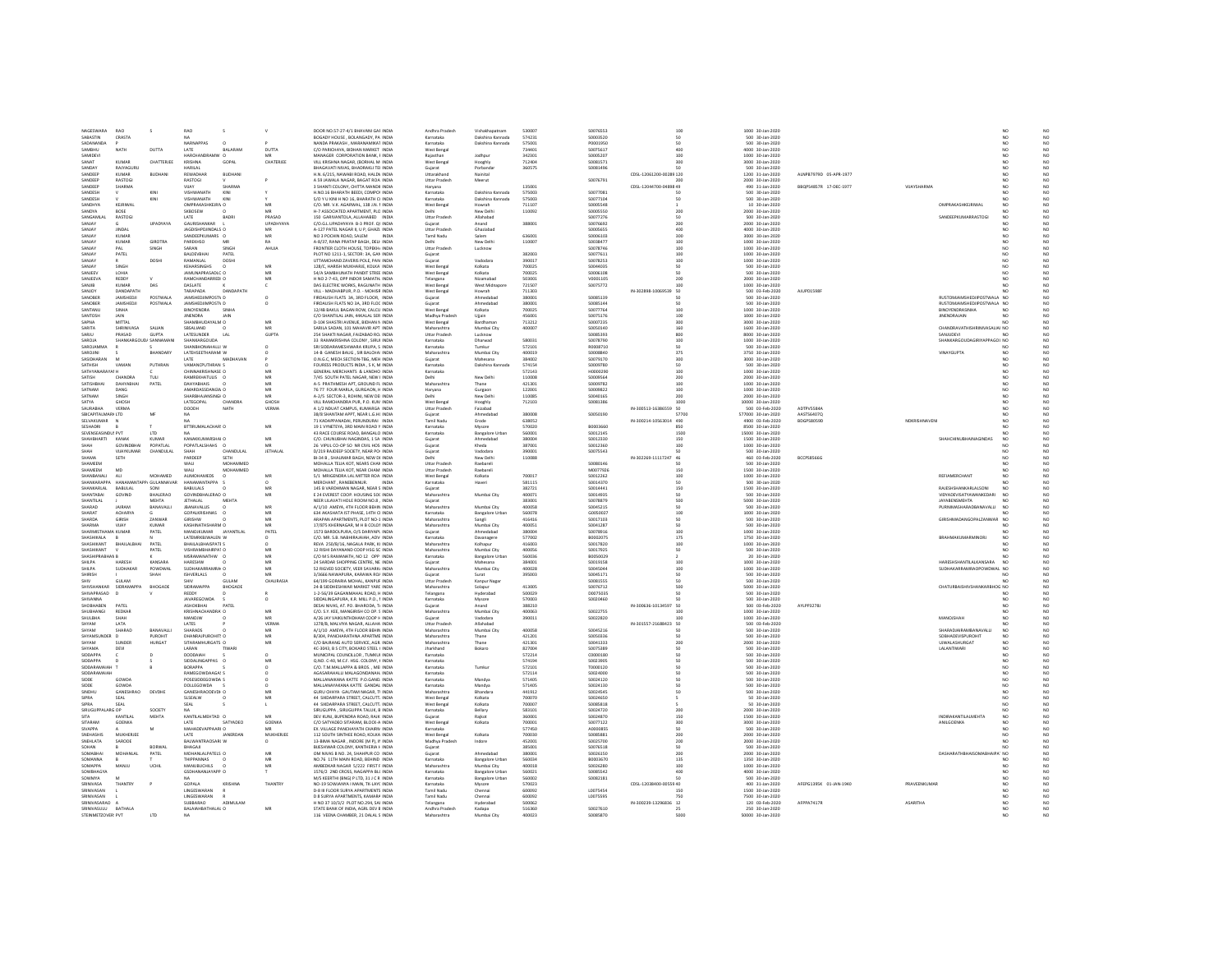|                                | RAO                           |                                 | <b>RAO</b>                      |                |                          | DOOR NO.57-27-4/1 BHAVANI GAF INDIA                                        | Andhra Pradesh             | Vishakhapatnam         | 530007           | S0076553             |                         |                 | 1000 30-Jan-2020                   |                        |                 |                                           |                 |                                                                   |
|--------------------------------|-------------------------------|---------------------------------|---------------------------------|----------------|--------------------------|----------------------------------------------------------------------------|----------------------------|------------------------|------------------|----------------------|-------------------------|-----------------|------------------------------------|------------------------|-----------------|-------------------------------------------|-----------------|-------------------------------------------------------------------|
| NAGESWARA<br>SABASTIN          | CRASTA                        |                                 |                                 |                |                          | BOGADY HOUSE, BOLANGADY, PA INDIA                                          | Karnataka                  | Dakshina Kannada       | 574231           | \$0003520            |                         |                 | 500 30-Jan-2020                    |                        |                 |                                           |                 | NO<br>NO<br>NO<br>NO                                              |
| SADANANDA                      |                               |                                 | NARNAPPAS                       | $\Omega$       |                          | NANDA PRAKASH MARANAMIKAT INDIA                                            | Karnataka                  | Dakshina Kannada       | 575001           | P0001950             |                         | 50              | 500 30-Jan-2020                    |                        |                 |                                           | NO              |                                                                   |
| SAMBHU                         | NATH                          | DUTTA                           | LATE                            | BALARAN        | DUTTA                    | C/O PARICHAYA, BIDHAN MARKET INDIA                                         | West Benga                 |                        | 734401           | S0075617             |                         | 400             | 4000 30-Jan-2020                   |                        |                 |                                           | NO              |                                                                   |
| SAMIDEV                        |                               |                                 | HARCHANDRAMV                    |                |                          | MANAGER CORPORATION BANK, F INDIA                                          |                            | Jodhpu                 | 342301           | S0005207             |                         | 100             | 1000 30-Jan-2020                   |                        |                 |                                           |                 |                                                                   |
| SANAT                          | KUMAR                         | CHATTERJEE                      | <b>KRISHNA</b>                  | GOPAL          | CHATERJEE                | VILL KRISHNA NAGAR, (BORHAL M INDIA                                        | West Benga                 | Hooghly                | 712404           | \$0081571            |                         | 300             | 3000 30-Jan-2020                   |                        |                 |                                           | NO.             | $\frac{NO}{NO}$                                                   |
| SANDAY                         | RAJYAGURU                     |                                 | HARILAL                         |                |                          | BHAGAVATI NIVAS, BHADRAKLI TEI INDIA                                       | Gujarat                    | Porbandar              | 360575           | S0081496             |                         |                 | 500 30-Jan-2020                    |                        |                 |                                           |                 | $\begin{array}{c}\nN & 0 \\ N & 0 \\ N & 0 \\ N & 0\n\end{array}$ |
| SANDEEP                        | KUMAR                         | <b>BUDHAN</b>                   | REWADHAR                        | <b>RUDHAN</b>  |                          | H.N. 6/215, NAWABI ROAD, HALDV INDIA                                       | Uttarakhand                | Nainital               |                  |                      | CDSL-12061200-00285 120 |                 | 1200 31-Jan-2020                   | ALNPB7979D 05-APR-1977 |                 |                                           | NO              |                                                                   |
| SANDEEP                        | RASTOGI                       |                                 | RASTOGI                         |                |                          | A 59 JAWALA NAGAR, BAGAT ROA INDIA                                         | Uttar Pradesh              | Meerut                 |                  | S0076791             |                         | 200             | 2000 30-Jan-2020                   |                        |                 |                                           | NO.             |                                                                   |
| SANDEEP                        | SHARMA                        |                                 | VIJAY                           | SHARMA         |                          | 3 SHANTI COLONY. CHITTA MANDIE INDIA                                       | Haryana                    |                        | 135001           |                      | CDSL-12044700-04898 49  |                 | 490 31-Jan-2020                    | BBQPS4857R 17-DEC-1977 | VUAYSHARMA      |                                           | NO.             | NO<br>NO<br>NO<br>NO                                              |
| SANDESH                        |                               | KIN                             | <b>VISHWANATH</b>               | KINI           |                          | H.NO.16 BHARATH BEEDI, COMPOI INDIA                                        | Karnataka                  | Dakshina Kannada       | 575003           | S0077081             |                         |                 | 500 30-Jan-2020                    |                        |                 |                                           |                 |                                                                   |
| SANDESH                        |                               | KINI                            | <b>VISHWANATH</b>               | <b>VIMIT</b>   |                          | S/O Y LI KINI H NO 16 RHARATH CLINDIA                                      | Karnataka                  | Dakshina Kannada       | 575003           | 50077104             |                         | 50              | 500 30-lan-2020                    |                        |                 |                                           | NO              |                                                                   |
| SANDHYA                        |                               |                                 | OMPRAKASHKEJRIV O               |                |                          | C/O. MR. V.K. AGARWAL, 138 J.N. F INDIA                                    | West Benga                 |                        | 711107           | \$0005548            |                         |                 | 10 30-Jan-2020                     |                        |                 | OMPRAKASHKEJRIWAL                         |                 |                                                                   |
|                                | KEJRIWAL                      |                                 |                                 |                |                          |                                                                            |                            | Howrah                 |                  |                      |                         |                 |                                    |                        |                 |                                           |                 |                                                                   |
| SANDVA                         | BOSE                          |                                 | SKBOSEW                         |                | MR                       | H-7 ASSOCIATED APARTMENT, PLO INDIA                                        |                            | New Delhi              | 110092           | sonnssse             |                         | 200             | 2000 30-Jan-2020                   |                        |                 |                                           |                 | NO<br>NO<br>NO<br>NO<br>NO                                        |
| SANGAMLAI                      | RASTOGI                       |                                 | LATE                            | BADRI          | PRASAD                   | 150 GARIVANTOLA, ALLAHABED INDIA                                           | Uttar Pradesh              | Allahabad              |                  | S0077276             |                         | 50              | 500 30-Jan-2020                    |                        |                 | SANDEEPKUMARRASTOGI                       | NO.             |                                                                   |
| SANJAY                         |                               | UPADYAYA                        | GAURISHANKAR                    |                | UPADHYAYA                | C/O.G.L.UPADHYAYA B-3 PROF. QL INDIA                                       | Gujarat                    | Anand                  | 388001           | S0076692             |                         | 200             | 2000 30-Jan-2020                   |                        |                 |                                           |                 |                                                                   |
| SANIAY                         | INDAL                         |                                 | <b>IAGOISHPDINDALS C</b>        |                | MR                       | A-127 PATEL NAGAR II, U P, GHAZI INDIA                                     | <b>Littar Pradesh</b>      | Ghaziahad              |                  | 52820002             |                         | ann             | 4000 30-Jan-2020                   |                        |                 |                                           | NO              |                                                                   |
| SANJAY                         | KUMAR                         |                                 | SANDEEPKUMARS O                 |                | MR                       | NO 3 POCHIN ROAD, SALEM<br><b>INDIA</b>                                    | <b>Tamil Nadu</b>          | Salem                  | 636001           | \$0006103            |                         | 300             | 3000 30-Jan-2020                   |                        |                 |                                           | NO.             |                                                                   |
| SANJAY                         | KUMAR                         | <b>GIROTRA</b>                  | PAREKHSO                        | MB             | RA                       | A-8/37. RANA PRATAP BAGH. DELI- INDIA                                      | Delhi                      | New Delh               | 110007           | \$0038477            |                         | 100             | 1000 30-Jan-2020                   |                        |                 |                                           | NO.             |                                                                   |
| SANJAY                         | PAI                           | SINGH                           | SARAN                           | SINGH          | AHUJA                    | FRONTIER CLOTH HOUSE, TOPEKHJ INDIA                                        | <b>Uttar Pradesi</b>       | Lucknow                |                  | S0078746             |                         | 100             | 1000 30-Jan-2020                   |                        |                 |                                           | NO.             |                                                                   |
| SANJAY                         | PATEL                         |                                 | BALDEVBHAI                      | PATEL          |                          | PLOT NO 1211-1, SECTOR: 3A, GAN INDIA                                      | Guiarat                    |                        | 382003           | S0077611             |                         | 100             | 1000 30-Jan-2020                   |                        |                 |                                           | NO.             | NO<br>NO<br>NO                                                    |
| SANJA <sup>®</sup>             |                               | DOSH                            | RAMANLAL                        | DOSHI          |                          | UTTAMCHAND ZAVERIS POLE, PAN INDIA                                         | Gujarat                    | Vadodara               | 390017           | \$0078253            |                         | 100             | 1000 30-Jan-2020                   |                        |                 |                                           |                 |                                                                   |
| CANIAV                         | SINGH                         |                                 | <b>VEHAPSIMOUS</b><br>×         |                | MR                       | 128/C. HARISH MUKHARJE, KOLKA' INDIA                                       | West Benga                 | Kolkata                | 700025           | songgorss            |                         | 50 <sub>1</sub> | 500 30-Jan-2020                    |                        |                 |                                           | NO              |                                                                   |
| SANJEEV                        | LOHIA                         |                                 | JAMUNAPRASADLC O                |                | MB                       | 54/A SAMBHUNATH PANDIT STREE INDIA                                         | West Benga                 | Kolkata                | 700025           | \$0006108            |                         | 50              | 500 30-Jan-2020                    |                        |                 |                                           | NO.             | NO<br>NO                                                          |
| SANJEEVA                       | REDDY                         |                                 | RAMCHANDARREDI C                |                | MB                       | H NO 2-7-43, OPP INDOR SAMATH, INDIA                                       | Telangana                  | Nizamabad              | 503001           | V0001105             |                         | 200             | 2000 30-Jan-2020                   |                        |                 |                                           |                 | $\overline{NQ}$                                                   |
| SANJIB                         | KUMAR                         | DAS                             | DASLATE                         |                |                          | DAS ELECTRIC WORKS. RAGUNATH INDIA                                         | West Benga                 | West Midna             | 721507           | S0075772             |                         | 100             | 1000 30-Jan-2020                   |                        |                 |                                           |                 |                                                                   |
|                                |                               |                                 |                                 | DANDAPATH      |                          |                                                                            |                            |                        |                  |                      |                         |                 |                                    |                        |                 |                                           |                 | NO<br>NO                                                          |
| SANJOY                         | DANDAPATH                     |                                 | TARAPADA                        |                |                          | VILL - MADHABPUR, P.O. - MOHISR INDIA                                      | West Benga                 | Howrah                 | 711303           |                      | IN-302898-10069539 50   |                 | 500 03-Feb-2020                    | AJUPD1598              |                 |                                           | NO <sub>1</sub> |                                                                   |
| SANOBER<br>SANORER             | JAMSHEDJI<br><b>IAMSHEDIL</b> | POSTWALA<br>POSTWALA            | JAMSHEDJIMPOSTV D               |                |                          | FIRDAUSH FLATS 3A. 3RD FLOOR. INDIA                                        | Gujarat                    | Ahmedabar<br>Ahmedahad | 380001<br>380001 | S0085139<br>50085144 |                         |                 | 500 30-Jan-2020                    |                        |                 | RUSTOMJAMSHEDJIPOSTWALA NO                |                 | NQ                                                                |
|                                |                               |                                 | JAMSHEDJIMPOSTV D               |                | o                        | FIRDAUSH FLATS NO 3A, 3RD FLOC INDIA                                       | Guiarat                    |                        |                  |                      |                         | 50              | 500 30-Jan-2020                    |                        |                 | RUSTOMJAMSHEDJIPOSTWALA NO                |                 |                                                                   |
| SANTANU                        | SINHA                         |                                 | <b>BINOYENDRA</b>               | SINHA          |                          | 12/4B BAKUL BAGAN ROW, CALCU INDIA                                         | West Bengal                | Kolkata                | 700025           | S0077764             |                         | 100             | 1000 30-Jan-2020                   |                        |                 | BINOYENDRASINHA                           | N <sub>O</sub>  | NO<br>NO<br>NO                                                    |
| SANTOSH                        | JAIN                          |                                 | <b>JINENDRA</b>                 |                |                          | C/O SHANTILAL JAIN, 44KALAL SER INDIA                                      | Madhya Prades              | Ujjain                 | 456001           | S0075176             |                         | 100             | 1000 30-Jan-2020                   |                        |                 | <b>JINENDRAJAIN</b>                       |                 |                                                                   |
| SAPNA                          | MITTAL                        |                                 | SHAMBHUDAYALM O                 |                | MB                       | D-104 SHASTRI AVENUE, BIDHAN N INDIA                                       | West Bengal                | Bardhama               | 713212           | S0007235             |                         | 300             | 3000 30-Jan-2020                   |                        |                 |                                           |                 | NO<br>NO                                                          |
| SARITA                         | SHRINIVASA                    | SALIAN                          | SBSALIAND                       |                | $\overline{\mathsf{MR}}$ | SARILA SADAN, 101 MAHAVIR APT INDIA                                        | Maharashtra                | Mumbai City            | 400007           | S0050140             |                         | 160             | 1600 30-Jan-2020                   |                        |                 | CHANDRAVATHISHRINIVASALIAI NO             |                 |                                                                   |
| SARJU                          | PRASAD                        | <b>GUPTA</b>                    | LATESUNDER                      | LAL            | <b>GUPTA</b>             | 254 SHAKTI NAGAR, FAIZABAD ROJ INDIA                                       | Uttar Pradesh              | Lucknow                |                  | \$0085393            |                         | 800             | 8000 30-Jan-2020                   |                        |                 | SANUDEVI                                  |                 | NO                                                                |
| SAROIA                         | HANKARO                       |                                 | SHANKARGOUDA                    |                |                          | 33 RAMAKRISHNA COLONY . SIRUI INDIA                                        | Karnataka                  | Dharwad                | 580031           | \$0078790            |                         | 100             | 1000 30-Jan-2020                   |                        |                 | SHANKARGOUDAGIRIYAPPAGOL NO               |                 | NO<br>NO                                                          |
| SAROJAMMA                      |                               |                                 | SHANBHONAHALLI W                |                | $\Omega$                 | SRI SIDDARAMESHWARA KRUPA, S INDIA                                         | Karnataka                  | Tumkur                 | 572101           | R0008710             |                         | 50              | 500 30-Jan-2020                    |                        |                 |                                           | NO              |                                                                   |
| SAROJINI                       |                               | <b>BHANDARY</b>                 | LATEHSEETHARAMI W               |                |                          | 14-B GANESH BAUG . SIR BALCHAI INDIA                                       | Maharashtra                | Mumbai City            | 400019           | S0008840             |                         | 375             | 3750 30-Jan-2020                   |                        |                 | <b>VINAYGUPTA</b>                         | NO              |                                                                   |
| SASIDHARAN                     |                               |                                 | <b>LATE</b>                     | MADHAVAN       |                          | O.N.G.C. MECH.SECTION-TBG. MEH INDIA                                       | Guiarat                    | Mahesana               | 384002           | 50079170             |                         | 300             | 3000 30-Jan-2020                   |                        |                 |                                           | NO              |                                                                   |
| SATHISH                        | VAMAN                         | PUTHRAN                         | VAMANCPUTHRAN S                 |                | $\Omega$                 | FOURESS PRODUCTS INDIA . S K. M INDIA                                      | Karnataka                  | Dakshina Kannada       | 574154           | S0009780             |                         | 50              | 500 30-Jan-2020                    |                        |                 |                                           | NO.             |                                                                   |
| SATHYANARAYAI                  |                               |                                 | CHINNAKRISHNASE C               |                |                          | GENERAL MERCHANTS & LANDHO INDIA                                           | Karnataka                  |                        | 572143           | H000029              |                         | 100             | 1000 30-Jan-2020                   |                        |                 |                                           |                 | NO<br>NO<br>NO<br>NO                                              |
| SATISH                         | CHANDRA                       | TULI                            |                                 |                | MR                       | 7/45 SOUTH PATEL NAGAR, NEW I INDIA                                        | Delhi                      |                        | 110008           | \$0009564            |                         |                 | 2000 30-Jan-2020                   |                        |                 |                                           | NO.             |                                                                   |
|                                |                               |                                 | RAMREKHATULIS O                 |                |                          |                                                                            |                            | New Delh               |                  |                      |                         | 200             |                                    |                        |                 |                                           |                 | NO<br>NO                                                          |
| SATISHBHAI                     | DAHYABHAI                     | PATEL                           | <b>DAHYABHAIS</b>               |                | MB                       | A-5 PRATHMESH APT, GROUND FL INDIA                                         | Maharashtra                | Thane                  | 421301           | S0009782             |                         | 100             | 1000 30-Jan-2020                   |                        |                 |                                           | NO              |                                                                   |
| SATNAM                         | DANG                          |                                 | AMARDASSDANGW C                 |                |                          | 76 77 FOUR MARLA, GURGAON, H INDIA                                         | Haryana                    | Gurgaon                | 122001           | \$0009822            |                         | 100             | 1000 30-Jan-2020                   |                        |                 |                                           |                 | NO                                                                |
| SATNAM                         | SINGH                         |                                 | SHARBHAJANSINGHO                |                | MR                       | A-2/5 SECTOR-3. ROHINI. NEW DEI INDIA                                      | Delhi                      | New Delh               | 110085           | \$0040165            |                         | 200             | 2000 30-Jan-2020                   |                        |                 |                                           | NO.             | NO<br>NO                                                          |
| SATYA                          | GHOSH                         |                                 | LATEGOPAL                       | CHANDRA        | <b>GHOSH</b>             | VILL RAMCHANDRA PUR, P.O. KUM INDIA                                        | West Bengal                | Hooghly                | 712103           | \$0081386            |                         | 1000            | 10000 30-Jan-2020                  |                        |                 |                                           | NO.             |                                                                   |
| SAURABH                        | <b>VERMA</b>                  |                                 | DOODH                           | NATH           | VERMA                    | A 1/2 NDUAT CAMPUS, KUMARGA INDIA                                          | <b>Uttar Pradesi</b>       | Faizabad               |                  |                      | IN-300513-16386559      | 50              | 500 03-Feb-2020                    | ADTPV5584              |                 |                                           |                 |                                                                   |
| SRICAPITALMARI LTD             |                               | <b>M</b>                        |                                 |                |                          | 38/8 SHANTAM APPT NEAR LG HC INDIA                                         | Guiarat                    | Ahmedahar              | sannos           | \$0050190            |                         | 57700           | 577000 30-Jan-2020                 | AASTS64070             |                 |                                           | NO              |                                                                   |
| SELVAKUMAR                     |                               |                                 | NA                              |                |                          | 71 KADAPPANADAI, PERUNDURAI INDIA                                          | <b>Tamil Nadu</b>          | Erode                  | 638052           |                      | IN-300214-10563014 490  |                 | 4900 03-Feb-2020                   | BDGPS8059D             | NDKRISHNAVENI   |                                           | NO.             |                                                                   |
| SESHADRI                       |                               |                                 | <b>BTTIRUMALACHAR! C</b>        |                | MB                       | 19 1 VYNETEYA, 3RD MAIN ROAD Y INDIA                                       | Karnataka                  | Mysore                 | 570020           | B0003660             |                         |                 | 8500 30-Jan-2020                   |                        |                 |                                           |                 | NO<br>NO<br>NO<br>NO<br>NO<br>NO                                  |
| SEVENSEASINDLY PVT             |                               | 1TD                             |                                 |                |                          | 43 RACE COURSE ROAD, BANGALO INDIA                                         | Karnataka                  | <b>Bangalore Urban</b> | 560001           | 50012145             |                         | 1500            | 15000 30-Jan-2020                  |                        |                 |                                           | NO              |                                                                   |
| SHAHBHARTI                     | KANAK                         | <b>KUMAR</b>                    | KANAKKUMARSHAI O                |                | MR                       | C/O. CHUNUBHAI NAGINDAS, 1 SAI INDIA                                       | Guiarat                    | Ahmedahad              | 380004           | S0012330             |                         | 150             | 1500 30-Jan-2020                   |                        |                 | SHAHCHINUBHAINAGINDAS                     | N <sub>O</sub>  |                                                                   |
|                                | GOVINDBHAI                    | POPATLAL                        | POPATLALSHAHS C                 |                |                          | 26 VIPUL CO-OP SO NR CIVIL HOS INDIA                                       | Gujarat                    | Kheda                  | 387001           | S0012360             |                         | 100             | 1000 30-Jan-2020                   |                        |                 |                                           |                 |                                                                   |
| SHAH                           | VILAYKI IMAR                  | CHANDULAL                       | SHAH                            | CHANDULAL      | <b>JETHALAL</b>          | D/219 RAIDEEP SOCIETY, NEAR POL INDIA                                      | Guiarat                    | Vadodara               | zennnt           | \$0075543            |                         | 50              | 500 30-lan-2020                    |                        |                 |                                           | NO              |                                                                   |
| SHAMA                          | SETH                          |                                 | PARDEEP                         | SETH           |                          | BI-34 B, SHALIMAR BAGH, NEW DE INDIA                                       | Delhi                      | New Delh               | 110088           |                      | IN-302269-11117247 46   |                 | 460 03-Feb-2020                    | <b>BCCPS8566G</b>      |                 |                                           | NO.             | NO<br>NO                                                          |
| SHAMEEN                        |                               |                                 | WALI                            | MOHAMMED       |                          | MOHALLA TELIA KOT, NEARS CHAN INDIA                                        | <b>Uttar Prades</b>        | Raebareli              |                  | \$0080146            |                         |                 | 500 30-Jan-2020                    |                        |                 |                                           |                 |                                                                   |
| SHAMFFM                        | MD                            |                                 | <b>WALL</b>                     | MOHAMMED       |                          | MOHALLA TELIA KOT, NEAR CHAM, INDIA                                        | <b>Littar Pradesh</b>      | Racharell              |                  | M0077926             |                         | 150             | 1500 30-Jan-2020                   |                        |                 |                                           | NO              |                                                                   |
|                                | ALL                           |                                 | <b>ALIMOHAMEDS</b>              |                | MR                       |                                                                            |                            |                        | 700017           |                      |                         |                 |                                    |                        |                 | REFIAMERCHANT                             | NO              | 22220                                                             |
| SHANBANALI<br>.<br>SHANKARAPP. |                               | MOHAMED<br><b>P/ GULANNAVAR</b> | НАМАМАМТАРРА                    | $\Omega$       |                          | 5/1 MRIGENDRA LAL MITTER ROAI INDIA                                        | West Bengal                | Kolkata                |                  | S0012262             |                         | 100             | 1000 30-Jan-2020                   |                        |                 |                                           |                 |                                                                   |
|                                |                               |                                 |                                 |                |                          | MERCHANT . RANEBENNUR.                                                     | Karnataka                  |                        | 581115           | S0014370             |                         | 50              | 500 30-Jan-2020                    |                        |                 |                                           |                 |                                                                   |
| SHANKARI AL                    | <b>BARLEAL</b>                | sowi                            | <b>BARULAIS</b>                 |                | MR                       | 145 B VARDHMAN NAGAR NEAR 5 INDIA                                          | Guiarat                    |                        | 382721           | 50014441             |                         | 150             | 1500 30-lan-2020                   |                        |                 | RAIFSHSHANKARLAI SONI                     | NO <sub>1</sub> |                                                                   |
| SHANTABAI                      | GOVIND                        | <b>BHALERAO</b>                 | GOVINDBHALERAO O                |                | MB                       | E 24 EVEREST COOP. HOUSING SOC INDIA                                       | Maharashtra                | Mumbai City            | 400071           | S0014935             |                         | 50              | 500 30-Jan-2020                    |                        |                 | VIDYADEVISATYAWANKEDARI                   | NO <sub>1</sub> |                                                                   |
| SHANTILAL                      |                               | MEHTA                           | JETHALAL                        | MEHT/          |                          | NEER LILAVATI HOLE ROOM NO.8, INDIA                                        | Gujarat                    |                        | 383001           | S0078879             |                         | 500             | 5000 30-Jan-2020                   |                        |                 | JAYABENSMEHTA                             |                 |                                                                   |
| SHARAD                         | <b>IAIRAM</b>                 | BANAVALLI                       | <b>IRANAVALLIS</b>              |                | MR                       | A/1/10 AMEYA 4TH FLOOR REHIN INDIA                                         | Maharashtra                | Mumbai City            | 400058           | 50045215             |                         | 50 <sub>2</sub> | 500 30-Jan-2020                    |                        |                 | PURNIMASHARADRANAVALLE                    | NO <sub>1</sub> | NO<br>NO                                                          |
| SHARAT                         | ACHARYA                       |                                 | GOPALKRISHNAS                   |                | MB                       | 634 AKASHATA IST PHASE, 14TH CLINDIA                                       | Karnataka                  | <b>Bangalore Urban</b> | 560078           | G0050027             |                         | 100             | 1000 30-Jan-2020                   |                        |                 |                                           |                 |                                                                   |
| SHARDA                         | <b>GIRISH</b>                 | ZANWAP                          | GIRISHW                         |                |                          | ARAPAN APARTMENTS, PLOT NO-1 INDIA                                         | Maharashtr                 | Sangli                 | 416416           | \$0017103            |                         |                 | 500 30-Jan-2020                    |                        |                 | GIRISHMADANGOPALZANWAR NO                 |                 | NO<br>NO                                                          |
| SHARMA                         | VIJAY                         | <b>KUMAR</b>                    | KASHINATHSHARM O                |                | MR                       | 17/875 KHERNAGAR, M H B COLOR INDIA                                        | Maharashtra                | Mumbai City            | 400051           | S0041287             |                         | 50              | 500 30-Jan-2020                    |                        |                 |                                           |                 |                                                                   |
| SHARMISTHAMA KUMAR             |                               | PATEL                           | MANOJKUMAR JAYANTILAL           |                | PATEL                    | 1573 BARDOLPURA, O/S DARIYAPL INDIA                                        | Gujarat                    | Ahmedabad              | 380004           | S0078916             |                         | 100             | 1000 30-Jan-2020                   |                        |                 |                                           | NO.             |                                                                   |
| SHASHIKALA                     |                               |                                 | LATEMRKRIMALEN W                |                |                          | C/O. MR. S.B. NABHIRAJAIAH, ADV INDIA                                      | Karnataka                  | Davanager              | 577002           | BODD2075             |                         | 175             | 1750 30-Jan-2020                   |                        |                 | <b>BRAHMAKUMARMINORJ</b>                  | NO.             |                                                                   |
| <b>SHASHIKANT</b>              | <b>RHAILALRHAI</b>            | PATEL                           | <b>RHAILALRHAISPATES</b>        |                | $\sim$                   | REVA 250/B/16 NAGALA PARK KLINDIA                                          | Maharashtra                | Kolbanu                | 416003           | 50017820             |                         | 100             | 1000 30-lan-2020                   |                        |                 |                                           | NO              |                                                                   |
| SHASHIKANT                     |                               |                                 |                                 |                |                          |                                                                            | Maharashtra                | Mumbai City            | 400056           |                      |                         |                 |                                    |                        |                 |                                           |                 | NO<br>NO<br>NO<br>NO<br>NO                                        |
|                                |                               |                                 |                                 |                |                          |                                                                            |                            |                        |                  |                      |                         |                 |                                    |                        |                 |                                           |                 |                                                                   |
|                                |                               | PATEL                           | VISHRAMBHAIRPAT O               |                | MB                       | 12 RISHI DAYANAND COOP HSG SC INDIA                                        |                            |                        |                  | S0017925             |                         | 50              | 500 30-Jan-2020                    |                        |                 |                                           |                 |                                                                   |
| SHASHIPRABH                    |                               |                                 | MSRAMANATHW                     |                | MB                       | C/O M S RAMANATH, NO 12 OPP INDIA                                          | Karnataka                  | Bangalore Li           | 560036           | BO050029             |                         |                 | 20 30-Jan-2020                     |                        |                 |                                           |                 |                                                                   |
| SHII PA                        | HARFSH                        | KANSARA                         | HARFSHW<br>r.                   |                | MR                       | 24 SARDAR SHOPPING CENTRE, NE, INDIA                                       | Guiarat                    | Mahesana               | 384001           | 50019158             |                         | 100             | 1000 30-lan-2020                   |                        |                 | HARFSHSHANTILAI KANSARA                   | N <sub>0</sub>  |                                                                   |
| SHILPA                         | SUDHAKAR                      | POWDWAI                         | SUDHAKARRAMRAI O                |                | MR                       | 52 RIGVED SOCIETY, VEER SAVARK/ INDIA                                      | Maharashtra                | Mumbai City            | 400028           | S0045044             |                         | 100             | 1000 30-Jan-2020                   |                        |                 | SUDHAKARRAMRAOPOWDWAL NO                  |                 | NO<br>NO                                                          |
| SHIRISI                        |                               | SHAH                            | SHVERLALS                       |                |                          | 3/3666 NAWAPURA, KARAWA ROJ INDIJ                                          | Gujarat                    | Surat                  | 395003           | S0045171             |                         | 50              | 500 30-Jan-2020                    |                        |                 |                                           |                 |                                                                   |
| SHIV                           | GULAM                         |                                 | SHIV                            | GULAM          | CHAURASIA                | 64/199 GORARIA MOHAL, KANPUF INDIA                                         | Uttar Pradesh              | Kanpur Nagar           |                  | S0081555             |                         | 50              | 500 30-Jan-2020                    |                        |                 |                                           | NO              | NO<br>NO                                                          |
| SHIVSHANKAR                    | SIDRAMAPPA                    | BHOGADE                         | SIDRAMAPPA                      | <b>BHOGADE</b> |                          | 24-B SIDDHESHWAR MARKET YARE INDIA                                         | Maharashtra                | Solapur                | 413005           | S0076712             |                         | 500             | 5000 30-Jan-2020                   |                        |                 | CHATURBAISHIVSHANKARBHOG NO               |                 | NQ                                                                |
| SHIVAPRASAD                    |                               |                                 | REDDY                           |                |                          | 1-2-56/39 GAGANMAHAL ROAD. H INDIA                                         | Telangana                  | Hyderabar              | 500029           | D0075035             |                         |                 | 500 30-Jan-2020                    |                        |                 |                                           |                 |                                                                   |
| SHIVANNA                       |                               |                                 | JAVAREGOWDA                     |                | $\circ$                  | SIDDALINGAPURA, K.R. MILL P.O., I INDIA                                    | Karnataka                  | Mysore                 | 570003           | S0020460             |                         |                 | 500 30-Jan-2020                    |                        |                 |                                           | NO              |                                                                   |
| SHOBHABEN                      | PATEL                         |                                 | ASHOKBHAI                       | PATEL          |                          | DESAI NIVAS. AT. PO. BHARODA. T/ INDIA                                     | Gujarat                    | Anand                  | 388210           |                      | IN-300636-10134597 50   |                 | 500 03-Feb-2020                    | AYLPP3278J             |                 |                                           | NO              |                                                                   |
| SHUBHANG                       | REDKAR                        |                                 | KRISHNACHANDRA/ O               |                | MR                       | C/O. S.Y. KEE, MANGIRISH CO OP. 5 INDIA                                    | Maharashtr                 | Mumbai City            | 400063           | 50022755             |                         |                 | 1000 30-Jan-2020                   |                        |                 |                                           | NO              |                                                                   |
| SHILBHA                        | SHAH                          |                                 | MANDIW                          |                | MR                       | A/26 IAY VAIKUNTHDHAM COOP H INDIA                                         | Guiarat                    | Vadodara               | 390011           | S0022820             |                         | 100             | 1000 30-Jan-2020                   |                        |                 | <b>MANOISHAH</b>                          | NO              |                                                                   |
| SHYAM                          | LATA                          |                                 | LATES                           |                | VERMA                    | 1278/B, MALVIYA NAGAR, ALLAHA INDIA                                        | <b>Uttar Prades</b>        | Allahabad              |                  |                      | IN-301557-21688423 50   |                 | 500 03-Feb-2020                    |                        |                 |                                           |                 | NO<br>NO<br>NO<br>NO<br>NO                                        |
| SHYAM                          | SHARAD                        | BANAVALLI                       | SHARADS                         |                |                          |                                                                            |                            |                        | 400058           | S0045216             |                         |                 |                                    |                        |                 |                                           | NO              |                                                                   |
| SHYAMSUNDER                    | $\mathbf{D}$                  | PUROHIT                         | DHANRAJPUROHIT! O               |                | MR<br>MR                 | A/1/10 AMEYA, 4TH FLOOR BEHIN INDIA<br>B/304, PANCHARATHNA APARTME INDIA   | Maharashtra<br>Maharashtra | Mumbai City<br>Thane   | 421201           | S0050336             |                         | 50              | 500 30-Jan-2020<br>500 30-Jan-2020 |                        |                 | SHARADJAIRAMBANAVALL<br>SOBHADEVISPUROHIT | NO              |                                                                   |
|                                |                               |                                 |                                 |                |                          |                                                                            |                            |                        |                  |                      |                         |                 |                                    |                        |                 |                                           |                 | NO<br>NO                                                          |
| SHYAM                          | SUNDER                        | <b>HURGAT</b>                   | SITARAMHURGATS O                |                | MR                       | C/O BAJRANG AUTO SERVICE, AGR INDIA                                        | Maharashtra                | Thane                  | 421301           | S0041333             |                         | 200             | 2000 30-Jan-2020                   |                        |                 | UJWALASHURGAT                             | NO              | $_{\rm NO}$                                                       |
| SHYAMA                         | DEVI                          |                                 | LARAN                           |                |                          | 4C-3043. B S CITY. BOKARO STEEL ( INDIA                                    | Jharkhand                  | Bokard                 | 827004           | S0075389             |                         |                 | 500 30-Jan-2020                    |                        |                 | LALANTIWARI                               | NO              |                                                                   |
| SIDDAPPA                       |                               |                                 | <b>DODDAIAH</b>                 |                | $\circ$                  | MUNICIPAL COUNCILLOR . TUMKUI INDIA                                        | Karnataka                  |                        | 572214           | C0000180             |                         |                 | 500 30-Jan-2020                    |                        |                 |                                           | NO              | NO<br>NO                                                          |
| SIDDAPPA                       |                               |                                 | SIDDALINGAPPAS C                |                | MB                       | Q.NO. C-40. M.C.F. HSG. COLONY. I INDIA                                    | Karnataka                  |                        | 574194           | S0023905             |                         |                 | 500 30-Jan-2020                    |                        |                 |                                           | NO              |                                                                   |
| SIDDARAMAIAH                   |                               |                                 | RORAPPA                         |                | $\circ$                  | C/O. T.M.MALLAPPA & BROS. . MEI INDIA                                      | Karnataka                  | Tumku                  | 572101           | T0000120             |                         |                 | 500 30-Jan-2020                    |                        |                 |                                           | NO.             |                                                                   |
| SIDDARAMAIAH                   |                               |                                 | RAMEGOWDAAGAS S                 |                | O                        | AGASARAHALLI MALAGONDANAH, INDIA                                           | Karnataka                  |                        | 572114           | S0024000             |                         | 50              | 500 30-Jan-2020                    |                        |                 |                                           | NO              |                                                                   |
| SIDDE                          | GOWDA                         |                                 | POSESIDDEGOWDA S                |                |                          | MALLANAIKANA KATTE P.O.GAND, INDIA                                         | Karnataka                  | Mandya                 | 571405           | \$0024120            |                         |                 | 500 30-Jan-2020                    |                        |                 |                                           | NO.             |                                                                   |
| SIDDE                          | <b>GOMPA</b>                  |                                 | DOLLEGOWDA                      |                |                          | MALLANAYAKANA KATTE GANDAL INDIA                                           | Karnataka                  | Mandya                 | 571405           | \$0024130            |                         | n <sub>n</sub>  | 500 30-Jan-2020                    |                        |                 |                                           | NO              |                                                                   |
| SINDHU                         | GANESHRAD                     | DEVDHE                          | GANESHRAODEVDI- C               |                | MR                       | GURU CHHYA GAUTAM NAGAR. TI INDIA                                          | Maharashtra                | Bhandara               | 441912           | S0024545             |                         | 50              | 500 30-Jan-2020                    |                        |                 |                                           | NO              | NO<br>NO<br>NO<br>NO<br>NO                                        |
| SIPRA                          | SEAL                          |                                 | SISEALW<br><b>C</b>             |                | MR                       | 44 SIKDARPARA STREET, CALCUTT: INDIA                                       | West Benga                 | Kolkata                | 700070           | S0024650             |                         |                 | 50 30-Jan-2020                     |                        |                 |                                           |                 | $\overline{NQ}$                                                   |
| SIPRA                          | SEAL                          |                                 | SEAL                            |                |                          | 44 SIKDARPARA STREET, CALCUTT; INDIA                                       | West Benga                 | Kolkata                | 700007           | \$0085818            |                         |                 | 50 30-Jan-2020                     |                        |                 |                                           |                 |                                                                   |
| SIRUGUPPALARC OP               |                               | SOCIETY                         | NA                              |                |                          | SIRUGUPPA . SIRUGUPPA TALUK. B INDIA                                       | Karnataka                  | Bellary                | 583101           | S0024720             |                         | 200             | 2000 30-Jan-2020                   |                        |                 |                                           | NO.             |                                                                   |
| <b>SITA</b>                    |                               | <b>MEHTA</b>                    |                                 |                | MR                       |                                                                            | Guiarat                    |                        |                  | \$0024870            |                         | 150             | 1500 30-Jan-2020                   |                        |                 |                                           |                 | NO<br>NO                                                          |
| SITARAM                        | KANTILAL<br>GOENKA            |                                 | KANTILALMEHTAD O<br><b>LATE</b> | SATYADED       | GOENKA                   | DEV KUNJ, BUPENDRA ROAD, RAJK INDIA<br>C/O SATYADEO SITARAM, BLOCK-A INDIA | West Benga                 | Rajkot<br>Kolkata      | 360001<br>zoong  | 50077122             |                         | 300             |                                    |                        |                 | INDIRAKANTILALMEHTA<br>ANILGOENKA         | NO<br>NO        |                                                                   |
|                                |                               |                                 |                                 |                |                          |                                                                            |                            |                        |                  |                      |                         |                 | 3000 30-Jan-2020                   |                        |                 |                                           |                 |                                                                   |
| SIVAPPA                        |                               |                                 | MAHADEVAPPAARI O                |                | MR                       | EX. VILLAGE PANCHAYATH CHAIRN INDIA                                        | Karnataka                  |                        | 577450           | A0000855             |                         | 50              | 500 30-Jan-2020                    |                        |                 |                                           | NO              |                                                                   |
|                                | MUKHERJEE                     |                                 | LATE                            | JANERDA        | MUKHERJE                 | 112 SOUTH SINTHEE ROAD, KOLKA INDIA                                        | West Benga                 | Kolkata                | 700030           | \$0085881            |                         | 200             | 2000 30-Jan-2020                   |                        |                 |                                           |                 | NO<br>NO<br>NO<br>NO                                              |
| SNEHLATA                       | SARODE                        |                                 | BALWANTRAOSARC W                |                | $\circ$                  | 13-BIMA NAGAR, INDORE (M P), IF INDIA                                      | Madhya Pradesh             | Indore                 | 452001           | S0025700             |                         | 200             | 2000 30-Jan-2020                   |                        |                 |                                           | NO              |                                                                   |
| SOHAN                          |                               | <b>RORWAL</b>                   | RHAGAIL                         |                |                          | RIFSHWAR COLONY KANTHERIA F INDIA                                          | Guiarat                    |                        | 385001           | 50076518             |                         | 50              | 500 30-Jan-2020                    |                        |                 |                                           | NO <sub>1</sub> |                                                                   |
| SOMABHA                        | MOHANLAI                      | PATEL                           | MOHANLALPATELS O                |                | MR                       | OM NIVAS B NO. 24, SHAHPUR CD INDIA                                        | Guiarat                    | Ahmedabar              | 380001           | S0026150             |                         | 200             | 2000 30-Jan-2020                   |                        |                 | DASHARATHBHAISOMABHAIPA' NO               |                 | NO<br>NO<br>NO                                                    |
| SOMANNA                        |                               |                                 | THIPPANNAS                      |                | MR                       | NO.76 11TH MAIN ROAD, BEHIND INDIA                                         | Karnataka                  | <b>Bangalore Urban</b> | 560034           | <b>BODD3670</b>      |                         | 135             | 1350 30-Jan-2020                   |                        |                 |                                           |                 |                                                                   |
| SOMAPPA                        | MANJU                         | <b>UCHIL</b>                    | MANUBUCHILS                     | $\Omega$       | MR                       | AMBEDKAR NAGAR 5/222 FIRST F INDIA                                         | Maharashtra                | Mumbai City            | 400018           | S0026280             |                         | 100             | 1000 30-Jan-2020                   |                        |                 |                                           | NO              | NO<br>NO                                                          |
| SOWBHAGYA                      |                               |                                 | <b>GSDHANANJAYAPP. O</b>        |                | т                        | 1576/2 2ND CROSS, NAGAPPA BLC INDIA                                        | Karnataka                  | <b>Bangalore Urban</b> | 560021           | S0085542             |                         | 400             | 4000 30-Jan-2020                   |                        |                 |                                           |                 |                                                                   |
| SOWMAYA                        | $\overline{a}$                |                                 |                                 |                |                          | M/S KEERTHL(RNG) P LTD 31 LC B INDIA                                       | Karnataka                  | <b>Bangalore Urban</b> | ssonna           | \$0082181            |                         | 50              | 500 30-Jan-2020                    |                        |                 |                                           | NO              |                                                                   |
| SRINIVASA                      | THANTRY                       |                                 | GOPALA                          | KRISHNA        | THANTRY                  | NO-19 SOWJANYA I MAIN, TK-LAYC INDIA                                       | Karnataka                  | Mysore                 | 570023           |                      | CDSL-12038400-00555 40  |                 | 400 31-Jan-2020                    | AFEPG1395K 01-JAN-1940 | PRAVEENKUMAR    |                                           | NO.             | NO<br>NO<br>NO                                                    |
| SRINIVASAN                     |                               |                                 | LINGESWARAN                     |                |                          | D-8 III FLOOR SURYA APARTMENTS INDIA                                       | Tamil Nad                  |                        | 60009            | L0075454             |                         |                 | 1500 30-Jan-2020                   |                        |                 |                                           |                 | NO                                                                |
| SRINIVASAN                     |                               |                                 | LINGESWARAN                     |                |                          | D 8 SURYA APARTMENTS, KAMARA INDIA                                         | Tamil Nadu                 | Chennal                | 600092           | L0075595             |                         | 750             | 7500 30-Jan-2020                   |                        |                 |                                           | NO              | NO                                                                |
| SRINIVASARAO A                 |                               |                                 | SUBBARAD                        | ADIMULAM       |                          | H NO 37 10/3/2 PLOT NO.294, SAI INDIA                                      | Telangana                  | Hyderabad              | 500062           |                      | IN-300239-13296836 12   |                 | 120 03-Feb-2020                    | AFPPA7417R             | <b>ASARITHA</b> |                                           | NO              |                                                                   |
| SRINIVASULU                    | BATHALA                       |                                 | BALAIAHBATHALAL O               |                |                          | STATE BANK OF INDIA, AGRL DEV B INDIA                                      | Andhra Pradesi             | Kadapa                 | 516360           | S0027610             |                         |                 | 250 30-Jan-2020                    |                        |                 |                                           |                 | NO<br>NO                                                          |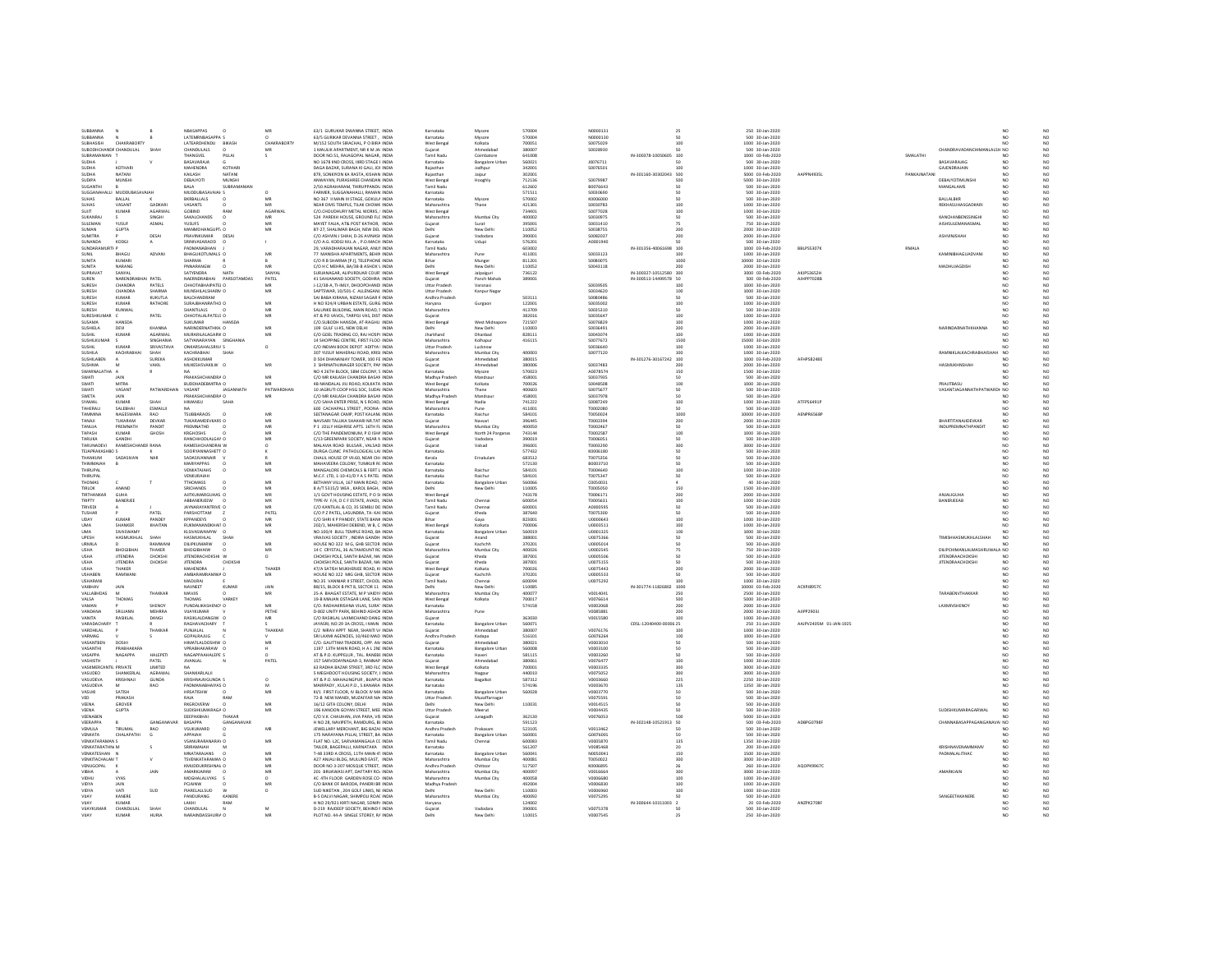| SURRANNA<br>SUBBANNA               |                                    |                         | <b>NBASAPPAS</b>                               | MB              | 63/1 GURUKAR DWANNA STREET. INDIA                                              | Karnataka                 | Mysore                          | <b>STODAY</b>    | NOOCO131                    |                               | 250 30-Jan-2020                      |                        |             |                                                        | NO <sub>1</sub><br>NO                                      |  |
|------------------------------------|------------------------------------|-------------------------|------------------------------------------------|-----------------|--------------------------------------------------------------------------------|---------------------------|---------------------------------|------------------|-----------------------------|-------------------------------|--------------------------------------|------------------------|-------------|--------------------------------------------------------|------------------------------------------------------------|--|
|                                    |                                    |                         | LATEMRNBASAPPA S                               | $\circ$         | 63/5 GURIKAR DEVANNA STREET . INDIA                                            | Karnataka                 | Mysore                          | 570004           | N0000130                    |                               | 500 30-Jan-2020                      |                        |             |                                                        | NO <sub>1</sub>                                            |  |
| <b>SUBHASISH</b>                   | CHAKRABORTY                        |                         | LATEARDHENDU<br>BIKASH                         | CHAKRABORTY     | M/152 SOUTH SIRACHAL P O BIRA INDIA                                            | West Benga                | Kolkata                         | 700051           | \$0075029                   |                               | 1000 30-Jan-2020                     |                        |             |                                                        | NO                                                         |  |
| SUBODHCHANDF CHANDULAL             |                                    | SHAP                    | <b>CHANDULALS</b>                              | MR              | 1 MALLIK APARTMENT, NR K M JAL INDIA                                           | Guiarat                   | Ahmedahad                       | 380007           | snozesan                    |                               | 500 30-lan-2020                      |                        |             | CHANDRAVADANCHIMANLALSH NO                             | NO                                                         |  |
| SUBRAMANIAN                        |                                    |                         | <b>THANGVEL</b><br>PILLAI                      | $\mathsf{s}$    | DOOR NO.51, RAJAGOPAL NAGAR. INDIA                                             | Tamil Nadu                | Coimbatore                      | 641008           |                             | IN-300378-10050605 100        | 1000 03-Feb-2020                     |                        | SMALATHI    |                                                        | NO.<br>N <sub>O</sub>                                      |  |
| SUDHA                              |                                    |                         | BASAVARAJA                                     |                 | NO 1678 IIND CROSS, IIIRD STAGE F INDIA                                        | Karnataka                 | <b>Bangalore Urb.</b>           | 560021           | 10076711                    |                               | 500 30-Jan-2020                      |                        |             | BASAVARAJAG                                            | $_{\rm NO}$                                                |  |
| SUDHA                              | KOTHARI                            |                         | <b>MAHENDRA</b><br>KOTHAR                      |                 | DAGA BAZAR, SURANA KI GALI, JOI INDIA                                          | Rajasthar                 | Jodhpu                          | 342001           | S0076501                    |                               | 1000 30-Jan-2020                     |                        |             | GAJENDRAJAIN                                           | $_{\rm NO}^{\rm NO}$<br>NO                                 |  |
| SUDHA<br>SUDIPA                    | NATANI<br>MUNSHI                   |                         | KAILASH<br>NATANI<br>MUNSH<br>DEBAJYOTI        |                 | 879, SONKIYON KA RASTA, KISHAN INDIA<br>ANWAYAN, PURASHREE CHANDAN INDIA       | Rajasthan                 | Jaipur                          | 302001<br>712136 | \$0079987                   | IN-301160-30302043 500<br>500 | 5000 03-Feb-2020<br>5000 30-Jan-2020 | AAPPN4935L             | PANKAJNATAN | DEBAJYOTIMUNSH                                         | NO<br>NO<br>NO                                             |  |
| SUGANTH                            |                                    |                         | SURRAMANIA<br>BALA                             |                 | 2/50 AGRAHARAM THIRIIPPANDIL INDIA                                             | West Benga<br>Tamil Nad   | Hooghly                         | 612602           | B0076643                    |                               | 500 30-Jan-2020                      |                        |             | MANGALAMS                                              | NO                                                         |  |
| SUGGANAHALLI MUDDUBASAVAIAH        |                                    |                         | MUDDUBASAVAIAF S                               |                 | FARMER, SUGGANAHALLI, RAMAN INDIA                                              | Karnataka                 |                                 | 571511           | \$0030690                   |                               | 500 30-Jan-2020                      |                        |             |                                                        | $_{\rm NO}^{\rm NO}$<br>NO.                                |  |
| SUHAS                              | BALLAL                             |                         | <b>BKRBALLALS</b>                              | MB              | NO 367 II MAIN III STAGE. GOKULA INDIA                                         | Karnataka                 | Mysore                          | 570002           | K0006000                    |                               | 500 30-Jan-2020                      |                        |             | BALLALBKR                                              | NQ                                                         |  |
| SUBAS                              | VASANT                             | GADKARI                 | VASANTS                                        | MR              | NEAR DIVIS TEMPLE, TILAK CHOWK INDIA                                           | Maharashtra               | Thane                           | 421301           | \$0030783                   | 100 <sub>1</sub>              | 1000 30-Jan-2020                     |                        |             | <b>REKHASLIHASGADKARI</b>                              | NO<br>$_{\sf NO}$                                          |  |
| SUJIT                              | <b>KUMAR</b>                       | AGARWAL                 | GOBIND<br>RAM                                  | AGARWAL         | C/O.CHOUDHURY METAL WORKS. I INDIA                                             | West Benga                |                                 | 734401           | S0077028                    | 100                           | 1000 30-Jan-2020                     |                        |             |                                                        | NO<br>N <sub>O</sub>                                       |  |
| SUKANRA                            |                                    | SINGH                   | SAKALCHANDS                                    |                 | 524 PAREKH HOUSE, GROUND FLC INDIA                                             | Maharashtr.               | Mumbai City                     | 400002           | \$003097                    |                               | 500 30-Jan-2020                      |                        |             | KANCHANBENSSINGH                                       | $_{\rm NO}$                                                |  |
| STILEMAN                           | <b>VEISEIR</b>                     | ASMAL                   | <b>PERMIT</b>                                  | MR              | MAYET FALIA, AT& POST KATHOR. INDIA                                            | Gujarat                   | Surat                           | 395001           | 50031410                    |                               | 750 30-Jan-2020                      |                        |             | AISHSULEMANASMAL                                       | NO                                                         |  |
| SUMAN                              | GUPTA                              |                         | MANMOHANGUPT: O                                | MR              | BT-27, SHALIMAR BAGH, NEW DELI INDIA                                           | Delhi                     | New Delhi                       | 110052           | \$0038755                   | 200                           | 2000 30-Jan-2020                     |                        |             |                                                        | $_{\rm NO}^{\rm NO}$<br>NO                                 |  |
| SUMITRA                            |                                    | DESAI                   | PRAVINKUMAR<br>DESA                            |                 | C/O ASHVIN J SHAH, D-26 AVINASH INDIA                                          | Gujarat                   | Vadodara                        | 390001           | \$0082037                   |                               | 2000 30-Jan-2020                     |                        |             | ASHVINJSHAH                                            | $_{\sf NO}$<br>NO                                          |  |
| CUMANDA                            | KODGI                              |                         | COARASARINIO                                   |                 | C/O A.G. KODGI M.L.A. . P.O.MACH INDIA                                         | Karnataka                 | Udupi                           | 576201           | A0001940                    |                               | 500 30-Jan-2020                      |                        |             |                                                        | $_{\rm NO}^{\rm NO}$<br>NO                                 |  |
| SUNDARAMURTI P                     |                                    |                         | PADMANABHAN                                    |                 | 29. VARADHARAJAN NAGAR, ANUF INDIA                                             | <b>Tamil Nadu</b>         |                                 | 603002           |                             | IN-301356-40061698 100        | 1000 03-Feb-2020                     | <b>BBLPS5307K</b>      | RMALA       |                                                        | NO <sub>1</sub>                                            |  |
| <b>SUNIL</b>                       | BHAGL                              | ADVANI                  | <b>BHAGUKOTUMALS O</b>                         | MB              | 77 MANISHA APARTMENTS, BEHIN INDIA                                             | Maharashtra               | Pune                            | 411001           | S0033123                    | 100                           | 1000 30-Jan-2020                     |                        |             | KAMINIBHAGUADVANI                                      | NQ<br>NO                                                   |  |
| SUNITA                             | KUMARI                             |                         | <b>SHARMA</b>                                  |                 | C/O R R SHARMA [P I] TELEPHONE INDIA                                           | Rihar                     | Munge                           | 811201           | \$0080075                   | 1000                          | 10000 30-Jan-2020                    |                        |             |                                                        | NO<br>NO                                                   |  |
| SUNITA                             | NARANG                             |                         | PNNARANGW<br>$\Omega$                          | MR              | C/O H C MEHRA, BA/38-B ASHOK \ INDIA                                           | Delhi                     | New Delhi                       | 110052           | S0043118                    | 200                           | 2000 30-Jan-2020                     |                        |             | MADHUJAGDISH                                           | NO<br>NO <sub>1</sub>                                      |  |
| SUPRAVAT                           | SANYAL<br>NARENDRARHAI PATEL       |                         | SATYENDRA<br>NATH<br>NAERNDRABHAI PARSOTAMDAS  | SANYAL<br>PATEL | SURJANAGAR, ALIPURDUAR COUR' INDIA                                             | West Benga                | Jalpaigur                       | 736122           |                             | N-300327-10512580 300         | 3000 03-Feb-2020                     | <b>AKJPS3652H</b>      |             |                                                        | $_{\rm NO}$                                                |  |
| SUREN<br>SURESH                    | CHANDRA                            | PATELS                  | CHHOTABHAIPATEL O                              |                 | 41 SAHJANAND SOCIETY, GODHRA, INDIA<br>J-12/38-A. TI-IMLY, DHOOPCHANDI INDIA   | Gujarat<br>Uttar Pradesh  | Panch Mahals<br>Varanasi        | 389001           | \$0039505                   | IN-300513-14499578 50<br>100  | 500 03-Feb-2020<br>1000 30-Jan-2020  | AJHPP7028B             |             |                                                        | $_{\sf NO}$<br>NO<br>NO <sub>1</sub>                       |  |
| SURESH                             | CHANDRA                            | SHARM                   | <b>MUNSHILALSHARM O</b>                        | MR<br>MR        | SAPTSWAR, 10/501-C ALLENGANJ, INDIA                                            | <b>Uttar Pradesh</b>      | Kanpur Nagar                    |                  | \$0034620                   | 100                           | 1000 30-Jan-2020                     |                        |             |                                                        | $_{\rm NO}^{\rm NO}$<br>NO                                 |  |
| SURFSH                             | <b>VIIMAR</b>                      | <b>VERTICA</b>          | <b>RAI CHANDRAM</b>                            |                 | SAI RARA KIRANA, NIZAM SAGAR 5 INDIA                                           | Andhra Pradesh            |                                 | 503111           | congosses                   | cn.                           | 500 30-Jan-2020                      |                        |             |                                                        | NO                                                         |  |
| SURESH                             | <b>KUMAR</b>                       | RATHORE                 | SURAJBHANRATHO O                               | MR              | H NO 924/4 URBAN ESTATE, GURG INDIA                                            | Harvana                   | Gurgaon                         | 122001           | \$0035002                   | 100                           | 1000 30-Jan-2020                     |                        |             |                                                        | $_{\rm NO}^{\rm NO}$<br>NO <sub>1</sub>                    |  |
| SURESH                             | RUNWAL                             |                         | SHANTILALS                                     | MF              | SALUNKE BUILDING, MAIN ROAD, 5 INDIA                                           | Maharashtra               |                                 | 413709           | \$0035310                   |                               | 500 30-Jan-2020                      |                        |             |                                                        | NQ                                                         |  |
| SLIRESHKLIMAR                      |                                    | PATFI                   | CHHOTALAI PATFIS O                             | MR              | AT & PO VAVOL, TARPOJ VAS, DIST INDIA                                          | Guiarat                   |                                 | 382016           | \$0035647                   | 100 <sub>1</sub>              | 1000 30-Jan-2020                     |                        |             |                                                        | NO<br>NO                                                   |  |
| SUSAMA                             | <b>HANSDA</b>                      |                         | <b>SUKUMAR</b><br><b>HANSDA</b>                |                 | C/O.SUBODH HANSDA, AT-RAGHUI INDIA                                             | West Benga                | West Midnapor                   | 721507           | S0076829                    | 100                           | 1000 30-Jan-2020                     |                        |             |                                                        | NO.<br>N <sub>O</sub>                                      |  |
| SUSHIELA                           | DEVI                               | KHANNA                  | VARINDERNATHKH, O                              | MF              | 109 GULF LI-KS, NEW DELHI                                                      |                           | New Delh                        | 110003           | \$003649                    | 200                           | 2000 30-Jan-2020                     |                        |             | NARINDARNATHKHANNA                                     | NO<br>$_{\rm NO}$                                          |  |
| SUSHIL                             | KUMAR                              | AGARWAI                 | MURARILALAGARM O                               | MR              | C/O GOEL TRADING CO. RAJ HOSPI INDIA                                           | tharkhand                 | Dhanbad                         | 828111           | 50043074                    | 100 <sub>1</sub>              | 1000 30-Jan-2020                     |                        |             |                                                        | NO<br>NO                                                   |  |
| SUSHILKUMAR                        |                                    | SINGHANIA               | SATYANARAYAN SINGHANIA                         |                 | 14 SHOPPING CENTRE, FIRST FLOO INDIA                                           | Maharashtra               | Kolhapur                        | 416115           | S0077672                    | 1500                          | 15000 30-Jan-2020                    |                        |             |                                                        | NO.<br>NO                                                  |  |
| <b>SUSHIL</b>                      | KUMAR                              | SRIVASTAVA              | ONKARSAHALSRIVA S                              | $\circ$         | C/O INDIAN BOOK DEPOT ADITYA I INDIA                                           | <b>Uttar Pradesi</b>      | Lucknow                         |                  | \$0036640                   |                               | 1000 30-Jan-2020                     |                        |             |                                                        | $_{\rm NO}$                                                |  |
| SUSHILA                            | <b>KACHRABHA</b>                   | SHAH                    | CACHRARHAL<br>SHAH                             |                 | 307 YUSUF MAHERALI ROAD, KRISI INDIA                                           | Maharashtra               | Mumbai Cit                      | sonnos           | S0077120                    |                               | 1000 30-Jan-2020                     |                        |             | <b>RAMNIKLALKACHRABHAISHAI</b>                         | NO<br>NO<br>NO                                             |  |
| SUSHILABEN                         |                                    | SUREKA                  | ASHOKKUMAR                                     |                 | D 504 DHANANJAY TOWER, 100 FE INDIA                                            | Guiarat                   | Ahmedabad                       | 380015           |                             | IN-301276-30167242 100        | 1000 03-Feb-2020                     | AFHPS8248E             |             |                                                        | NO                                                         |  |
| SUSHMA                             |                                    | VAKIL                   | MUKESHSVAKILW O                                | MR              | 3 SHRINATHJINAGER SOCIETY, PAP INDIA                                           | Guiarat                   | Ahmedabar                       | 380006           | S0037483                    | 200                           | 2000 30-Jan-2020                     |                        |             | HASMUKHNSHAH                                           | NQ                                                         |  |
| SWARNALATHA A                      |                                    |                         |                                                |                 | NO 4 26TH BLOCK SBM COLONY 5 INDIA                                             | Karnataka                 | Mysore                          | 570023           | 40078574                    | 150                           | 1500 30-Jan-2020                     |                        |             |                                                        | NO<br>NO                                                   |  |
| SWATI                              | 141N                               |                         | PRAKASHCHANDRA O                               | MR              | C/O MR KAILASH CHANDRA BASAN INDIA                                             | Madhya Pradesh            | Mandsaur                        | 458001           | S0037935                    | 50                            | 500 30-Jan-2020                      |                        |             |                                                        | NO<br>NO.                                                  |  |
| SWAT<br>SWATI                      | MITRA<br>VASANT                    | PATWARDHAN              | BUDDHADEBMITRA O<br><b>IAGANNATH</b><br>VASANT | PATWARDHAN      | 4B NANDALAL JIU ROAD, KOLKATA INDIA<br>10 JAGRUTI COOP HSG SOC, SUDAI INDIA    | West Benga<br>Maharashtra | Kolkata<br>Thane                | 700026<br>400603 | 5004850<br>\$0075677        | 100<br>50                     | 1000 30-Jan-2020<br>500 30-Jan-2020  |                        |             | PRAJITBASU<br>VASANTJAGANNATHPATWARDE NO               | $_{\rm NO}$<br>NO                                          |  |
| SWETA                              | <b>JAIN</b>                        |                         | PRAKASHCHANDRA O                               | MR              | C/O MR KAILASH CHANDRA BASAN INDIA                                             | Madhya Pradesh            | Mandsaur                        | 458001           | S0037978                    | 50                            | 500 30-Jan-2020                      |                        |             |                                                        | $_{\sf NO}$<br>NO                                          |  |
| SYAMAI                             | KUMAR                              | SHAI                    | IMANSU                                         |                 | C/O SAHA ENTER PRISE, N S ROAD, INDIA                                          | West Bengal               | Nadia                           | 741222           | 50087249                    | 100                           | 1000 30-Jan-2020                     | ATFP56491              |             |                                                        | N <sub>O</sub><br>$_{\rm NO}$                              |  |
| TAHFRAIL                           | SALERHAL                           | ESMAILI                 |                                                |                 | 600 CACHAPALL STREET, POONA I INDIA                                            | Maharashtra               | Pune                            | 411001           | TODO2080                    | 50                            | 500 30-Jan-2020                      |                        |             |                                                        | NO <sub>1</sub>                                            |  |
| TAMMINA                            | NAGESWARA                          | RAO                     | <b>TSUBBARAOS</b>                              | MR              | SEETANAGAR CAMP, POST KALAM INDIA                                              | Karnataka                 | Raichur                         | 584101           | T0050024                    | 1000                          | 10000 30-Jan-2020                    | AFNPRASSRE             |             |                                                        | $_{\rm NO}^{\rm NO}$<br>NO.                                |  |
| TANAIL                             | TUKARAM                            | DEVKAR                  | TUKARAMDEVKARS O                               | MF              | NAVSARI TALUKA SHAKARI NR.TAT INDIA                                            | Guiarat                   | Navsari                         | 396445           | T0002394                    | 200                           | 2000 30-Jan-2020                     |                        |             | BHARTITANAJIDEVKAR                                     | NQ<br>NO                                                   |  |
| TANLIJA                            | PREMNATH                           | PANDIT                  | PREMNATHD                                      | MR              | P.1 IOU V HIGHRISE APTS 16TH FL INDIA                                          | Maharashtra               | Mumhai City                     | sonnso           | 10002467                    | 50                            | 500 30-lan-2020                      |                        |             | INDUPREMNATHPANDIT                                     | NO <sub>1</sub><br>NO <sub>1</sub>                         |  |
| TAPASH                             | KUMAR                              | GHOSH                   | KRGHOSHS                                       | MB              | C/O THE PANDEMONIUM. P O ISHA INDIA                                            | West Benga                | North 24 Parganas               | 743144           | T0002587                    | 100                           | 1000 30-Jan-2020                     |                        |             |                                                        | NO.<br>NO.                                                 |  |
| TARLIKA                            | GANDHI                             |                         | RANCHHODLALGAM O                               | MR              | C/13 GREENPARK SOCIETY. NEAR N INDIA                                           | Gujarat                   | Vadodara                        | 390019           | T0006051                    | 50                            | 500 30-Jan-2020                      |                        |             |                                                        | NO<br>NO                                                   |  |
| <b>TARLINADEVI</b>                 | <b>RAMESHCHANDE RANA</b>           |                         | RAMESHCHANDRAL W                               | $\circ$         | MALAVIA ROAD BULSAR., VALSAD INDIA                                             | Gujarat                   | Valsad                          | 396001           | T0003290                    | 300                           | 3000 30-Jan-2020                     |                        |             |                                                        | NO <sub>1</sub><br>$_{\sf NO}$                             |  |
| <b>TEJAPRAKASHBC S</b>             |                                    |                         | SOORYANNASHETT O                               |                 | DURGA CLINIC PATHOLOGICAL LAI INDIA                                            | Karnataka                 |                                 | 577432           | K0006180                    | 50                            | 500 30-Jan-2020                      |                        |             |                                                        | $_{\rm NO}^{\rm NO}$<br>NO <sub>1</sub>                    |  |
| THANKUM                            | SADASIVAN                          | NAR                     | SADASIVANNAIR                                  |                 | CHALIL HOUSE CP VII.60, NEAR CH/ INDIA                                         | Kerala                    | Ernakulan                       | 683512           | T0075356                    |                               | 500 30-Jan-2020                      |                        |             |                                                        | NO                                                         |  |
| THIMMAGIAH                         |                                    |                         | MARIVAPPAS                                     | MF              | MAHAVEERA COLONY, TUMKUR RC INDIA                                              | Karnataka                 |                                 | 572130           | B0003710                    | sn                            | 500 30-Jan-2020                      |                        |             |                                                        | $_{\rm NO}^{\rm NO}$<br>NO                                 |  |
| THIRUPAL                           |                                    |                         | VENKATAIAHS                                    | MB              | MANGALORE CHEMICALS & FERT L INDIA                                             | Karnataka                 | Raichur                         | 584101           | T0004640                    | 100                           | 1000 30-Jan-2020                     |                        |             |                                                        | NO.                                                        |  |
| THIRUPAL                           |                                    |                         | VENKURAIAH                                     |                 | M.C.F. LTD. 1-10-41/D Y A S PATEL INDIA                                        | Karnataka                 | Raichu                          | 584101           | T0075347                    | 50                            | 500 30-Jan-2020                      |                        |             |                                                        | NQ<br>NO <sub>1</sub><br>NO                                |  |
| <b>THOMAS</b>                      |                                    |                         | <b>22AMOHTT</b>                                | MR              | BETHANY VILLA, 167 MAIN ROAD. 1 INDIA                                          | Karnataka                 | <b>Bangalore Urban</b>          | 560066           | cnosonas                    |                               | 40 30-Jan-2020                       |                        |             |                                                        |                                                            |  |
|                                    |                                    |                         |                                                |                 |                                                                                |                           |                                 |                  |                             |                               |                                      |                        |             |                                                        |                                                            |  |
| TIRLOK                             | ANAND                              |                         | SRICHANDS                                      | MB              | 8 A/T 5315/2 WEA . KAROL BAGH. INDIA                                           | Delhi                     | New Delhi                       | 110005           | <b>T0005050</b>             | 150                           | 1500 30-Jan-2020                     |                        |             |                                                        | $\frac{NO}{NO}$<br>NO <sub>1</sub>                         |  |
| TIRTHANKAR                         | GUHA                               |                         | AJITKUMARGUHAS O                               | MR              | 1/1 GOVT HOUSING ESTATE. P O SI INDIA                                          | West Benga                |                                 | 743178           | T0006171                    | 200                           | 2000 30-Jan-2020                     |                        |             | ANJALIGUHA                                             | NQ<br>NO                                                   |  |
| TRIPTY                             | <b>RANERIER</b>                    |                         | ARRANERIEEW                                    | MB              | TYPE-IV F/4, O C F ESTATE, AVADI. INDIA                                        | Tamil Nadi                | Chennai                         | soonsa           | 12220007                    | 100                           | 1000 30-Jan-2020                     |                        |             | <b>RANFRIFFAR</b>                                      | NO <sub>1</sub><br>$_{\rm NO}$                             |  |
| <b>TRIVED!</b>                     |                                    |                         | JAYNARAYANTRIVE O                              | MR              | C/O KANTILAL & CO. 35 SEMBU DC INDIA                                           | <b>Tamil Nadu</b>         | Chennai                         | 600001           | A0000595                    | 50                            | 500 30-Jan-2020                      |                        |             |                                                        | NO<br>N <sub>O</sub>                                       |  |
| TUSHAF                             |                                    | PATEL                   | PARSHOTTAM                                     | PATEL           | C/O P Z PATEL, LASUNDRA, TA: KAI INDIA                                         | Gujarat                   |                                 | 387640           | T0075300                    |                               | 500 30-Jan-2020                      |                        |             |                                                        | $_{\rm NO}$                                                |  |
| <b>LIDAY</b>                       | KUMAR                              | PANDEY                  | <b>KPPANDEYS</b>                               | MB              | C/O SHRIK P PANDEY, STATE BANK INDIA                                           | Bihar                     | Gaya                            | 823001           | 110000643                   | 100                           | 1000 30-Jan-2020                     |                        |             |                                                        | N <sub>O</sub>                                             |  |
| <b>UMA</b>                         | SHANKER                            | KHAITAN                 | RUKMANANDKHAIT O                               | MR              | 202/1, MAHERSHI DEBEND, W B, C. INDIA                                          | West Benga                | Kolkata                         | 700006           | U0003511                    | 100                           | 1000 30-Jan-2020                     |                        |             |                                                        | $_{\rm NO}^{\rm NO}$<br>N <sub>O</sub>                     |  |
| <b>UMA</b><br>LIPESH               | <b>SIVASWAM</b><br>HASMUKHLAL      | SHAH                    | KLSIVASWAMYW<br>IA UKHIKHIAI<br>SHAH           | MB              | NO.100/4 BULL TEMPLE ROAD, BA INDIA<br>VRAIVAS SOCIETY INDIRA GANDH INDIA      | Karnataka                 | <b>Bangalore Urban</b><br>Anand | 560019<br>388001 | U0001325<br>110075366       | 100<br>cn.                    | 1000 30-Jan-2020<br>500 30-lan-2020  |                        |             | <b>TIMISHHASMUKHLALSHAH</b>                            | $_{\rm NO}$<br>NO                                          |  |
|                                    | n.                                 |                         |                                                |                 |                                                                                | Guiarat                   |                                 |                  |                             | 50                            |                                      |                        |             |                                                        | NO <sub>1</sub><br>NO                                      |  |
| URMILA                             |                                    | RAMWAN                  | DILIPKUMARW                                    | MB              | HOUSE NO 322 M G. GHB SECTOR INDIA                                             | Guiarat                   | Kachchh                         | 370201           | U0005014                    |                               | 500 30-Jan-2020                      |                        |             |                                                        | NO.                                                        |  |
| <b>USHA</b><br><b>TISHA</b>        | <b>BHOGIBHA</b><br><b>JITENDRA</b> | THAKER<br>CHOKSH        | BHOGIBHAIW<br>ITENDRACHOKSHI W                 | MR<br>$\circ$   | 14 C CRYSTAL. 36 ALTAMOUNT RC INDIA<br>CHOKSHI POLE, SANTH BAZAR, NAJ INDIA    | Maharashtra<br>Gujarat    | Mumbai City<br>Kheda            | 400026<br>387001 | U0002545<br>110005506       | 75                            | 750 30-Jan-2020<br>500 30-Jan-2020   |                        |             | DILIPCHIMANLALMASHRUWALA NO<br><b>JITENDRAACHOKSHI</b> | NQ<br>NO <sub>1</sub>                                      |  |
| <b>USHA</b>                        | <b>JITENDRA</b>                    | CHOKSHI                 | <b>JITENDRA</b><br>CHOKSH                      |                 | CHOKSHI POLE, SANTH BAZAR, NAI INDIA                                           | Guiarat                   | Kheda                           | 387001           | U0075155                    | 50                            | 500 30-Jan-2020                      |                        |             | <b>JITENDRAACHOKSHI</b>                                | $_{\rm NO}$<br>NO<br>N <sub>O</sub>                        |  |
| USHA                               | <b>HAKER</b>                       |                         | MAHENDRA                                       | THAKER          | 47/A SATISH MUKHERJEE ROAD, KI INDIA                                           | West Benga                | Kolkata                         | 700026           | U007544                     |                               | 2000 30-Jan-2020                     |                        |             |                                                        |                                                            |  |
| <b>LISHAREN</b>                    | RAMWANI                            |                         | AMRARAMRAMWA O                                 | MR              | HOUSE NO 322 MIG GHB, SECTOR INDIA                                             | Gujarat                   | Kachchh                         | 370201           | 110005533                   |                               | 500 30-Jan-2020                      |                        |             |                                                        | $_{\rm NO}$<br>NO                                          |  |
| USHARANI                           |                                    |                         | MADURAI                                        |                 | NO.35 VANNIAR II STREET, CHOOL INDIA                                           | <b>Tamil Nadu</b>         | Chennai                         | 600094           | U0075292                    | 100                           | 1000 30-Jan-2020                     |                        |             |                                                        | $_{\rm NO}^{\rm NO}$<br><b>NO</b>                          |  |
| VAIBHAV                            | JAIN                               |                         | NAVNEET<br>KUMAR                               | JAIN            | B8/15, BLOCK B PKT 8, SECTOR 11 INDIA                                          |                           | New Delhi                       | 110085           |                             | IN-301774-11826802 1000       | 10000 03-Feb-2020                    | ACXPJ89570             |             |                                                        | NO                                                         |  |
| VALLABHDAS                         |                                    | THAKKAR                 | <b>MAVIIS</b>                                  | MB              | 25-A BHAGAT ESTATE. M P VAIDY/ INDIA                                           | Maharashtra               | Mumbai City                     | 400077           | von Lanan                   | 250                           | 2500 30-Jan-2020                     |                        |             | TARABENVTHAKKAR                                        | NO                                                         |  |
| VALSA                              | THOMAS                             |                         | THOMAS<br>VARKEY                               |                 | 19-B MIAJAN OSTAGAR LANE, SAN INDIA                                            | West Benga                | Kolkata                         | 700017           | V0076614                    | 500                           | 5000 30-Jan-2020                     |                        |             |                                                        | $_{\rm NO}^{\rm NO}$<br>NO.                                |  |
| VAMAN<br>VANDANA                   | SRIILANN                           | SHENOY<br><b>MEHRRA</b> | PUNDALIKASHENO\ O<br>VIIA VKI IMAR             | MB<br>PETHE     | C/O. RADHAKRISHNA VILAS. SURA1 INDIA                                           | Karnataka<br>Maharashtra  | Pune                            | 574158           | V0002068<br><b>VOOR5881</b> | 200<br>200                    | 2000 30-Jan-2020                     | AUPP29031              |             | LAXMIVSHENOY                                           | NQ<br>NO                                                   |  |
|                                    |                                    |                         |                                                |                 | D-802 UNITY PARK, BEHIND ASHOR INDIA                                           |                           |                                 |                  |                             |                               | 2000 30-Jan-2020                     |                        |             |                                                        | NO <sub>1</sub><br>$_{\rm NO}$                             |  |
| VANITA<br>VARADACHAR               | RASIKLAL                           | DANGI                   | RASIKLALDANGIW O<br>RAGHAVACHARY               | MR              | C/O RASIKLAL LAXMICHAND DANG INDIA<br>JAYASRI, NO:29 3A CROSS, I MAIN NDI      | Guiarat<br>Karnataka      | <b>Bangalore Urban</b>          | 363030<br>560071 | V0015580                    | 100<br>CDSL-12040400-0000E 25 | 1000 30-Jan-2020<br>250 31-Jan-2020  | AAJPV2405M 01-JAN-1925 |             |                                                        | NO <sub>1</sub>                                            |  |
| <b>VARDHILAI</b>                   |                                    | THAKKAR                 | PUNJALAL                                       | THAKKAR         | C/2 NIRAV APPT NEAR, SHANTI V/ INDIA                                           |                           | Ahmedabad                       | sannos           | V0076176                    | 100                           |                                      |                        |             |                                                        | $_{\rm NO}^{\rm NO}$                                       |  |
| VARMAG                             |                                    |                         | GOPALRAJUG                                     |                 | SRI LAXMI AGENCIES, 10/460 MAD INDIA                                           | Gujarat<br>Andhra Pradesh | Kadapa                          | 516101           | G0076264                    | 100                           | 1000 30-Jan-2020<br>1000 30-Jan-2020 |                        |             |                                                        | NO<br><b>NO</b>                                            |  |
| VASANTBEN                          | DOSH                               |                         | HIMATLALDOSHIW O                               | MR              | C/O. GAUTTAM TRADERS, OPP. AN INDIA                                            | Gujarat                   | Ahmedabar                       | 380021           | V0003010                    |                               | 500 30-Jan-2020                      |                        |             |                                                        | $_{\rm NO}^{\rm NO}$<br>NO<br>NO                           |  |
| <b>UASANTUI</b>                    | <b>DDABUAKADA</b>                  |                         | <b>CORAGUAVADAM I</b>                          |                 | 1197 13TH MAIN ROAD, H A L 2NL INDIA                                           | Karnataka                 | <b>Bangalore Urban</b>          | ssonos           | voorstop                    | 50                            | 500 30-Jan-2020                      |                        |             |                                                        | NO                                                         |  |
| VASAPPA                            | NAGAPPA                            | HALEPETI                | NAGAPPAAHALEPE S                               | $\Omega$        | AT & P.O. KUPPELUR . TAL. RANEBI INDIA                                         | Karnataka                 | Haveri                          | 581115           | V0003260                    | 50                            | 500 30-Jan-2020                      |                        |             |                                                        | $_{\rm NO}^{\rm NO}$<br>N <sub>O</sub>                     |  |
| VASHISTH                           |                                    | PATEL                   | <b>JIVANLAL</b>                                | PATEL           | 157 SARVODAYNAGAR-3, RANNAP, INDIA                                             | Guiarat                   | Ahmedabar                       | 380061           | V0076477                    | 100                           | 1000 30-Jan-2020                     |                        |             |                                                        | NQ<br>NO <sub>1</sub>                                      |  |
| VASKMERCANTI PRIVATE               |                                    | <b>LIMITED</b>          |                                                |                 | 63 RADHA BAZAR STREET, 3RD FLC INDIA                                           | West Benga                | Kolkata                         | zoong            | vnnnaass                    | 300                           | 3000 30-Jan-2020                     |                        |             |                                                        | NO <sub>1</sub>                                            |  |
| VASUDEO                            | SHANKERLAI                         | AGRAWAL                 | SHANKARLALJI                                   |                 | 5 MEGHDOOT HOUSING SOCIETY, 8 INDIA                                            | Maharashtra               | Nagpur                          | 440010           | V0075052                    | 300                           | 3000 30-Jan-2020                     |                        |             |                                                        | NO <sub>1</sub>                                            |  |
| VASUDEVA                           | KRISHNAJI                          | GUNDA                   | KRISHNAJIVGUNDA :                              |                 | AT & P.O. MAHALINGPUR, BUAPUI INDIA                                            | Karnataka                 | Bagalko                         | 587312           | V000366                     | 225                           | 2250 30-Jan-2020                     |                        |             |                                                        | $\begin{array}{c}\n 10 \\  10 \\  10 \\  10\n \end{array}$ |  |
| VASUDEVA                           |                                    | RAO                     | PADMANARHAIVAS O                               |                 | MAIRPADY, KULAI P.O., S.KANARA INDIA                                           | Karnataka                 |                                 | 574196           | voons670                    | 135                           | 1350 30-Jan-2020                     |                        |             |                                                        | NO                                                         |  |
| VASUKI                             | SATISH                             |                         | HRSATISHW                                      | MR              | III/1 FIRST FLOOR, IV BLOCK IV MA INDIA                                        | Karnataka                 | <b>Bangalore Urban</b>          | 560028           | V0003770                    | 50                            | 500 30-Jan-2020                      |                        |             |                                                        | $_{\rm NO}^{\rm NO}$<br>N <sub>O</sub>                     |  |
| VED                                | PRAKASH                            |                         | RAJA<br>RAM                                    |                 | 72-B NEW MANDI, MUZAFFAR NA INDIA                                              | <b>Uttar Pradesi</b>      | Muzaffarnaga                    |                  | V0075591                    |                               | 500 30-Jan-2020                      |                        |             |                                                        | $_{\sf NO}$                                                |  |
| VEENA                              | <b>GROVER</b>                      |                         | <b>RKGROVERW</b>                               | MF<br>MR        | 16/12 GITA COLONY, DELHI                                                       |                           | New Delhi                       | 110031           | V0014515                    |                               | 500 30-Jan-2020                      |                        |             |                                                        |                                                            |  |
| <b>VEENA</b>                       | <b>GUPTA</b>                       |                         | SUDISHKUMARAGA O                               |                 | 196 KANDON GOYAN STREET. MEE INDIA                                             | Uttar Pradesh             | Meerut                          |                  | V0004435                    |                               | 500 30-Jan-2020                      |                        |             | SUDISHKUMARAGARWAL                                     | NO<br>NO<br>NO.                                            |  |
| VEENABEN<br><b><i>VEERAPPA</i></b> |                                    | GANGANAVAR              | DEEPAKBHAI<br>THAKAE<br>RASAPPA<br>GANGANAVAR  |                 | C/O V.K. CHAUHAN, JIVA PARA, VIS INDIA<br>H NO 28 NAVIPETH RAMDURG BLINDLE     | Guiarat<br>Karnataka      | Junagadh                        | 362130<br>591123 | V0076053                    | IN-302148-10521913 50         | 5000 30-Jan-2020<br>500 03-Feb-2020  | ADRPG0798F             |             | CHANNARASAPPAGANGANAVAL NO                             | NO                                                         |  |
| <b>VEMULA</b>                      | TIRUMAL                            | RAO                     | VSUKUMARD                                      | MR              | JEWELLARY MERCHANT, BIG BAZAF INDIA                                            | Andhra Pradesh            | Prakasam                        | 523105           | V0013462                    | 50                            | 500 30-Jan-2020                      |                        |             |                                                        | NO<br>N <sub>O</sub>                                       |  |
| VENKATA                            | CHALAPATHI                         |                         | APPAIAH                                        |                 | 175 NARAYANA PILLAI, STREET, BA INDIA                                          | Karnataka                 | <b>Bangalore Urban</b>          | 560001           | G007600                     |                               | 500 30-Jan-2020                      |                        |             |                                                        | NO                                                         |  |
| <b>VENKATARAMAN S</b>              |                                    |                         | VSANURARANARA) O                               | MB              | FLAT NO. L2C, SARVAMANGALA CC INDIA                                            | Tamil Nadu                | Chennai                         | <b>SOODR3</b>    | V0005870                    | 135                           | 1350 30-Jan-2020                     |                        |             |                                                        | $_{\rm NO}$                                                |  |
| VENKATARATHN M                     |                                    |                         | SRIRAMAIAH                                     |                 | TAILOR, BAGEPALLI, KARNATAKA INDIA                                             | Karnataka                 |                                 | 561207           | V0085468                    | 20                            | 200 30-Jan-2020                      |                        |             | KRISHNAVENAMMAMV                                       | $_{\sf NO}$<br>NO <sub>1</sub>                             |  |
| VENKATESHAN                        |                                    |                         | MNATARAJANS                                    | MF              | T-48 33RD A CROSS, 11TH MAIN 41 INDIA                                          | Karnataka                 | <b>Bangalore Urban</b>          | 560041           | N005004                     | 150                           | 1500 30-Jan-2020                     |                        |             | PADMALALITHAC                                          | NO                                                         |  |
| <b>VENKITACHALAN T</b>             |                                    |                         | <b>TSVENKATARAMAN O</b>                        | ME              | A27 ANJALI BLDG, MULUND EAST. INDIA                                            | Maharashtra               | Mumbai City                     | 400081           | TOOSOO??                    | 300                           | 3000 30-Jan-2020                     |                        |             |                                                        | $_{\rm NO}^{\rm NO}$<br>NO <sub>1</sub>                    |  |
| VENUGOPAL                          |                                    |                         | KMUDDUKRISHNAU O                               | MB              | DOOR NO 3-207 MOSQUE STREET. INDIA                                             | Andhra Pradesh            | Chittoor                        | 517507           | K0006895                    | 26                            | 260 30-Jan-2020                      | AQOPK9967C             |             |                                                        | NO<br>NO<br>N <sub>O</sub>                                 |  |
| <b>VIBHA</b>                       |                                    | JAIN                    | AMARKJAINW                                     | MR              | 201 BRIJAWASI APT, DAFTARY ROJ INDIA                                           | Maharashtra               | Mumbai City                     | 400097           | V0016664                    |                               | 3000 30-Jan-2020                     |                        |             | AMARKJAIN                                              | NQ<br>NO                                                   |  |
| <b>VIDHI</b>                       | was                                |                         | MOGHALAIVWAS                                   | $\Omega$        | 4C 4TH FLOOR, GARDEN ROSE CO., INDIA                                           | Maharashtra               | Mumhai City                     | 400058           | <b>VOOD6680</b>             | 100                           | 1000 30-Jan-2020                     |                        |             |                                                        | NO<br>NO <sub>1</sub>                                      |  |
| <b>VIDYA</b>                       | JAIN                               |                         | PCJAINW                                        | MB              | C/O BANK OF BARODA, PANDRI BR INDIA                                            | Madhya Pradesh            |                                 | 492004           | V0006830                    | 100                           | 1000 30-Jan-2020                     |                        |             |                                                        | NO.<br>NO                                                  |  |
|                                    | VATI                               | sup                     | PIARELALLSUD                                   | $\circ$         | SUD NIKETAN , 204 GOLF LINKS, NE INDIA                                         |                           | New Delhi                       | 110003           | V000696                     |                               | 1000 30-Jan-2020                     |                        |             |                                                        | $_{\rm NO}$                                                |  |
| VIIAY                              | KANFRE                             |                         | PANDURANG<br>KANERE                            |                 | B-5 DALVLNAGAR, SHIMPOLLROAD INDIA                                             | Maharashtra               | Mumbai City                     | 400092           | <b>V0075295</b>             |                               | 500 30-Jan-2020                      |                        |             | SANGEFTAKANERE                                         | NO<br>NO <sub>1</sub>                                      |  |
| VUAY<br>VUAYKUMAR                  | <b>KUMAR</b><br>CHANDULAL          | SHAH                    | LAKHI<br>RAM<br>CHANDULAL                      |                 | H NO 29/921 KIRTI NAGAR, SONIP/ INDIA<br>D-219 RAJDEEP SOCIETY, BEHIND F INDIA | Harvana<br>Gujarat        | Vadodara                        | 124002<br>390001 | V0075378                    | IN-300644-10311003 2          | 20 03-Feb-2020<br>500 30-Jan-2020    | ANZPK2708F             |             |                                                        | NO.<br>NO.                                                 |  |